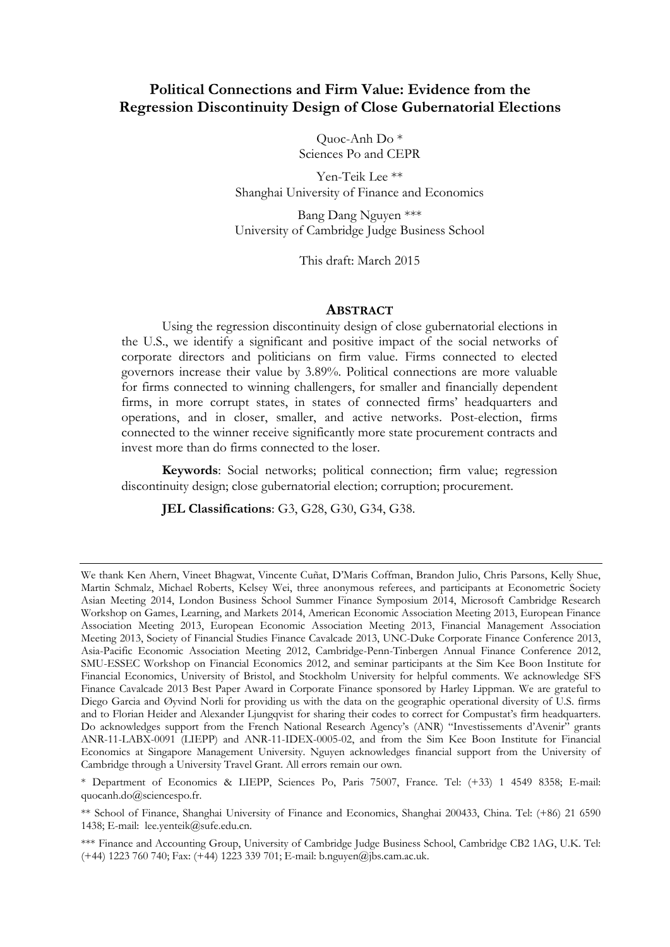# **Political Connections and Firm Value: Evidence from the Regression Discontinuity Design of Close Gubernatorial Elections**

Quoc-Anh Do \* Sciences Po and CEPR

Yen-Teik Lee \*\* Shanghai University of Finance and Economics

Bang Dang Nguyen \*\*\* University of Cambridge Judge Business School

This draft: March 2015

#### **ABSTRACT**

Using the regression discontinuity design of close gubernatorial elections in the U.S., we identify a significant and positive impact of the social networks of corporate directors and politicians on firm value. Firms connected to elected governors increase their value by 3.89%. Political connections are more valuable for firms connected to winning challengers, for smaller and financially dependent firms, in more corrupt states, in states of connected firms' headquarters and operations, and in closer, smaller, and active networks. Post-election, firms connected to the winner receive significantly more state procurement contracts and invest more than do firms connected to the loser.

**Keywords**: Social networks; political connection; firm value; regression discontinuity design; close gubernatorial election; corruption; procurement.

**JEL Classifications**: G3, G28, G30, G34, G38.

We thank Ken Ahern, Vineet Bhagwat, Vincente Cuñat, D'Maris Coffman, Brandon Julio, Chris Parsons, Kelly Shue, Martin Schmalz, Michael Roberts, Kelsey Wei, three anonymous referees, and participants at Econometric Society Asian Meeting 2014, London Business School Summer Finance Symposium 2014, Microsoft Cambridge Research Workshop on Games, Learning, and Markets 2014, American Economic Association Meeting 2013, European Finance Association Meeting 2013, European Economic Association Meeting 2013, Financial Management Association Meeting 2013, Society of Financial Studies Finance Cavalcade 2013, UNC-Duke Corporate Finance Conference 2013, Asia-Pacific Economic Association Meeting 2012, Cambridge-Penn-Tinbergen Annual Finance Conference 2012, SMU-ESSEC Workshop on Financial Economics 2012, and seminar participants at the Sim Kee Boon Institute for Financial Economics, University of Bristol, and Stockholm University for helpful comments. We acknowledge SFS Finance Cavalcade 2013 Best Paper Award in Corporate Finance sponsored by Harley Lippman. We are grateful to Diego Garcia and Øyvind Norli for providing us with the data on the geographic operational diversity of U.S. firms and to Florian Heider and Alexander Ljungqvist for sharing their codes to correct for Compustat's firm headquarters. Do acknowledges support from the French National Research Agency's (ANR) "Investissements d'Avenir" grants ANR-11-LABX-0091 (LIEPP) and ANR-11-IDEX-0005-02, and from the Sim Kee Boon Institute for Financial Economics at Singapore Management University. Nguyen acknowledges financial support from the University of Cambridge through a University Travel Grant. All errors remain our own.

<sup>\*</sup> Department of Economics & LIEPP, Sciences Po, Paris 75007, France. Tel: (+33) 1 4549 8358; E-mail: quocanh.do@sciencespo.fr.

<sup>\*\*</sup> School of Finance, Shanghai University of Finance and Economics, Shanghai 200433, China. Tel: (+86) 21 6590 1438; E-mail: lee.yenteik@sufe.edu.cn.

<sup>\*\*\*</sup> Finance and Accounting Group, University of Cambridge Judge Business School, Cambridge CB2 1AG, U.K. Tel: (+44) 1223 760 740; Fax: (+44) 1223 339 701; E-mail: b.nguyen@jbs.cam.ac.uk.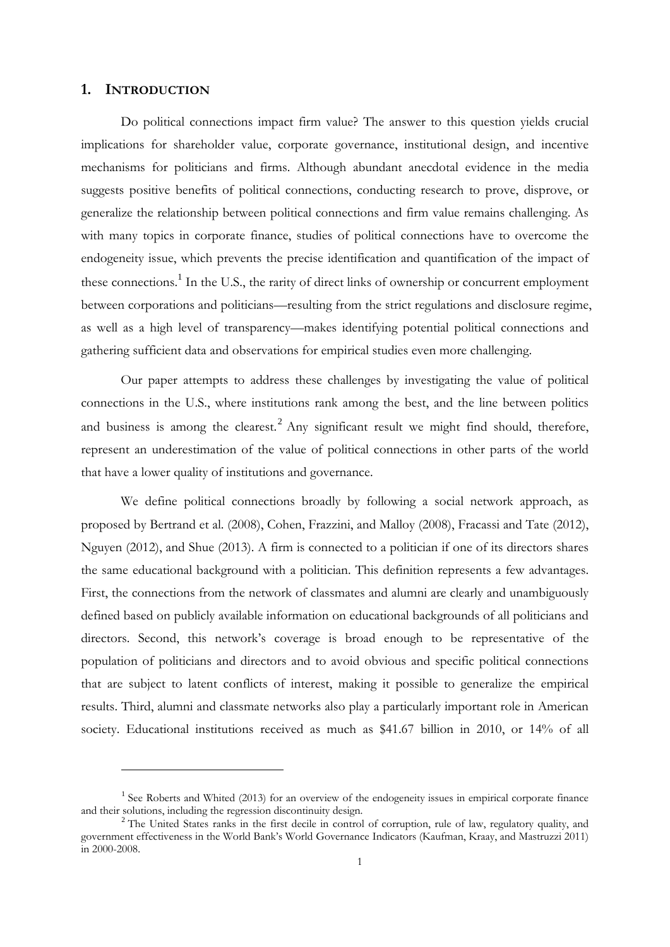### **1. INTRODUCTION**

<u>.</u>

Do political connections impact firm value? The answer to this question yields crucial implications for shareholder value, corporate governance, institutional design, and incentive mechanisms for politicians and firms. Although abundant anecdotal evidence in the media suggests positive benefits of political connections, conducting research to prove, disprove, or generalize the relationship between political connections and firm value remains challenging. As with many topics in corporate finance, studies of political connections have to overcome the endogeneity issue, which prevents the precise identification and quantification of the impact of these connections.<sup>1</sup> In the U.S., the rarity of direct links of ownership or concurrent employment between corporations and politicians—resulting from the strict regulations and disclosure regime, as well as a high level of transparency—makes identifying potential political connections and gathering sufficient data and observations for empirical studies even more challenging.

Our paper attempts to address these challenges by investigating the value of political connections in the U.S., where institutions rank among the best, and the line between politics and business is among the clearest.<sup>2</sup> Any significant result we might find should, therefore, represent an underestimation of the value of political connections in other parts of the world that have a lower quality of institutions and governance.

We define political connections broadly by following a social network approach, as proposed by Bertrand et al. (2008), Cohen, Frazzini, and Malloy (2008), Fracassi and Tate (2012), Nguyen (2012), and Shue (2013). A firm is connected to a politician if one of its directors shares the same educational background with a politician. This definition represents a few advantages. First, the connections from the network of classmates and alumni are clearly and unambiguously defined based on publicly available information on educational backgrounds of all politicians and directors. Second, this network's coverage is broad enough to be representative of the population of politicians and directors and to avoid obvious and specific political connections that are subject to latent conflicts of interest, making it possible to generalize the empirical results. Third, alumni and classmate networks also play a particularly important role in American society. Educational institutions received as much as \$41.67 billion in 2010, or 14% of all

<sup>&</sup>lt;sup>1</sup> See Roberts and Whited (2013) for an overview of the endogeneity issues in empirical corporate finance and their solutions, including the regression discontinuity design. <sup>2</sup>

 $2$ <sup>2</sup> The United States ranks in the first decile in control of corruption, rule of law, regulatory quality, and government effectiveness in the World Bank's World Governance Indicators (Kaufman, Kraay, and Mastruzzi 2011) in 2000-2008.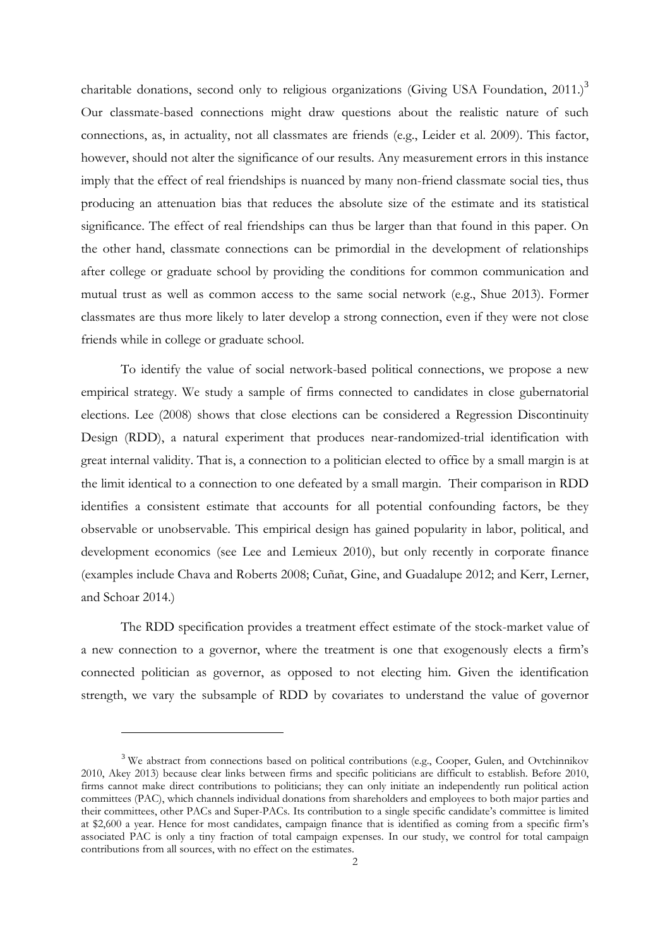charitable donations, second only to religious organizations (Giving USA Foundation, 2011.)<sup>3</sup> Our classmate-based connections might draw questions about the realistic nature of such connections, as, in actuality, not all classmates are friends (e.g., Leider et al. 2009). This factor, however, should not alter the significance of our results. Any measurement errors in this instance imply that the effect of real friendships is nuanced by many non-friend classmate social ties, thus producing an attenuation bias that reduces the absolute size of the estimate and its statistical significance. The effect of real friendships can thus be larger than that found in this paper. On the other hand, classmate connections can be primordial in the development of relationships after college or graduate school by providing the conditions for common communication and mutual trust as well as common access to the same social network (e.g., Shue 2013). Former classmates are thus more likely to later develop a strong connection, even if they were not close friends while in college or graduate school.

To identify the value of social network-based political connections, we propose a new empirical strategy. We study a sample of firms connected to candidates in close gubernatorial elections. Lee (2008) shows that close elections can be considered a Regression Discontinuity Design (RDD), a natural experiment that produces near-randomized-trial identification with great internal validity. That is, a connection to a politician elected to office by a small margin is at the limit identical to a connection to one defeated by a small margin. Their comparison in RDD identifies a consistent estimate that accounts for all potential confounding factors, be they observable or unobservable. This empirical design has gained popularity in labor, political, and development economics (see Lee and Lemieux 2010), but only recently in corporate finance (examples include Chava and Roberts 2008; Cuñat, Gine, and Guadalupe 2012; and Kerr, Lerner, and Schoar 2014.)

The RDD specification provides a treatment effect estimate of the stock-market value of a new connection to a governor, where the treatment is one that exogenously elects a firm's connected politician as governor, as opposed to not electing him. Given the identification strength, we vary the subsample of RDD by covariates to understand the value of governor

-

<sup>&</sup>lt;sup>3</sup> We abstract from connections based on political contributions (e.g., Cooper, Gulen, and Ovtchinnikov 2010, Akey 2013) because clear links between firms and specific politicians are difficult to establish. Before 2010, firms cannot make direct contributions to politicians; they can only initiate an independently run political action committees (PAC), which channels individual donations from shareholders and employees to both major parties and their committees, other PACs and Super-PACs. Its contribution to a single specific candidate's committee is limited at \$2,600 a year. Hence for most candidates, campaign finance that is identified as coming from a specific firm's associated PAC is only a tiny fraction of total campaign expenses. In our study, we control for total campaign contributions from all sources, with no effect on the estimates.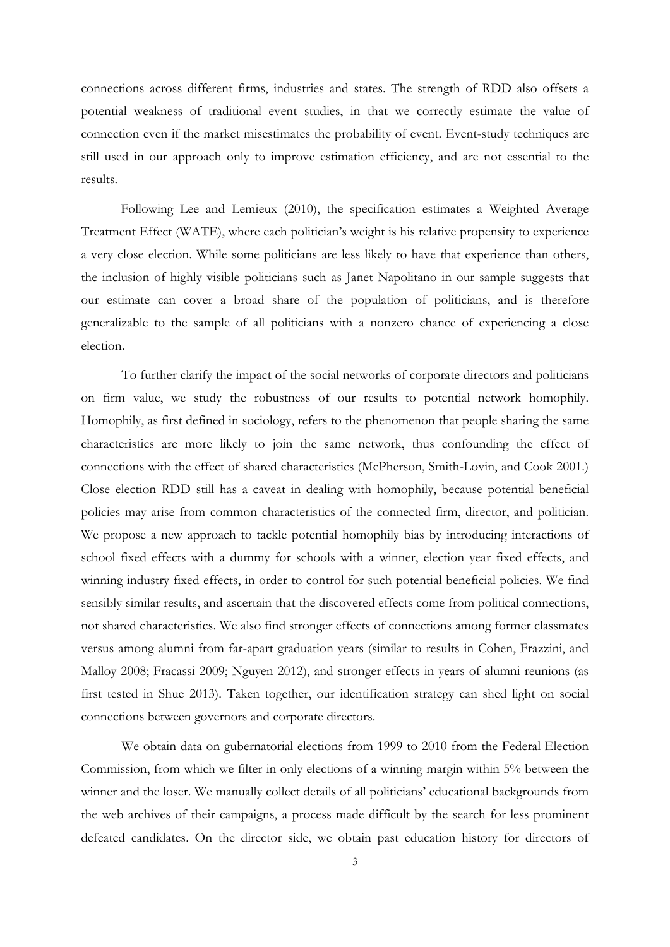connections across different firms, industries and states. The strength of RDD also offsets a potential weakness of traditional event studies, in that we correctly estimate the value of connection even if the market misestimates the probability of event. Event-study techniques are still used in our approach only to improve estimation efficiency, and are not essential to the results.

Following Lee and Lemieux (2010), the specification estimates a Weighted Average Treatment Effect (WATE), where each politician's weight is his relative propensity to experience a very close election. While some politicians are less likely to have that experience than others, the inclusion of highly visible politicians such as Janet Napolitano in our sample suggests that our estimate can cover a broad share of the population of politicians, and is therefore generalizable to the sample of all politicians with a nonzero chance of experiencing a close election.

To further clarify the impact of the social networks of corporate directors and politicians on firm value, we study the robustness of our results to potential network homophily. Homophily, as first defined in sociology, refers to the phenomenon that people sharing the same characteristics are more likely to join the same network, thus confounding the effect of connections with the effect of shared characteristics (McPherson, Smith-Lovin, and Cook 2001.) Close election RDD still has a caveat in dealing with homophily, because potential beneficial policies may arise from common characteristics of the connected firm, director, and politician. We propose a new approach to tackle potential homophily bias by introducing interactions of school fixed effects with a dummy for schools with a winner, election year fixed effects, and winning industry fixed effects, in order to control for such potential beneficial policies. We find sensibly similar results, and ascertain that the discovered effects come from political connections, not shared characteristics. We also find stronger effects of connections among former classmates versus among alumni from far-apart graduation years (similar to results in Cohen, Frazzini, and Malloy 2008; Fracassi 2009; Nguyen 2012), and stronger effects in years of alumni reunions (as first tested in Shue 2013). Taken together, our identification strategy can shed light on social connections between governors and corporate directors.

We obtain data on gubernatorial elections from 1999 to 2010 from the Federal Election Commission, from which we filter in only elections of a winning margin within 5% between the winner and the loser. We manually collect details of all politicians' educational backgrounds from the web archives of their campaigns, a process made difficult by the search for less prominent defeated candidates. On the director side, we obtain past education history for directors of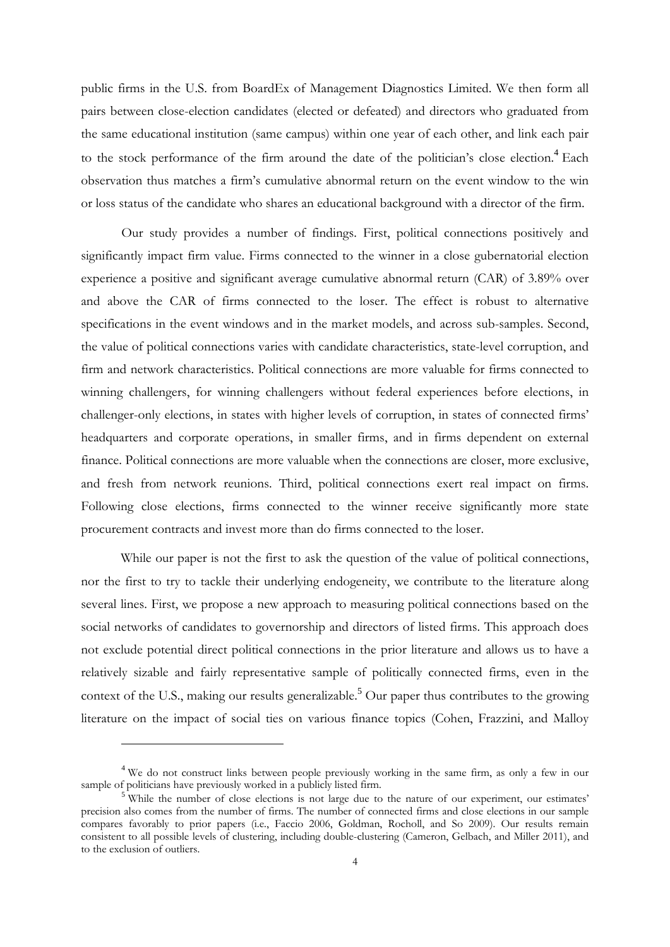public firms in the U.S. from BoardEx of Management Diagnostics Limited. We then form all pairs between close-election candidates (elected or defeated) and directors who graduated from the same educational institution (same campus) within one year of each other, and link each pair to the stock performance of the firm around the date of the politician's close election.<sup>4</sup> Each observation thus matches a firm's cumulative abnormal return on the event window to the win or loss status of the candidate who shares an educational background with a director of the firm.

Our study provides a number of findings. First, political connections positively and significantly impact firm value. Firms connected to the winner in a close gubernatorial election experience a positive and significant average cumulative abnormal return (CAR) of 3.89% over and above the CAR of firms connected to the loser. The effect is robust to alternative specifications in the event windows and in the market models, and across sub-samples. Second, the value of political connections varies with candidate characteristics, state-level corruption, and firm and network characteristics. Political connections are more valuable for firms connected to winning challengers, for winning challengers without federal experiences before elections, in challenger-only elections, in states with higher levels of corruption, in states of connected firms' headquarters and corporate operations, in smaller firms, and in firms dependent on external finance. Political connections are more valuable when the connections are closer, more exclusive, and fresh from network reunions. Third, political connections exert real impact on firms. Following close elections, firms connected to the winner receive significantly more state procurement contracts and invest more than do firms connected to the loser.

While our paper is not the first to ask the question of the value of political connections, nor the first to try to tackle their underlying endogeneity, we contribute to the literature along several lines. First, we propose a new approach to measuring political connections based on the social networks of candidates to governorship and directors of listed firms. This approach does not exclude potential direct political connections in the prior literature and allows us to have a relatively sizable and fairly representative sample of politically connected firms, even in the context of the U.S., making our results generalizable.<sup>5</sup> Our paper thus contributes to the growing literature on the impact of social ties on various finance topics (Cohen, Frazzini, and Malloy

-

<sup>&</sup>lt;sup>4</sup> We do not construct links between people previously working in the same firm, as only a few in our sample of politicians have previously worked in a publicly listed firm.

<sup>&</sup>lt;sup>5</sup> While the number of close elections is not large due to the nature of our experiment, our estimates' precision also comes from the number of firms. The number of connected firms and close elections in our sample compares favorably to prior papers (i.e., Faccio 2006, Goldman, Rocholl, and So 2009). Our results remain consistent to all possible levels of clustering, including double-clustering (Cameron, Gelbach, and Miller 2011), and to the exclusion of outliers.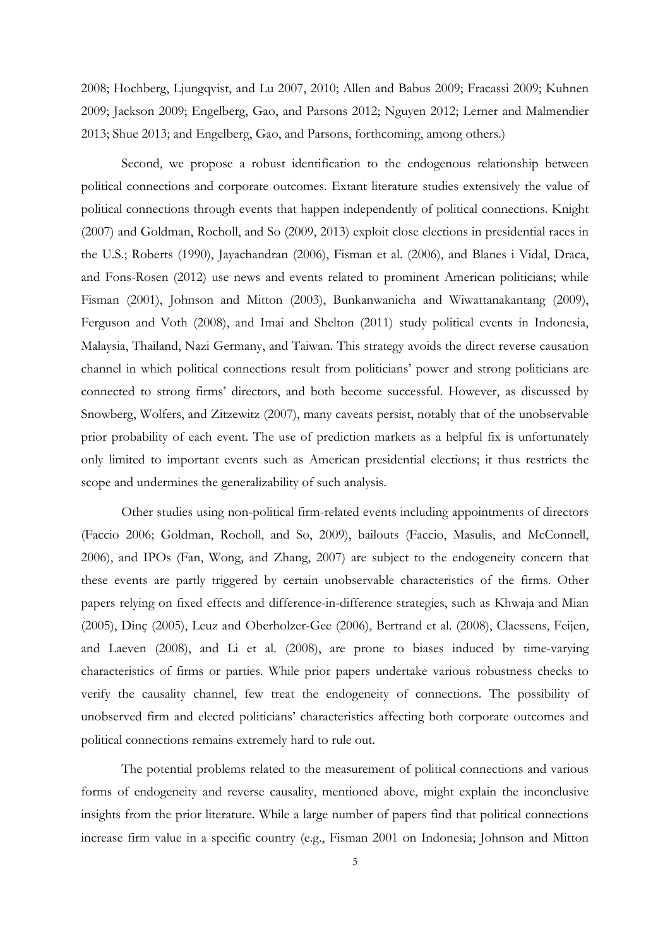2008; Hochberg, Ljungqvist, and Lu 2007, 2010; Allen and Babus 2009; Fracassi 2009; Kuhnen 2009; Jackson 2009; Engelberg, Gao, and Parsons 2012; Nguyen 2012; Lerner and Malmendier 2013; Shue 2013; and Engelberg, Gao, and Parsons, forthcoming, among others.)

Second, we propose a robust identification to the endogenous relationship between political connections and corporate outcomes. Extant literature studies extensively the value of political connections through events that happen independently of political connections. Knight (2007) and Goldman, Rocholl, and So (2009, 2013) exploit close elections in presidential races in the U.S.; Roberts (1990), Jayachandran (2006), Fisman et al. (2006), and Blanes i Vidal, Draca, and Fons-Rosen (2012) use news and events related to prominent American politicians; while Fisman (2001), Johnson and Mitton (2003), Bunkanwanicha and Wiwattanakantang (2009), Ferguson and Voth (2008), and Imai and Shelton (2011) study political events in Indonesia, Malaysia, Thailand, Nazi Germany, and Taiwan. This strategy avoids the direct reverse causation channel in which political connections result from politicians' power and strong politicians are connected to strong firms' directors, and both become successful. However, as discussed by Snowberg, Wolfers, and Zitzewitz (2007), many caveats persist, notably that of the unobservable prior probability of each event. The use of prediction markets as a helpful fix is unfortunately only limited to important events such as American presidential elections; it thus restricts the scope and undermines the generalizability of such analysis.

Other studies using non-political firm-related events including appointments of directors (Faccio 2006; Goldman, Rocholl, and So, 2009), bailouts (Faccio, Masulis, and McConnell, 2006), and IPOs (Fan, Wong, and Zhang, 2007) are subject to the endogeneity concern that these events are partly triggered by certain unobservable characteristics of the firms. Other papers relying on fixed effects and difference-in-difference strategies, such as Khwaja and Mian (2005), Dinç (2005), Leuz and Oberholzer-Gee (2006), Bertrand et al. (2008), Claessens, Feijen, and Laeven (2008), and Li et al. (2008), are prone to biases induced by time-varying characteristics of firms or parties. While prior papers undertake various robustness checks to verify the causality channel, few treat the endogeneity of connections. The possibility of unobserved firm and elected politicians' characteristics affecting both corporate outcomes and political connections remains extremely hard to rule out.

The potential problems related to the measurement of political connections and various forms of endogeneity and reverse causality, mentioned above, might explain the inconclusive insights from the prior literature. While a large number of papers find that political connections increase firm value in a specific country (e.g., Fisman 2001 on Indonesia; Johnson and Mitton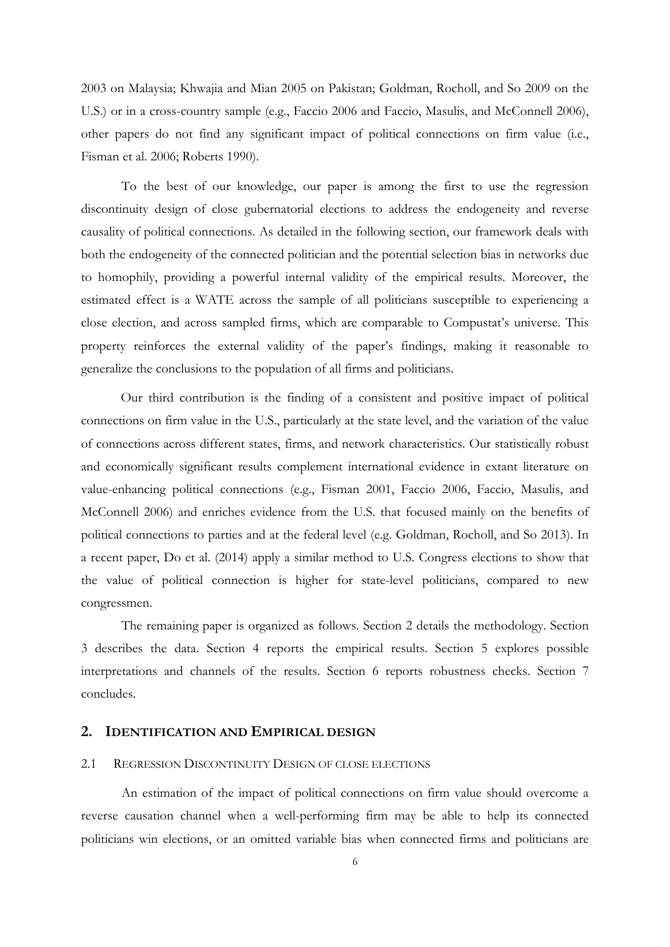2003 on Malaysia; Khwajia and Mian 2005 on Pakistan; Goldman, Rocholl, and So 2009 on the U.S.) or in a cross-country sample (e.g., Faccio 2006 and Faccio, Masulis, and McConnell 2006), other papers do not find any significant impact of political connections on firm value (i.e., Fisman et al. 2006; Roberts 1990).

To the best of our knowledge, our paper is among the first to use the regression discontinuity design of close gubernatorial elections to address the endogeneity and reverse causality of political connections. As detailed in the following section, our framework deals with both the endogeneity of the connected politician and the potential selection bias in networks due to homophily, providing a powerful internal validity of the empirical results. Moreover, the estimated effect is a WATE across the sample of all politicians susceptible to experiencing a close election, and across sampled firms, which are comparable to Compustat's universe. This property reinforces the external validity of the paper's findings, making it reasonable to generalize the conclusions to the population of all firms and politicians.

Our third contribution is the finding of a consistent and positive impact of political connections on firm value in the U.S., particularly at the state level, and the variation of the value of connections across different states, firms, and network characteristics. Our statistically robust and economically significant results complement international evidence in extant literature on value-enhancing political connections (e.g., Fisman 2001, Faccio 2006, Faccio, Masulis, and McConnell 2006) and enriches evidence from the U.S. that focused mainly on the benefits of political connections to parties and at the federal level (e.g. Goldman, Rocholl, and So 2013). In a recent paper, Do et al. (2014) apply a similar method to U.S. Congress elections to show that the value of political connection is higher for state-level politicians, compared to new congressmen.

The remaining paper is organized as follows. Section 2 details the methodology. Section 3 describes the data. Section 4 reports the empirical results. Section 5 explores possible interpretations and channels of the results. Section 6 reports robustness checks. Section 7 concludes.

#### **2. IDENTIFICATION AND EMPIRICAL DESIGN**

#### 2.1 REGRESSION DISCONTINUITY DESIGN OF CLOSE ELECTIONS

An estimation of the impact of political connections on firm value should overcome a reverse causation channel when a well-performing firm may be able to help its connected politicians win elections, or an omitted variable bias when connected firms and politicians are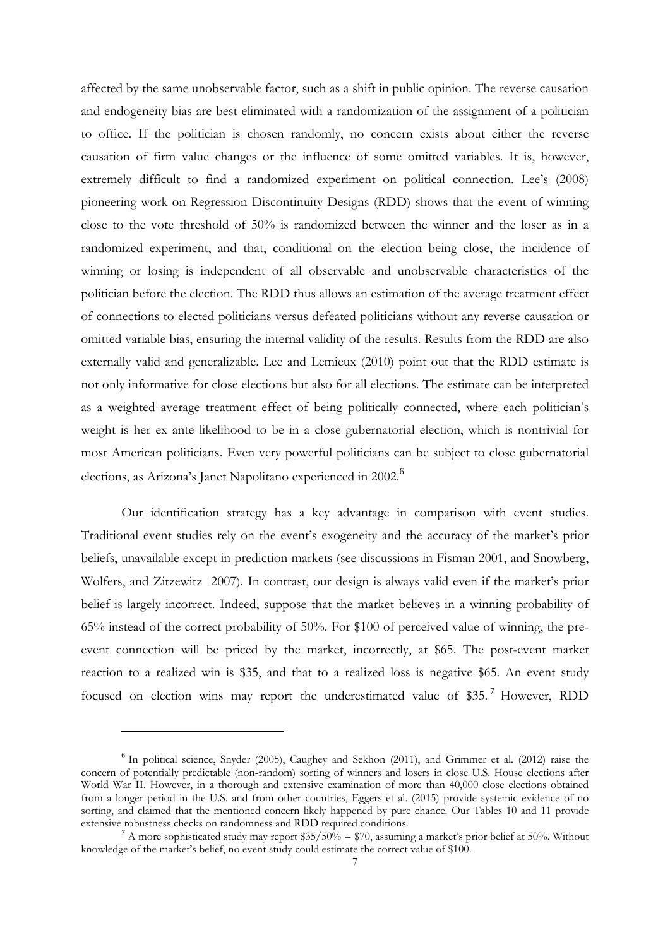affected by the same unobservable factor, such as a shift in public opinion. The reverse causation and endogeneity bias are best eliminated with a randomization of the assignment of a politician to office. If the politician is chosen randomly, no concern exists about either the reverse causation of firm value changes or the influence of some omitted variables. It is, however, extremely difficult to find a randomized experiment on political connection. Lee's (2008) pioneering work on Regression Discontinuity Designs (RDD) shows that the event of winning close to the vote threshold of 50% is randomized between the winner and the loser as in a randomized experiment, and that, conditional on the election being close, the incidence of winning or losing is independent of all observable and unobservable characteristics of the politician before the election. The RDD thus allows an estimation of the average treatment effect of connections to elected politicians versus defeated politicians without any reverse causation or omitted variable bias, ensuring the internal validity of the results. Results from the RDD are also externally valid and generalizable. Lee and Lemieux (2010) point out that the RDD estimate is not only informative for close elections but also for all elections. The estimate can be interpreted as a weighted average treatment effect of being politically connected, where each politician's weight is her ex ante likelihood to be in a close gubernatorial election, which is nontrivial for most American politicians. Even very powerful politicians can be subject to close gubernatorial elections, as Arizona's Janet Napolitano experienced in 2002.<sup>6</sup>

Our identification strategy has a key advantage in comparison with event studies. Traditional event studies rely on the event's exogeneity and the accuracy of the market's prior beliefs, unavailable except in prediction markets (see discussions in Fisman 2001, and Snowberg, Wolfers, and Zitzewitz 2007). In contrast, our design is always valid even if the market's prior belief is largely incorrect. Indeed, suppose that the market believes in a winning probability of 65% instead of the correct probability of 50%. For \$100 of perceived value of winning, the preevent connection will be priced by the market, incorrectly, at \$65. The post-event market reaction to a realized win is \$35, and that to a realized loss is negative \$65. An event study focused on election wins may report the underestimated value of  $$35.7$  However, RDD

-

<sup>&</sup>lt;sup>6</sup> In political science, Snyder (2005), Caughey and Sekhon (2011), and Grimmer et al. (2012) raise the concern of potentially predictable (non-random) sorting of winners and losers in close U.S. House elections after World War II. However, in a thorough and extensive examination of more than 40,000 close elections obtained from a longer period in the U.S. and from other countries, Eggers et al. (2015) provide systemic evidence of no sorting, and claimed that the mentioned concern likely happened by pure chance. Our Tables 10 and 11 provide extensive robustness checks on randomness and RDD required conditions.

<sup>&</sup>lt;sup>7</sup> A more sophisticated study may report \$35/50% = \$70, assuming a market's prior belief at 50%. Without knowledge of the market's belief, no event study could estimate the correct value of \$100.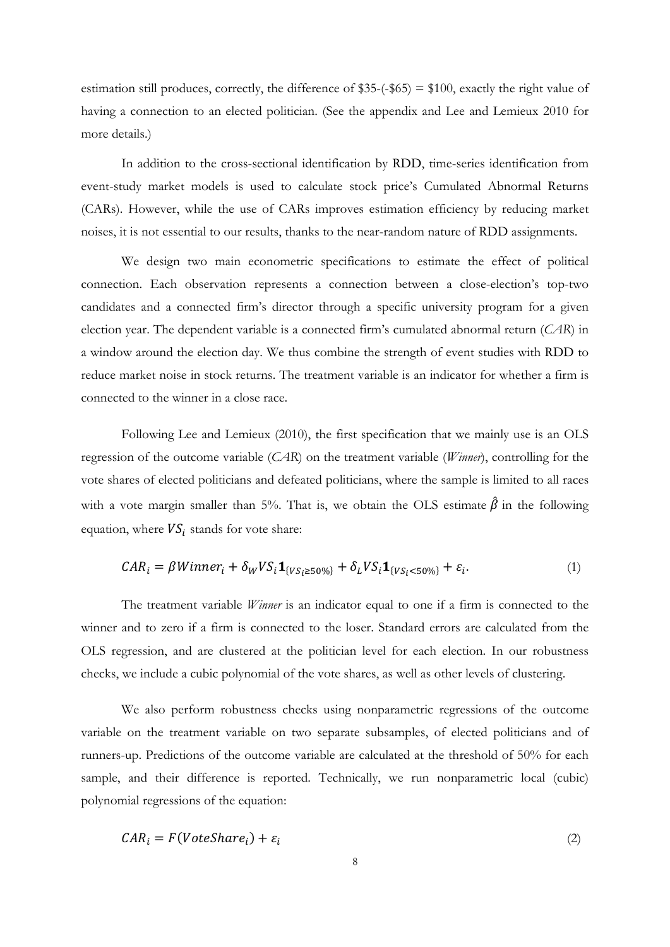estimation still produces, correctly, the difference of \$35-(-\$65) = \$100, exactly the right value of having a connection to an elected politician. (See the appendix and Lee and Lemieux 2010 for more details.)

In addition to the cross-sectional identification by RDD, time-series identification from event-study market models is used to calculate stock price's Cumulated Abnormal Returns (CARs). However, while the use of CARs improves estimation efficiency by reducing market noises, it is not essential to our results, thanks to the near-random nature of RDD assignments.

We design two main econometric specifications to estimate the effect of political connection. Each observation represents a connection between a close-election's top-two candidates and a connected firm's director through a specific university program for a given election year. The dependent variable is a connected firm's cumulated abnormal return (*CAR*) in a window around the election day. We thus combine the strength of event studies with RDD to reduce market noise in stock returns. The treatment variable is an indicator for whether a firm is connected to the winner in a close race.

Following Lee and Lemieux (2010), the first specification that we mainly use is an OLS regression of the outcome variable (*CAR*) on the treatment variable (*Winner*), controlling for the vote shares of elected politicians and defeated politicians, where the sample is limited to all races with a vote margin smaller than 5%. That is, we obtain the OLS estimate  $\hat{\beta}$  in the following equation, where  $VS_i$  stands for vote share:

$$
CAR_i = \beta \text{Winner}_i + \delta_W V S_i \mathbf{1}_{\{V S_i \ge 50\% \}} + \delta_L V S_i \mathbf{1}_{\{V S_i < 50\% \}} + \varepsilon_i. \tag{1}
$$

The treatment variable *Winner* is an indicator equal to one if a firm is connected to the winner and to zero if a firm is connected to the loser. Standard errors are calculated from the OLS regression, and are clustered at the politician level for each election. In our robustness checks, we include a cubic polynomial of the vote shares, as well as other levels of clustering.

We also perform robustness checks using nonparametric regressions of the outcome variable on the treatment variable on two separate subsamples, of elected politicians and of runners-up. Predictions of the outcome variable are calculated at the threshold of 50% for each sample, and their difference is reported. Technically, we run nonparametric local (cubic) polynomial regressions of the equation:

$$
CAR_i = F(VoteShare_i) + \varepsilon_i \tag{2}
$$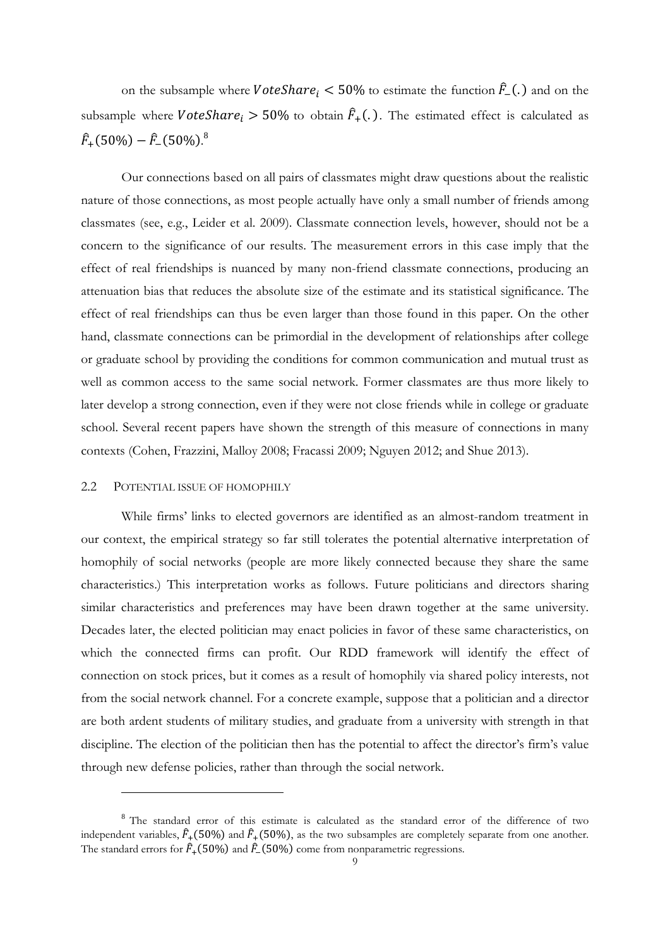on the subsample where  $Voteshare_i < 50\%$  to estimate the function  $\hat{F}_-(.)$  and on the subsample where *VoteShare*<sub>i</sub> > 50% to obtain  $\hat{F}_+(.)$ . The estimated effect is calculated as  $\hat{F}_+(50\%) - \hat{F}_-(50\%)$ .<sup>8</sup>

Our connections based on all pairs of classmates might draw questions about the realistic nature of those connections, as most people actually have only a small number of friends among classmates (see, e.g., Leider et al. 2009). Classmate connection levels, however, should not be a concern to the significance of our results. The measurement errors in this case imply that the effect of real friendships is nuanced by many non-friend classmate connections, producing an attenuation bias that reduces the absolute size of the estimate and its statistical significance. The effect of real friendships can thus be even larger than those found in this paper. On the other hand, classmate connections can be primordial in the development of relationships after college or graduate school by providing the conditions for common communication and mutual trust as well as common access to the same social network. Former classmates are thus more likely to later develop a strong connection, even if they were not close friends while in college or graduate school. Several recent papers have shown the strength of this measure of connections in many contexts (Cohen, Frazzini, Malloy 2008; Fracassi 2009; Nguyen 2012; and Shue 2013).

#### 2.2 POTENTIAL ISSUE OF HOMOPHILY

-

While firms' links to elected governors are identified as an almost-random treatment in our context, the empirical strategy so far still tolerates the potential alternative interpretation of homophily of social networks (people are more likely connected because they share the same characteristics.) This interpretation works as follows. Future politicians and directors sharing similar characteristics and preferences may have been drawn together at the same university. Decades later, the elected politician may enact policies in favor of these same characteristics, on which the connected firms can profit. Our RDD framework will identify the effect of connection on stock prices, but it comes as a result of homophily via shared policy interests, not from the social network channel. For a concrete example, suppose that a politician and a director are both ardent students of military studies, and graduate from a university with strength in that discipline. The election of the politician then has the potential to affect the director's firm's value through new defense policies, rather than through the social network.

<sup>&</sup>lt;sup>8</sup> The standard error of this estimate is calculated as the standard error of the difference of two independent variables,  $\hat{F}_+(50\%)$  and  $\hat{F}_+(50\%)$ , as the two subsamples are completely separate from one another. The standard errors for  $\hat{F}_+(50\%)$  and  $\hat{F}_-(50\%)$  come from nonparametric regressions.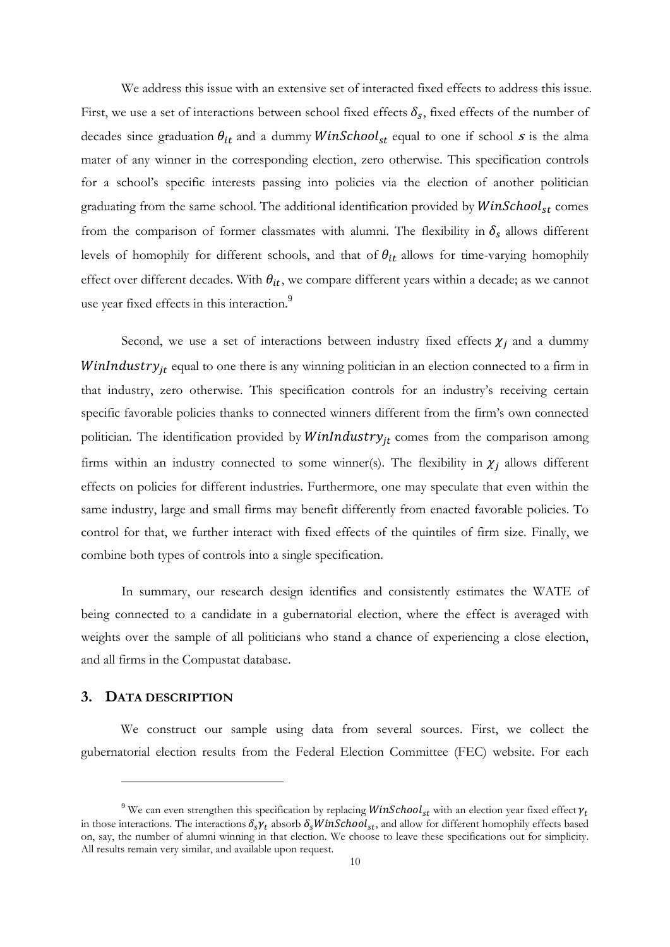We address this issue with an extensive set of interacted fixed effects to address this issue. First, we use a set of interactions between school fixed effects  $\delta_s$ , fixed effects of the number of decades since graduation  $\theta_{it}$  and a dummy WinSchool<sub>st</sub> equal to one if school s is the alma mater of any winner in the corresponding election, zero otherwise. This specification controls for a school's specific interests passing into policies via the election of another politician graduating from the same school. The additional identification provided by  $WinSchool_{st}$  comes from the comparison of former classmates with alumni. The flexibility in  $\delta_s$  allows different levels of homophily for different schools, and that of  $\theta_{it}$  allows for time-varying homophily effect over different decades. With  $\theta_{it}$ , we compare different years within a decade; as we cannot use year fixed effects in this interaction.<sup>9</sup>

Second, we use a set of interactions between industry fixed effects  $\chi_i$  and a dummy **WinIndustry**<sub>it</sub> equal to one there is any winning politician in an election connected to a firm in that industry, zero otherwise. This specification controls for an industry's receiving certain specific favorable policies thanks to connected winners different from the firm's own connected politician. The identification provided by *WinIndustry<sub>it</sub>* comes from the comparison among firms within an industry connected to some winner(s). The flexibility in  $\chi_i$  allows different effects on policies for different industries. Furthermore, one may speculate that even within the same industry, large and small firms may benefit differently from enacted favorable policies. To control for that, we further interact with fixed effects of the quintiles of firm size. Finally, we combine both types of controls into a single specification.

In summary, our research design identifies and consistently estimates the WATE of being connected to a candidate in a gubernatorial election, where the effect is averaged with weights over the sample of all politicians who stand a chance of experiencing a close election, and all firms in the Compustat database.

## **3. DATA DESCRIPTION**

-

We construct our sample using data from several sources. First, we collect the gubernatorial election results from the Federal Election Committee (FEC) website. For each

<sup>&</sup>lt;sup>9</sup> We can even strengthen this specification by replacing WinSchool<sub>st</sub> with an election year fixed effect  $\gamma_t$ in those interactions. The interactions  $\delta_s \gamma_t$  absorb  $\delta_s WinSchool_{st}$ , and allow for different homophily effects based on, say, the number of alumni winning in that election. We choose to leave these specifications out for simplicity. All results remain very similar, and available upon request.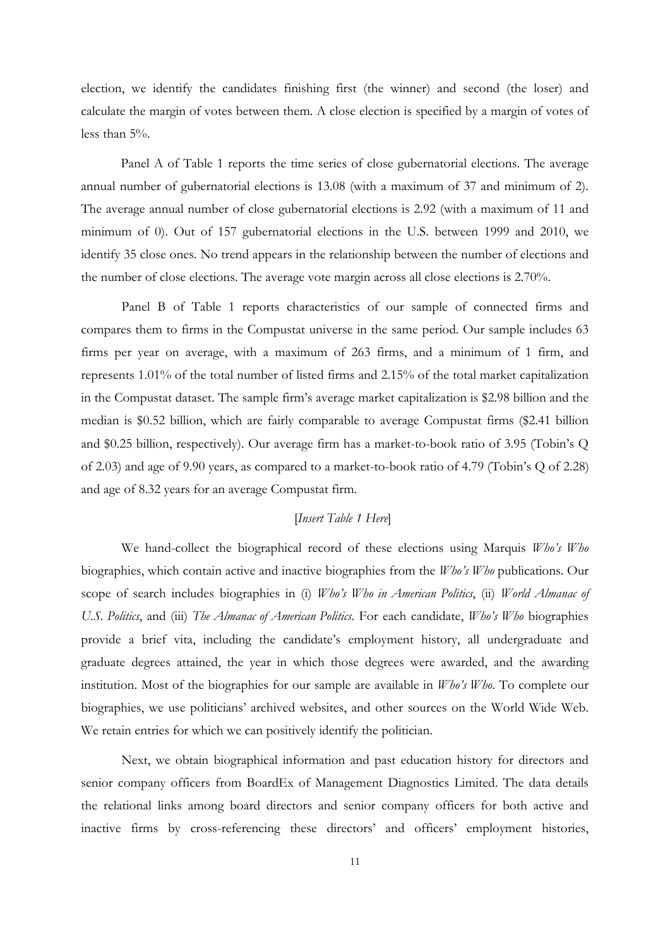election, we identify the candidates finishing first (the winner) and second (the loser) and calculate the margin of votes between them. A close election is specified by a margin of votes of less than 5%.

Panel A of Table 1 reports the time series of close gubernatorial elections. The average annual number of gubernatorial elections is 13.08 (with a maximum of 37 and minimum of 2). The average annual number of close gubernatorial elections is 2.92 (with a maximum of 11 and minimum of 0). Out of 157 gubernatorial elections in the U.S. between 1999 and 2010, we identify 35 close ones. No trend appears in the relationship between the number of elections and the number of close elections. The average vote margin across all close elections is 2.70%.

Panel B of Table 1 reports characteristics of our sample of connected firms and compares them to firms in the Compustat universe in the same period. Our sample includes 63 firms per year on average, with a maximum of 263 firms, and a minimum of 1 firm, and represents 1.01% of the total number of listed firms and 2.15% of the total market capitalization in the Compustat dataset. The sample firm's average market capitalization is \$2.98 billion and the median is \$0.52 billion, which are fairly comparable to average Compustat firms (\$2.41 billion and \$0.25 billion, respectively). Our average firm has a market-to-book ratio of 3.95 (Tobin's Q of 2.03) and age of 9.90 years, as compared to a market-to-book ratio of 4.79 (Tobin's Q of 2.28) and age of 8.32 years for an average Compustat firm.

#### [*Insert Table 1 Here*]

We hand-collect the biographical record of these elections using Marquis *Who's Who* biographies, which contain active and inactive biographies from the *Who's Who* publications. Our scope of search includes biographies in (i) *Who's Who in American Politics*, (ii) *World Almanac of U.S. Politics*, and (iii) *The Almanac of American Politics*. For each candidate, *Who's Who* biographies provide a brief vita, including the candidate's employment history, all undergraduate and graduate degrees attained, the year in which those degrees were awarded, and the awarding institution. Most of the biographies for our sample are available in *Who's Who*. To complete our biographies, we use politicians' archived websites, and other sources on the World Wide Web. We retain entries for which we can positively identify the politician.

Next, we obtain biographical information and past education history for directors and senior company officers from BoardEx of Management Diagnostics Limited. The data details the relational links among board directors and senior company officers for both active and inactive firms by cross-referencing these directors' and officers' employment histories,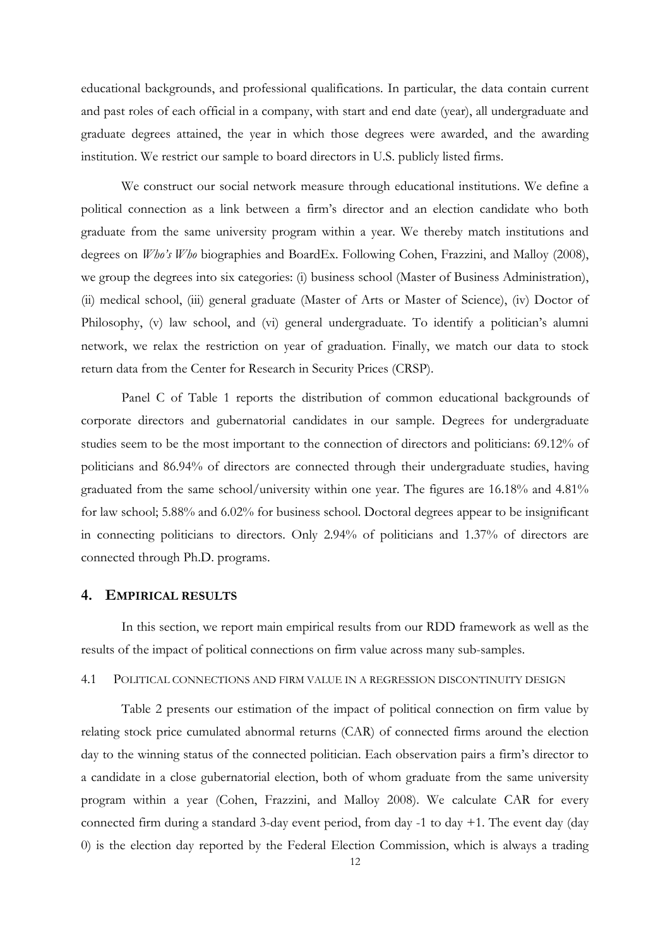educational backgrounds, and professional qualifications. In particular, the data contain current and past roles of each official in a company, with start and end date (year), all undergraduate and graduate degrees attained, the year in which those degrees were awarded, and the awarding institution. We restrict our sample to board directors in U.S. publicly listed firms.

We construct our social network measure through educational institutions. We define a political connection as a link between a firm's director and an election candidate who both graduate from the same university program within a year. We thereby match institutions and degrees on *Who's Who* biographies and BoardEx. Following Cohen, Frazzini, and Malloy (2008), we group the degrees into six categories: (i) business school (Master of Business Administration), (ii) medical school, (iii) general graduate (Master of Arts or Master of Science), (iv) Doctor of Philosophy, (v) law school, and (vi) general undergraduate. To identify a politician's alumni network, we relax the restriction on year of graduation. Finally, we match our data to stock return data from the Center for Research in Security Prices (CRSP).

Panel C of Table 1 reports the distribution of common educational backgrounds of corporate directors and gubernatorial candidates in our sample. Degrees for undergraduate studies seem to be the most important to the connection of directors and politicians: 69.12% of politicians and 86.94% of directors are connected through their undergraduate studies, having graduated from the same school/university within one year. The figures are 16.18% and 4.81% for law school; 5.88% and 6.02% for business school. Doctoral degrees appear to be insignificant in connecting politicians to directors. Only 2.94% of politicians and 1.37% of directors are connected through Ph.D. programs.

#### **4. EMPIRICAL RESULTS**

In this section, we report main empirical results from our RDD framework as well as the results of the impact of political connections on firm value across many sub-samples.

#### 4.1 POLITICAL CONNECTIONS AND FIRM VALUE IN A REGRESSION DISCONTINUITY DESIGN

Table 2 presents our estimation of the impact of political connection on firm value by relating stock price cumulated abnormal returns (CAR) of connected firms around the election day to the winning status of the connected politician. Each observation pairs a firm's director to a candidate in a close gubernatorial election, both of whom graduate from the same university program within a year (Cohen, Frazzini, and Malloy 2008). We calculate CAR for every connected firm during a standard 3-day event period, from day  $-1$  to day  $+1$ . The event day (day 0) is the election day reported by the Federal Election Commission, which is always a trading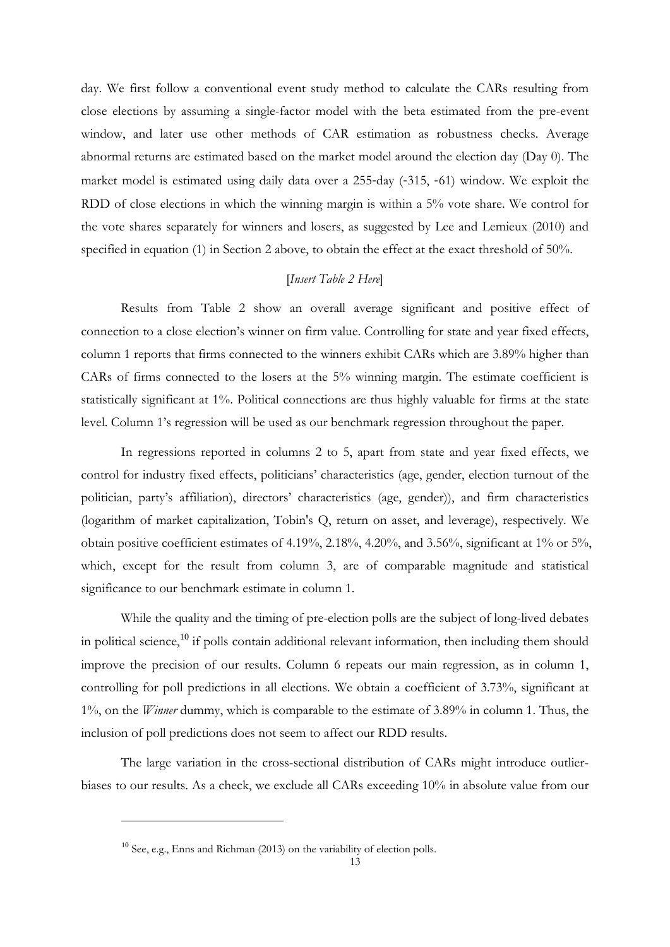day. We first follow a conventional event study method to calculate the CARs resulting from close elections by assuming a single-factor model with the beta estimated from the pre-event window, and later use other methods of CAR estimation as robustness checks. Average abnormal returns are estimated based on the market model around the election day (Day 0). The market model is estimated using daily data over a 255‐day (‐315, ‐61) window. We exploit the RDD of close elections in which the winning margin is within a 5% vote share. We control for the vote shares separately for winners and losers, as suggested by Lee and Lemieux (2010) and specified in equation (1) in Section 2 above, to obtain the effect at the exact threshold of 50%.

# [*Insert Table 2 Here*]

Results from Table 2 show an overall average significant and positive effect of connection to a close election's winner on firm value. Controlling for state and year fixed effects, column 1 reports that firms connected to the winners exhibit CARs which are 3.89% higher than CARs of firms connected to the losers at the 5% winning margin. The estimate coefficient is statistically significant at 1%. Political connections are thus highly valuable for firms at the state level. Column 1's regression will be used as our benchmark regression throughout the paper.

In regressions reported in columns 2 to 5, apart from state and year fixed effects, we control for industry fixed effects, politicians' characteristics (age, gender, election turnout of the politician, party's affiliation), directors' characteristics (age, gender)), and firm characteristics (logarithm of market capitalization, Tobin's Q, return on asset, and leverage), respectively. We obtain positive coefficient estimates of 4.19%, 2.18%, 4.20%, and 3.56%, significant at 1% or 5%, which, except for the result from column 3, are of comparable magnitude and statistical significance to our benchmark estimate in column 1.

While the quality and the timing of pre-election polls are the subject of long-lived debates in political science, $^{10}$  if polls contain additional relevant information, then including them should improve the precision of our results. Column 6 repeats our main regression, as in column 1, controlling for poll predictions in all elections. We obtain a coefficient of 3.73%, significant at 1%, on the *Winner* dummy, which is comparable to the estimate of 3.89% in column 1. Thus, the inclusion of poll predictions does not seem to affect our RDD results.

The large variation in the cross-sectional distribution of CARs might introduce outlierbiases to our results. As a check, we exclude all CARs exceeding 10% in absolute value from our

-

 $10$  See, e.g., Enns and Richman (2013) on the variability of election polls.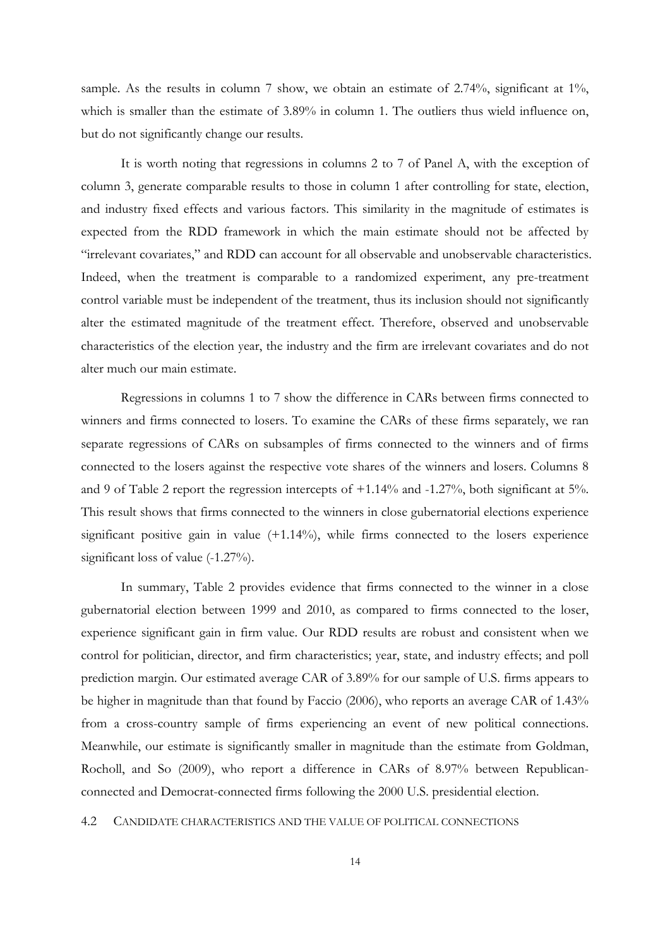sample. As the results in column 7 show, we obtain an estimate of  $2.74\%$ , significant at  $1\%$ , which is smaller than the estimate of 3.89% in column 1. The outliers thus wield influence on, but do not significantly change our results.

It is worth noting that regressions in columns 2 to 7 of Panel A, with the exception of column 3, generate comparable results to those in column 1 after controlling for state, election, and industry fixed effects and various factors. This similarity in the magnitude of estimates is expected from the RDD framework in which the main estimate should not be affected by "irrelevant covariates," and RDD can account for all observable and unobservable characteristics. Indeed, when the treatment is comparable to a randomized experiment, any pre-treatment control variable must be independent of the treatment, thus its inclusion should not significantly alter the estimated magnitude of the treatment effect. Therefore, observed and unobservable characteristics of the election year, the industry and the firm are irrelevant covariates and do not alter much our main estimate.

Regressions in columns 1 to 7 show the difference in CARs between firms connected to winners and firms connected to losers. To examine the CARs of these firms separately, we ran separate regressions of CARs on subsamples of firms connected to the winners and of firms connected to the losers against the respective vote shares of the winners and losers. Columns 8 and 9 of Table 2 report the regression intercepts of +1.14% and -1.27%, both significant at 5%. This result shows that firms connected to the winners in close gubernatorial elections experience significant positive gain in value  $(+1.14\%)$ , while firms connected to the losers experience significant loss of value (-1.27%).

In summary, Table 2 provides evidence that firms connected to the winner in a close gubernatorial election between 1999 and 2010, as compared to firms connected to the loser, experience significant gain in firm value. Our RDD results are robust and consistent when we control for politician, director, and firm characteristics; year, state, and industry effects; and poll prediction margin. Our estimated average CAR of 3.89% for our sample of U.S. firms appears to be higher in magnitude than that found by Faccio (2006), who reports an average CAR of 1.43% from a cross-country sample of firms experiencing an event of new political connections. Meanwhile, our estimate is significantly smaller in magnitude than the estimate from Goldman, Rocholl, and So (2009), who report a difference in CARs of 8.97% between Republicanconnected and Democrat-connected firms following the 2000 U.S. presidential election.

4.2 CANDIDATE CHARACTERISTICS AND THE VALUE OF POLITICAL CONNECTIONS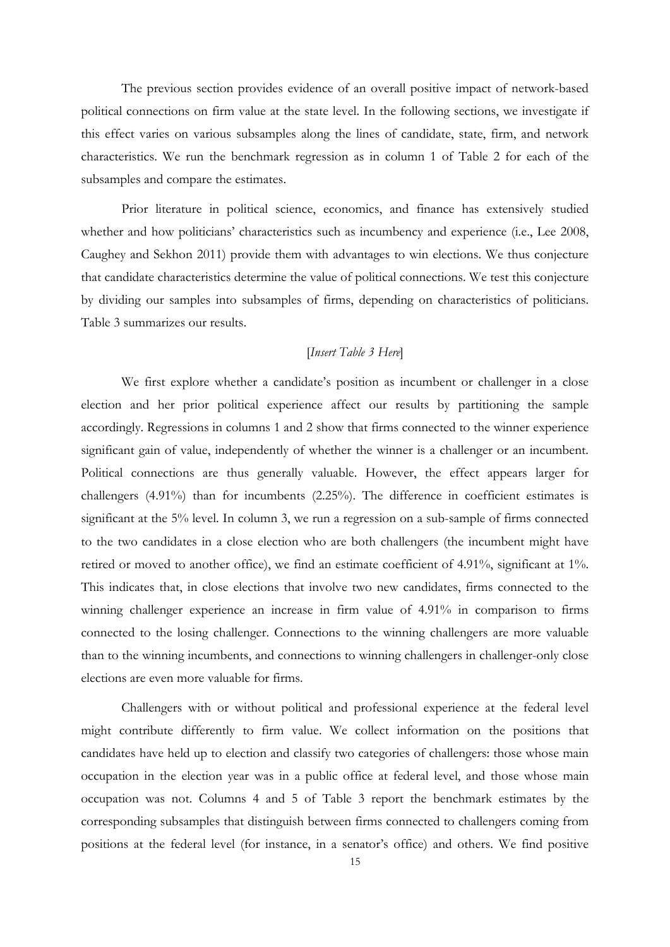The previous section provides evidence of an overall positive impact of network-based political connections on firm value at the state level. In the following sections, we investigate if this effect varies on various subsamples along the lines of candidate, state, firm, and network characteristics. We run the benchmark regression as in column 1 of Table 2 for each of the subsamples and compare the estimates.

Prior literature in political science, economics, and finance has extensively studied whether and how politicians' characteristics such as incumbency and experience (i.e., Lee 2008, Caughey and Sekhon 2011) provide them with advantages to win elections. We thus conjecture that candidate characteristics determine the value of political connections. We test this conjecture by dividing our samples into subsamples of firms, depending on characteristics of politicians. Table 3 summarizes our results.

## [*Insert Table 3 Here*]

We first explore whether a candidate's position as incumbent or challenger in a close election and her prior political experience affect our results by partitioning the sample accordingly. Regressions in columns 1 and 2 show that firms connected to the winner experience significant gain of value, independently of whether the winner is a challenger or an incumbent. Political connections are thus generally valuable. However, the effect appears larger for challengers (4.91%) than for incumbents (2.25%). The difference in coefficient estimates is significant at the 5% level. In column 3, we run a regression on a sub-sample of firms connected to the two candidates in a close election who are both challengers (the incumbent might have retired or moved to another office), we find an estimate coefficient of 4.91%, significant at 1%. This indicates that, in close elections that involve two new candidates, firms connected to the winning challenger experience an increase in firm value of 4.91% in comparison to firms connected to the losing challenger. Connections to the winning challengers are more valuable than to the winning incumbents, and connections to winning challengers in challenger-only close elections are even more valuable for firms.

Challengers with or without political and professional experience at the federal level might contribute differently to firm value. We collect information on the positions that candidates have held up to election and classify two categories of challengers: those whose main occupation in the election year was in a public office at federal level, and those whose main occupation was not. Columns 4 and 5 of Table 3 report the benchmark estimates by the corresponding subsamples that distinguish between firms connected to challengers coming from positions at the federal level (for instance, in a senator's office) and others. We find positive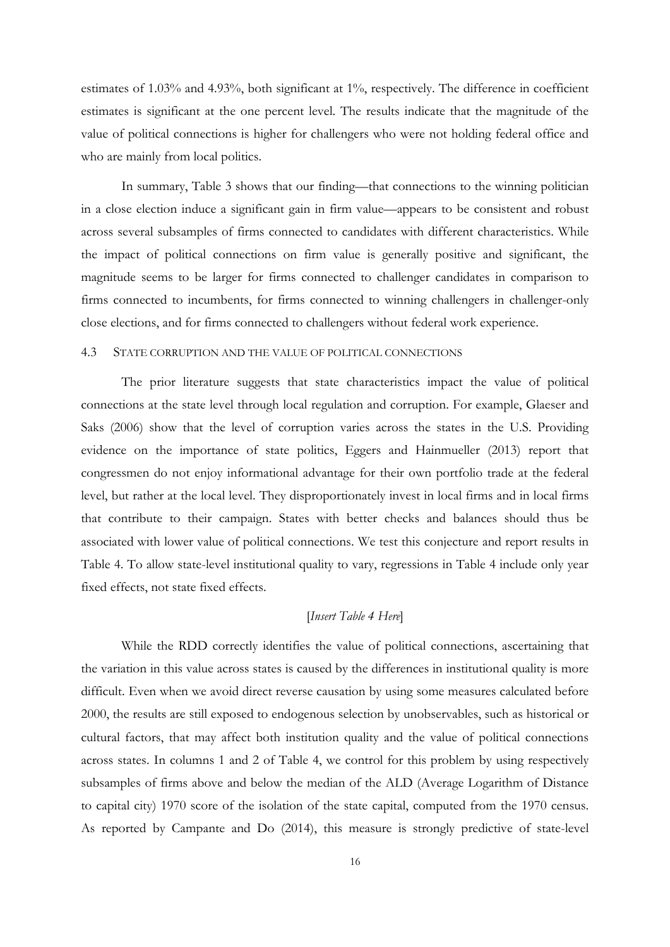estimates of 1.03% and 4.93%, both significant at 1%, respectively. The difference in coefficient estimates is significant at the one percent level. The results indicate that the magnitude of the value of political connections is higher for challengers who were not holding federal office and who are mainly from local politics.

In summary, Table 3 shows that our finding—that connections to the winning politician in a close election induce a significant gain in firm value—appears to be consistent and robust across several subsamples of firms connected to candidates with different characteristics. While the impact of political connections on firm value is generally positive and significant, the magnitude seems to be larger for firms connected to challenger candidates in comparison to firms connected to incumbents, for firms connected to winning challengers in challenger-only close elections, and for firms connected to challengers without federal work experience.

#### 4.3 STATE CORRUPTION AND THE VALUE OF POLITICAL CONNECTIONS

The prior literature suggests that state characteristics impact the value of political connections at the state level through local regulation and corruption. For example, Glaeser and Saks (2006) show that the level of corruption varies across the states in the U.S. Providing evidence on the importance of state politics, Eggers and Hainmueller (2013) report that congressmen do not enjoy informational advantage for their own portfolio trade at the federal level, but rather at the local level. They disproportionately invest in local firms and in local firms that contribute to their campaign. States with better checks and balances should thus be associated with lower value of political connections. We test this conjecture and report results in Table 4. To allow state-level institutional quality to vary, regressions in Table 4 include only year fixed effects, not state fixed effects.

## [*Insert Table 4 Here*]

While the RDD correctly identifies the value of political connections, ascertaining that the variation in this value across states is caused by the differences in institutional quality is more difficult. Even when we avoid direct reverse causation by using some measures calculated before 2000, the results are still exposed to endogenous selection by unobservables, such as historical or cultural factors, that may affect both institution quality and the value of political connections across states. In columns 1 and 2 of Table 4, we control for this problem by using respectively subsamples of firms above and below the median of the ALD (Average Logarithm of Distance to capital city) 1970 score of the isolation of the state capital, computed from the 1970 census. As reported by Campante and Do (2014), this measure is strongly predictive of state-level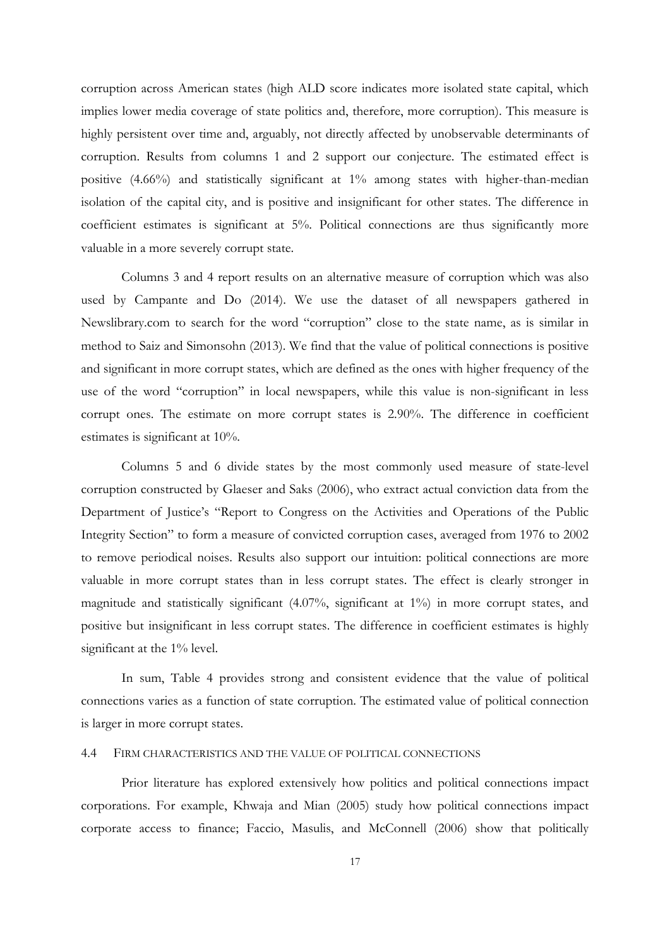corruption across American states (high ALD score indicates more isolated state capital, which implies lower media coverage of state politics and, therefore, more corruption). This measure is highly persistent over time and, arguably, not directly affected by unobservable determinants of corruption. Results from columns 1 and 2 support our conjecture. The estimated effect is positive (4.66%) and statistically significant at 1% among states with higher-than-median isolation of the capital city, and is positive and insignificant for other states. The difference in coefficient estimates is significant at 5%. Political connections are thus significantly more valuable in a more severely corrupt state.

Columns 3 and 4 report results on an alternative measure of corruption which was also used by Campante and Do (2014). We use the dataset of all newspapers gathered in Newslibrary.com to search for the word "corruption" close to the state name, as is similar in method to Saiz and Simonsohn (2013). We find that the value of political connections is positive and significant in more corrupt states, which are defined as the ones with higher frequency of the use of the word "corruption" in local newspapers, while this value is non-significant in less corrupt ones. The estimate on more corrupt states is 2.90%. The difference in coefficient estimates is significant at 10%.

Columns 5 and 6 divide states by the most commonly used measure of state-level corruption constructed by Glaeser and Saks (2006), who extract actual conviction data from the Department of Justice's "Report to Congress on the Activities and Operations of the Public Integrity Section" to form a measure of convicted corruption cases, averaged from 1976 to 2002 to remove periodical noises. Results also support our intuition: political connections are more valuable in more corrupt states than in less corrupt states. The effect is clearly stronger in magnitude and statistically significant (4.07%, significant at 1%) in more corrupt states, and positive but insignificant in less corrupt states. The difference in coefficient estimates is highly significant at the 1% level.

In sum, Table 4 provides strong and consistent evidence that the value of political connections varies as a function of state corruption. The estimated value of political connection is larger in more corrupt states.

#### 4.4 FIRM CHARACTERISTICS AND THE VALUE OF POLITICAL CONNECTIONS

Prior literature has explored extensively how politics and political connections impact corporations. For example, Khwaja and Mian (2005) study how political connections impact corporate access to finance; Faccio, Masulis, and McConnell (2006) show that politically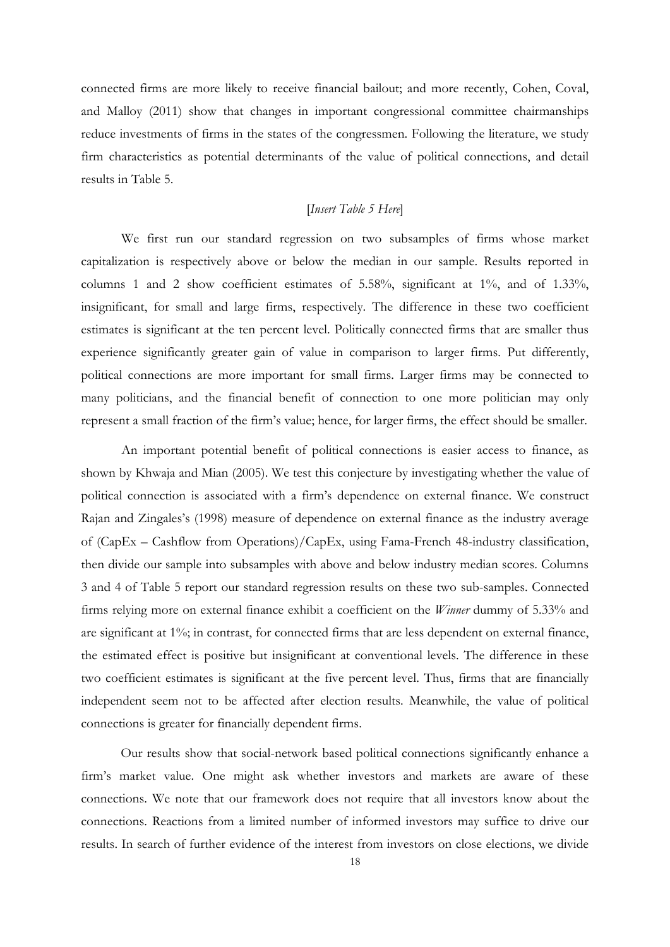connected firms are more likely to receive financial bailout; and more recently, Cohen, Coval, and Malloy (2011) show that changes in important congressional committee chairmanships reduce investments of firms in the states of the congressmen. Following the literature, we study firm characteristics as potential determinants of the value of political connections, and detail results in Table 5.

## [*Insert Table 5 Here*]

We first run our standard regression on two subsamples of firms whose market capitalization is respectively above or below the median in our sample. Results reported in columns 1 and 2 show coefficient estimates of 5.58%, significant at 1%, and of 1.33%, insignificant, for small and large firms, respectively. The difference in these two coefficient estimates is significant at the ten percent level. Politically connected firms that are smaller thus experience significantly greater gain of value in comparison to larger firms. Put differently, political connections are more important for small firms. Larger firms may be connected to many politicians, and the financial benefit of connection to one more politician may only represent a small fraction of the firm's value; hence, for larger firms, the effect should be smaller.

An important potential benefit of political connections is easier access to finance, as shown by Khwaja and Mian (2005). We test this conjecture by investigating whether the value of political connection is associated with a firm's dependence on external finance. We construct Rajan and Zingales's (1998) measure of dependence on external finance as the industry average of (CapEx – Cashflow from Operations)/CapEx, using Fama-French 48-industry classification, then divide our sample into subsamples with above and below industry median scores. Columns 3 and 4 of Table 5 report our standard regression results on these two sub-samples. Connected firms relying more on external finance exhibit a coefficient on the *Winner* dummy of 5.33% and are significant at 1%; in contrast, for connected firms that are less dependent on external finance, the estimated effect is positive but insignificant at conventional levels. The difference in these two coefficient estimates is significant at the five percent level. Thus, firms that are financially independent seem not to be affected after election results. Meanwhile, the value of political connections is greater for financially dependent firms.

Our results show that social-network based political connections significantly enhance a firm's market value. One might ask whether investors and markets are aware of these connections. We note that our framework does not require that all investors know about the connections. Reactions from a limited number of informed investors may suffice to drive our results. In search of further evidence of the interest from investors on close elections, we divide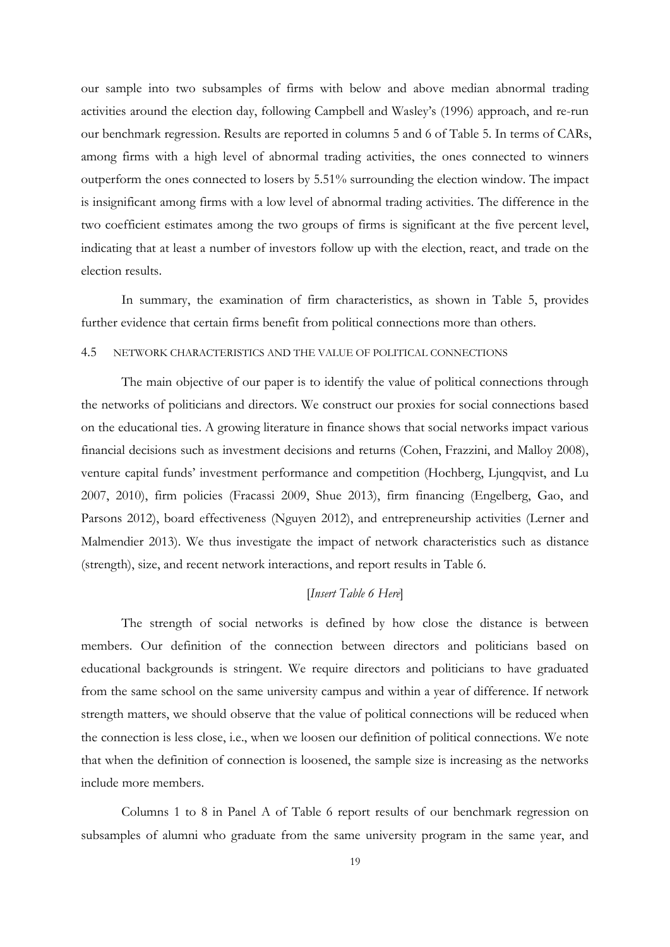our sample into two subsamples of firms with below and above median abnormal trading activities around the election day, following Campbell and Wasley's (1996) approach, and re-run our benchmark regression. Results are reported in columns 5 and 6 of Table 5. In terms of CARs, among firms with a high level of abnormal trading activities, the ones connected to winners outperform the ones connected to losers by 5.51% surrounding the election window. The impact is insignificant among firms with a low level of abnormal trading activities. The difference in the two coefficient estimates among the two groups of firms is significant at the five percent level, indicating that at least a number of investors follow up with the election, react, and trade on the election results.

In summary, the examination of firm characteristics, as shown in Table 5, provides further evidence that certain firms benefit from political connections more than others.

## 4.5 NETWORK CHARACTERISTICS AND THE VALUE OF POLITICAL CONNECTIONS

The main objective of our paper is to identify the value of political connections through the networks of politicians and directors. We construct our proxies for social connections based on the educational ties. A growing literature in finance shows that social networks impact various financial decisions such as investment decisions and returns (Cohen, Frazzini, and Malloy 2008), venture capital funds' investment performance and competition (Hochberg, Ljungqvist, and Lu 2007, 2010), firm policies (Fracassi 2009, Shue 2013), firm financing (Engelberg, Gao, and Parsons 2012), board effectiveness (Nguyen 2012), and entrepreneurship activities (Lerner and Malmendier 2013). We thus investigate the impact of network characteristics such as distance (strength), size, and recent network interactions, and report results in Table 6.

#### [*Insert Table 6 Here*]

The strength of social networks is defined by how close the distance is between members. Our definition of the connection between directors and politicians based on educational backgrounds is stringent. We require directors and politicians to have graduated from the same school on the same university campus and within a year of difference. If network strength matters, we should observe that the value of political connections will be reduced when the connection is less close, i.e., when we loosen our definition of political connections. We note that when the definition of connection is loosened, the sample size is increasing as the networks include more members.

Columns 1 to 8 in Panel A of Table 6 report results of our benchmark regression on subsamples of alumni who graduate from the same university program in the same year, and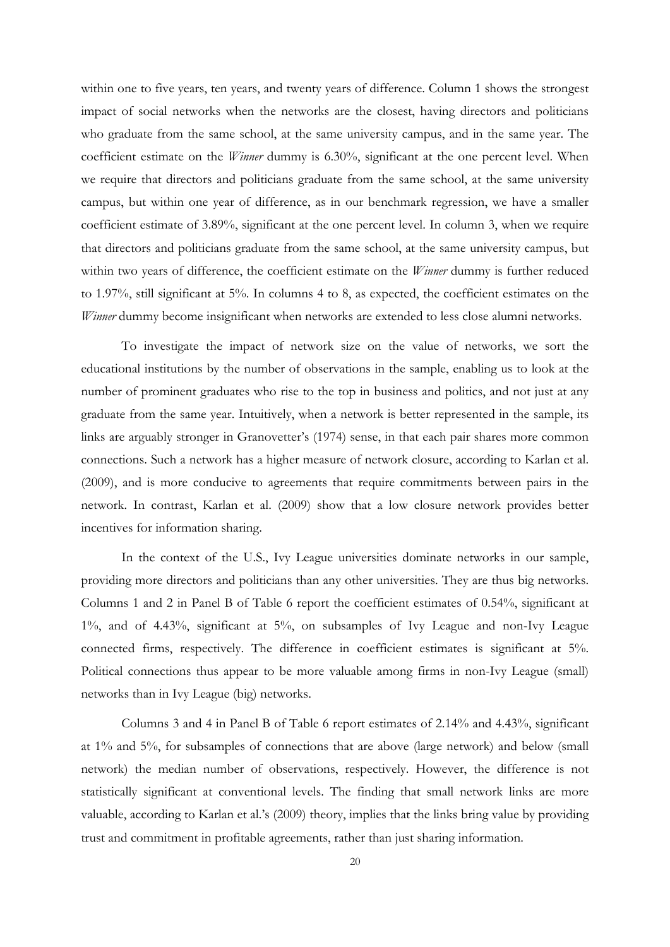within one to five years, ten years, and twenty years of difference. Column 1 shows the strongest impact of social networks when the networks are the closest, having directors and politicians who graduate from the same school, at the same university campus, and in the same year. The coefficient estimate on the *Winner* dummy is 6.30%, significant at the one percent level. When we require that directors and politicians graduate from the same school, at the same university campus, but within one year of difference, as in our benchmark regression, we have a smaller coefficient estimate of 3.89%, significant at the one percent level. In column 3, when we require that directors and politicians graduate from the same school, at the same university campus, but within two years of difference, the coefficient estimate on the *Winner* dummy is further reduced to 1.97%, still significant at 5%. In columns 4 to 8, as expected, the coefficient estimates on the *Winner* dummy become insignificant when networks are extended to less close alumni networks.

To investigate the impact of network size on the value of networks, we sort the educational institutions by the number of observations in the sample, enabling us to look at the number of prominent graduates who rise to the top in business and politics, and not just at any graduate from the same year. Intuitively, when a network is better represented in the sample, its links are arguably stronger in Granovetter's (1974) sense, in that each pair shares more common connections. Such a network has a higher measure of network closure, according to Karlan et al. (2009), and is more conducive to agreements that require commitments between pairs in the network. In contrast, Karlan et al. (2009) show that a low closure network provides better incentives for information sharing.

In the context of the U.S., Ivy League universities dominate networks in our sample, providing more directors and politicians than any other universities. They are thus big networks. Columns 1 and 2 in Panel B of Table 6 report the coefficient estimates of 0.54%, significant at 1%, and of 4.43%, significant at 5%, on subsamples of Ivy League and non-Ivy League connected firms, respectively. The difference in coefficient estimates is significant at 5%. Political connections thus appear to be more valuable among firms in non-Ivy League (small) networks than in Ivy League (big) networks.

Columns 3 and 4 in Panel B of Table 6 report estimates of 2.14% and 4.43%, significant at 1% and 5%, for subsamples of connections that are above (large network) and below (small network) the median number of observations, respectively. However, the difference is not statistically significant at conventional levels. The finding that small network links are more valuable, according to Karlan et al.'s (2009) theory, implies that the links bring value by providing trust and commitment in profitable agreements, rather than just sharing information.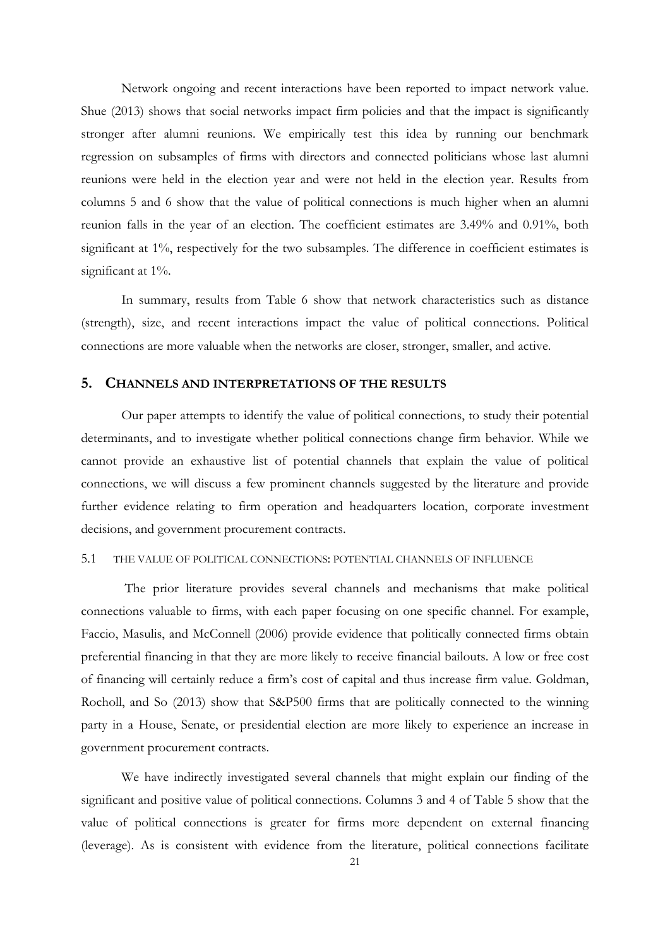Network ongoing and recent interactions have been reported to impact network value. Shue (2013) shows that social networks impact firm policies and that the impact is significantly stronger after alumni reunions. We empirically test this idea by running our benchmark regression on subsamples of firms with directors and connected politicians whose last alumni reunions were held in the election year and were not held in the election year. Results from columns 5 and 6 show that the value of political connections is much higher when an alumni reunion falls in the year of an election. The coefficient estimates are 3.49% and 0.91%, both significant at 1%, respectively for the two subsamples. The difference in coefficient estimates is significant at 1%.

In summary, results from Table 6 show that network characteristics such as distance (strength), size, and recent interactions impact the value of political connections. Political connections are more valuable when the networks are closer, stronger, smaller, and active.

#### **5. CHANNELS AND INTERPRETATIONS OF THE RESULTS**

Our paper attempts to identify the value of political connections, to study their potential determinants, and to investigate whether political connections change firm behavior. While we cannot provide an exhaustive list of potential channels that explain the value of political connections, we will discuss a few prominent channels suggested by the literature and provide further evidence relating to firm operation and headquarters location, corporate investment decisions, and government procurement contracts.

#### 5.1 THE VALUE OF POLITICAL CONNECTIONS: POTENTIAL CHANNELS OF INFLUENCE

 The prior literature provides several channels and mechanisms that make political connections valuable to firms, with each paper focusing on one specific channel. For example, Faccio, Masulis, and McConnell (2006) provide evidence that politically connected firms obtain preferential financing in that they are more likely to receive financial bailouts. A low or free cost of financing will certainly reduce a firm's cost of capital and thus increase firm value. Goldman, Rocholl, and So (2013) show that S&P500 firms that are politically connected to the winning party in a House, Senate, or presidential election are more likely to experience an increase in government procurement contracts.

We have indirectly investigated several channels that might explain our finding of the significant and positive value of political connections. Columns 3 and 4 of Table 5 show that the value of political connections is greater for firms more dependent on external financing (leverage). As is consistent with evidence from the literature, political connections facilitate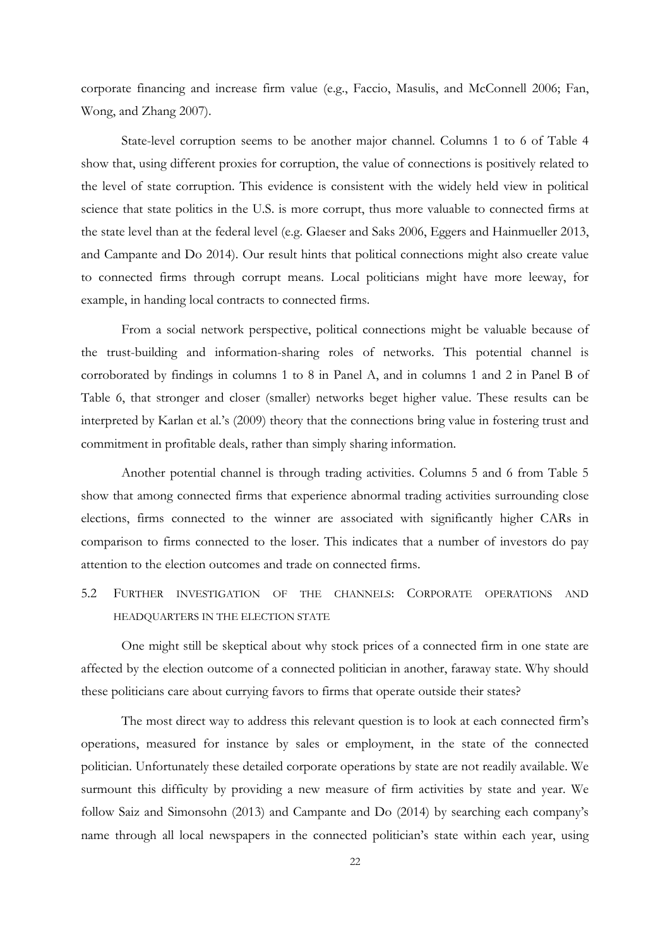corporate financing and increase firm value (e.g., Faccio, Masulis, and McConnell 2006; Fan, Wong, and Zhang 2007).

State-level corruption seems to be another major channel. Columns 1 to 6 of Table 4 show that, using different proxies for corruption, the value of connections is positively related to the level of state corruption. This evidence is consistent with the widely held view in political science that state politics in the U.S. is more corrupt, thus more valuable to connected firms at the state level than at the federal level (e.g. Glaeser and Saks 2006, Eggers and Hainmueller 2013, and Campante and Do 2014). Our result hints that political connections might also create value to connected firms through corrupt means. Local politicians might have more leeway, for example, in handing local contracts to connected firms.

From a social network perspective, political connections might be valuable because of the trust-building and information-sharing roles of networks. This potential channel is corroborated by findings in columns 1 to 8 in Panel A, and in columns 1 and 2 in Panel B of Table 6, that stronger and closer (smaller) networks beget higher value. These results can be interpreted by Karlan et al.'s (2009) theory that the connections bring value in fostering trust and commitment in profitable deals, rather than simply sharing information.

Another potential channel is through trading activities. Columns 5 and 6 from Table 5 show that among connected firms that experience abnormal trading activities surrounding close elections, firms connected to the winner are associated with significantly higher CARs in comparison to firms connected to the loser. This indicates that a number of investors do pay attention to the election outcomes and trade on connected firms.

5.2 FURTHER INVESTIGATION OF THE CHANNELS: CORPORATE OPERATIONS AND HEADQUARTERS IN THE ELECTION STATE

One might still be skeptical about why stock prices of a connected firm in one state are affected by the election outcome of a connected politician in another, faraway state. Why should these politicians care about currying favors to firms that operate outside their states?

The most direct way to address this relevant question is to look at each connected firm's operations, measured for instance by sales or employment, in the state of the connected politician. Unfortunately these detailed corporate operations by state are not readily available. We surmount this difficulty by providing a new measure of firm activities by state and year. We follow Saiz and Simonsohn (2013) and Campante and Do (2014) by searching each company's name through all local newspapers in the connected politician's state within each year, using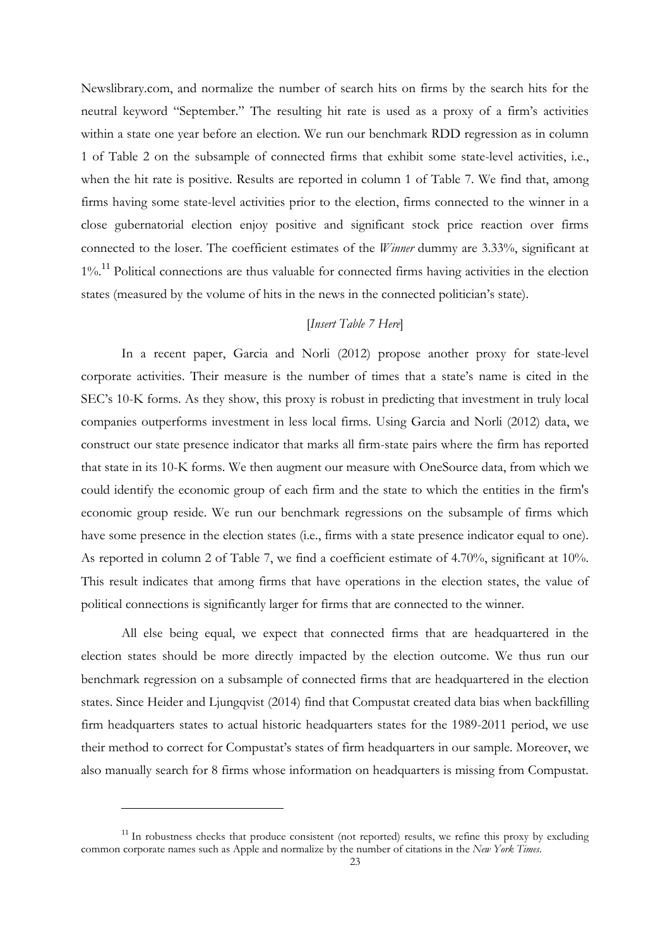Newslibrary.com, and normalize the number of search hits on firms by the search hits for the neutral keyword "September." The resulting hit rate is used as a proxy of a firm's activities within a state one year before an election. We run our benchmark RDD regression as in column 1 of Table 2 on the subsample of connected firms that exhibit some state-level activities, i.e., when the hit rate is positive. Results are reported in column 1 of Table 7. We find that, among firms having some state-level activities prior to the election, firms connected to the winner in a close gubernatorial election enjoy positive and significant stock price reaction over firms connected to the loser. The coefficient estimates of the *Winner* dummy are 3.33%, significant at  $1\%$ .<sup>11</sup> Political connections are thus valuable for connected firms having activities in the election states (measured by the volume of hits in the news in the connected politician's state).

## [*Insert Table 7 Here*]

In a recent paper, Garcia and Norli (2012) propose another proxy for state-level corporate activities. Their measure is the number of times that a state's name is cited in the SEC's 10-K forms. As they show, this proxy is robust in predicting that investment in truly local companies outperforms investment in less local firms. Using Garcia and Norli (2012) data, we construct our state presence indicator that marks all firm-state pairs where the firm has reported that state in its 10-K forms. We then augment our measure with OneSource data, from which we could identify the economic group of each firm and the state to which the entities in the firm's economic group reside. We run our benchmark regressions on the subsample of firms which have some presence in the election states (i.e., firms with a state presence indicator equal to one). As reported in column 2 of Table 7, we find a coefficient estimate of 4.70%, significant at 10%. This result indicates that among firms that have operations in the election states, the value of political connections is significantly larger for firms that are connected to the winner.

All else being equal, we expect that connected firms that are headquartered in the election states should be more directly impacted by the election outcome. We thus run our benchmark regression on a subsample of connected firms that are headquartered in the election states. Since Heider and Ljungqvist (2014) find that Compustat created data bias when backfilling firm headquarters states to actual historic headquarters states for the 1989-2011 period, we use their method to correct for Compustat's states of firm headquarters in our sample. Moreover, we also manually search for 8 firms whose information on headquarters is missing from Compustat.

-

<sup>&</sup>lt;sup>11</sup> In robustness checks that produce consistent (not reported) results, we refine this proxy by excluding common corporate names such as Apple and normalize by the number of citations in the *New York Times*.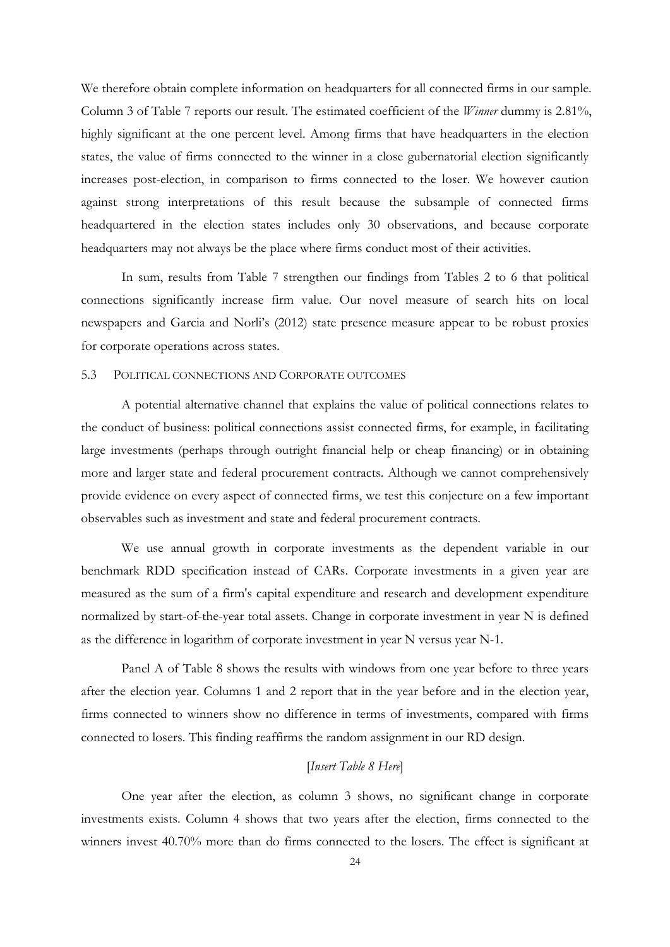We therefore obtain complete information on headquarters for all connected firms in our sample. Column 3 of Table 7 reports our result. The estimated coefficient of the *Winner* dummy is 2.81%, highly significant at the one percent level. Among firms that have headquarters in the election states, the value of firms connected to the winner in a close gubernatorial election significantly increases post-election, in comparison to firms connected to the loser. We however caution against strong interpretations of this result because the subsample of connected firms headquartered in the election states includes only 30 observations, and because corporate headquarters may not always be the place where firms conduct most of their activities.

In sum, results from Table 7 strengthen our findings from Tables 2 to 6 that political connections significantly increase firm value. Our novel measure of search hits on local newspapers and Garcia and Norli's (2012) state presence measure appear to be robust proxies for corporate operations across states.

#### 5.3 POLITICAL CONNECTIONS AND CORPORATE OUTCOMES

A potential alternative channel that explains the value of political connections relates to the conduct of business: political connections assist connected firms, for example, in facilitating large investments (perhaps through outright financial help or cheap financing) or in obtaining more and larger state and federal procurement contracts. Although we cannot comprehensively provide evidence on every aspect of connected firms, we test this conjecture on a few important observables such as investment and state and federal procurement contracts.

We use annual growth in corporate investments as the dependent variable in our benchmark RDD specification instead of CARs. Corporate investments in a given year are measured as the sum of a firm's capital expenditure and research and development expenditure normalized by start-of-the-year total assets. Change in corporate investment in year N is defined as the difference in logarithm of corporate investment in year N versus year N-1.

Panel A of Table 8 shows the results with windows from one year before to three years after the election year. Columns 1 and 2 report that in the year before and in the election year, firms connected to winners show no difference in terms of investments, compared with firms connected to losers. This finding reaffirms the random assignment in our RD design.

#### [*Insert Table 8 Here*]

One year after the election, as column 3 shows, no significant change in corporate investments exists. Column 4 shows that two years after the election, firms connected to the winners invest 40.70% more than do firms connected to the losers. The effect is significant at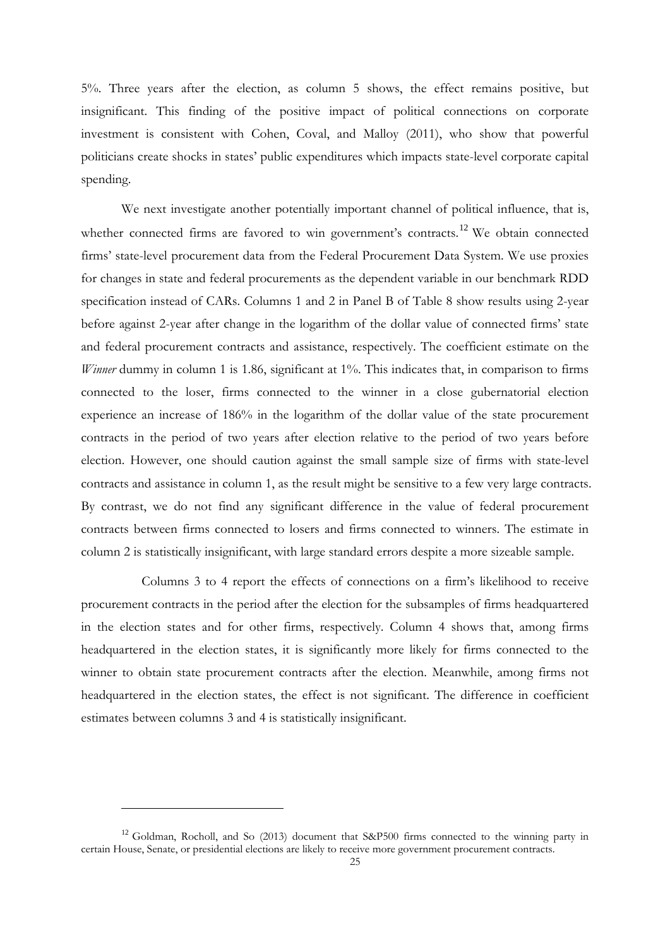5%. Three years after the election, as column 5 shows, the effect remains positive, but insignificant. This finding of the positive impact of political connections on corporate investment is consistent with Cohen, Coval, and Malloy (2011), who show that powerful politicians create shocks in states' public expenditures which impacts state-level corporate capital spending.

We next investigate another potentially important channel of political influence, that is, whether connected firms are favored to win government's contracts.<sup>12</sup> We obtain connected firms' state-level procurement data from the Federal Procurement Data System. We use proxies for changes in state and federal procurements as the dependent variable in our benchmark RDD specification instead of CARs. Columns 1 and 2 in Panel B of Table 8 show results using 2-year before against 2-year after change in the logarithm of the dollar value of connected firms' state and federal procurement contracts and assistance, respectively. The coefficient estimate on the *Winner* dummy in column 1 is 1.86, significant at 1%. This indicates that, in comparison to firms connected to the loser, firms connected to the winner in a close gubernatorial election experience an increase of 186% in the logarithm of the dollar value of the state procurement contracts in the period of two years after election relative to the period of two years before election. However, one should caution against the small sample size of firms with state-level contracts and assistance in column 1, as the result might be sensitive to a few very large contracts. By contrast, we do not find any significant difference in the value of federal procurement contracts between firms connected to losers and firms connected to winners. The estimate in column 2 is statistically insignificant, with large standard errors despite a more sizeable sample.

 Columns 3 to 4 report the effects of connections on a firm's likelihood to receive procurement contracts in the period after the election for the subsamples of firms headquartered in the election states and for other firms, respectively. Column 4 shows that, among firms headquartered in the election states, it is significantly more likely for firms connected to the winner to obtain state procurement contracts after the election. Meanwhile, among firms not headquartered in the election states, the effect is not significant. The difference in coefficient estimates between columns 3 and 4 is statistically insignificant.

-

<sup>&</sup>lt;sup>12</sup> Goldman, Rocholl, and So (2013) document that S&P500 firms connected to the winning party in certain House, Senate, or presidential elections are likely to receive more government procurement contracts.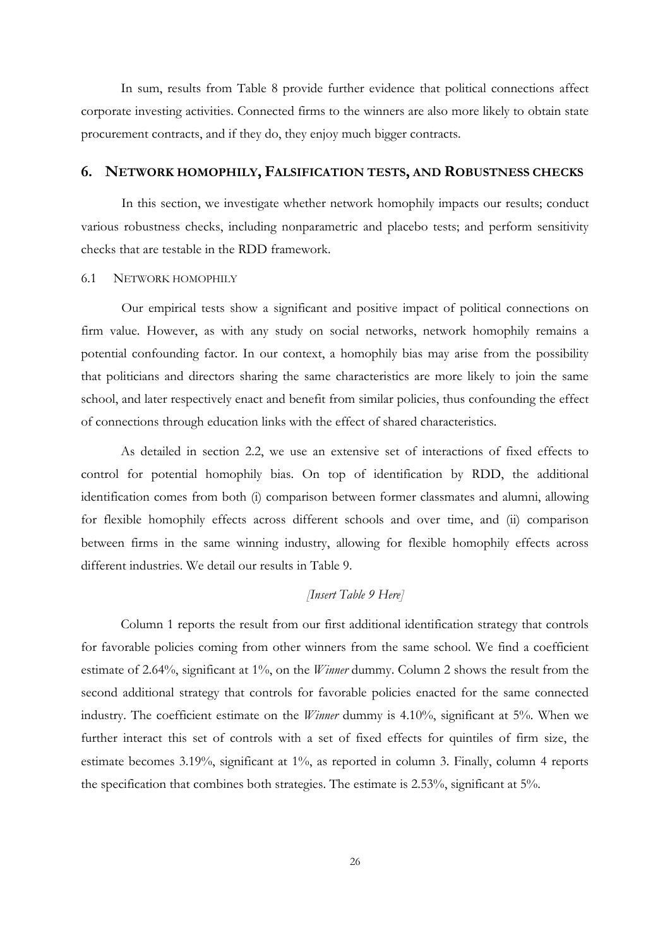In sum, results from Table 8 provide further evidence that political connections affect corporate investing activities. Connected firms to the winners are also more likely to obtain state procurement contracts, and if they do, they enjoy much bigger contracts.

#### **6. NETWORK HOMOPHILY, FALSIFICATION TESTS, AND ROBUSTNESS CHECKS**

In this section, we investigate whether network homophily impacts our results; conduct various robustness checks, including nonparametric and placebo tests; and perform sensitivity checks that are testable in the RDD framework.

#### 6.1 NETWORK HOMOPHILY

Our empirical tests show a significant and positive impact of political connections on firm value. However, as with any study on social networks, network homophily remains a potential confounding factor. In our context, a homophily bias may arise from the possibility that politicians and directors sharing the same characteristics are more likely to join the same school, and later respectively enact and benefit from similar policies, thus confounding the effect of connections through education links with the effect of shared characteristics.

As detailed in section 2.2, we use an extensive set of interactions of fixed effects to control for potential homophily bias. On top of identification by RDD, the additional identification comes from both (i) comparison between former classmates and alumni, allowing for flexible homophily effects across different schools and over time, and (ii) comparison between firms in the same winning industry, allowing for flexible homophily effects across different industries. We detail our results in Table 9.

#### *[Insert Table 9 Here]*

Column 1 reports the result from our first additional identification strategy that controls for favorable policies coming from other winners from the same school. We find a coefficient estimate of 2.64%, significant at 1%, on the *Winner* dummy. Column 2 shows the result from the second additional strategy that controls for favorable policies enacted for the same connected industry. The coefficient estimate on the *Winner* dummy is 4.10%, significant at 5%. When we further interact this set of controls with a set of fixed effects for quintiles of firm size, the estimate becomes 3.19%, significant at 1%, as reported in column 3. Finally, column 4 reports the specification that combines both strategies. The estimate is 2.53%, significant at 5%.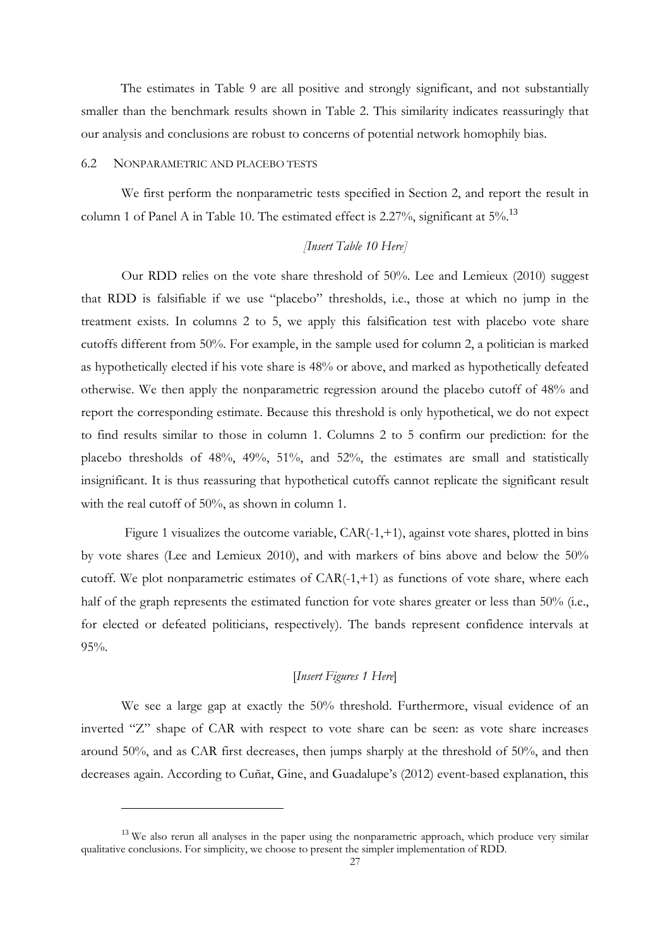The estimates in Table 9 are all positive and strongly significant, and not substantially smaller than the benchmark results shown in Table 2. This similarity indicates reassuringly that our analysis and conclusions are robust to concerns of potential network homophily bias.

#### 6.2 NONPARAMETRIC AND PLACEBO TESTS

-

We first perform the nonparametric tests specified in Section 2, and report the result in column 1 of Panel A in Table 10. The estimated effect is  $2.27\%$ , significant at  $5\%$ .<sup>13</sup>

## *[Insert Table 10 Here]*

Our RDD relies on the vote share threshold of 50%. Lee and Lemieux (2010) suggest that RDD is falsifiable if we use "placebo" thresholds, i.e., those at which no jump in the treatment exists. In columns 2 to 5, we apply this falsification test with placebo vote share cutoffs different from 50%. For example, in the sample used for column 2, a politician is marked as hypothetically elected if his vote share is 48% or above, and marked as hypothetically defeated otherwise. We then apply the nonparametric regression around the placebo cutoff of 48% and report the corresponding estimate. Because this threshold is only hypothetical, we do not expect to find results similar to those in column 1. Columns 2 to 5 confirm our prediction: for the placebo thresholds of 48%, 49%, 51%, and 52%, the estimates are small and statistically insignificant. It is thus reassuring that hypothetical cutoffs cannot replicate the significant result with the real cutoff of 50%, as shown in column 1.

Figure 1 visualizes the outcome variable,  $CAR(-1, +1)$ , against vote shares, plotted in bins by vote shares (Lee and Lemieux 2010), and with markers of bins above and below the 50% cutoff. We plot nonparametric estimates of  $CAR(-1, +1)$  as functions of vote share, where each half of the graph represents the estimated function for vote shares greater or less than 50% (i.e., for elected or defeated politicians, respectively). The bands represent confidence intervals at 95%.

## [*Insert Figures 1 Here*]

We see a large gap at exactly the 50% threshold. Furthermore, visual evidence of an inverted "Z" shape of CAR with respect to vote share can be seen: as vote share increases around 50%, and as CAR first decreases, then jumps sharply at the threshold of 50%, and then decreases again. According to Cuñat, Gine, and Guadalupe's (2012) event-based explanation, this

<sup>&</sup>lt;sup>13</sup> We also rerun all analyses in the paper using the nonparametric approach, which produce very similar qualitative conclusions. For simplicity, we choose to present the simpler implementation of RDD.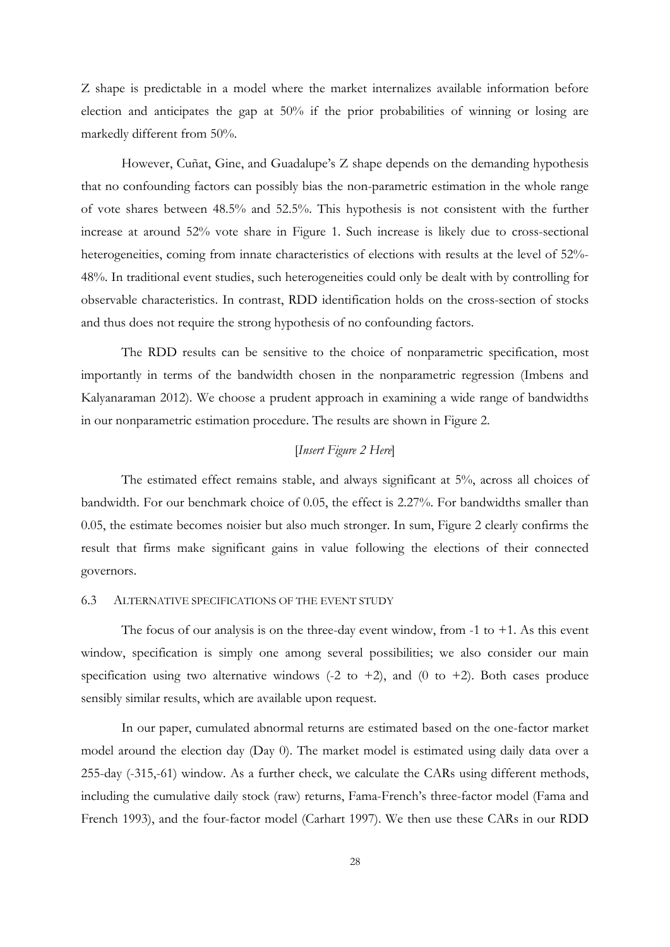Z shape is predictable in a model where the market internalizes available information before election and anticipates the gap at 50% if the prior probabilities of winning or losing are markedly different from 50%.

However, Cuñat, Gine, and Guadalupe's Z shape depends on the demanding hypothesis that no confounding factors can possibly bias the non-parametric estimation in the whole range of vote shares between 48.5% and 52.5%. This hypothesis is not consistent with the further increase at around 52% vote share in Figure 1. Such increase is likely due to cross-sectional heterogeneities, coming from innate characteristics of elections with results at the level of 52%- 48%. In traditional event studies, such heterogeneities could only be dealt with by controlling for observable characteristics. In contrast, RDD identification holds on the cross-section of stocks and thus does not require the strong hypothesis of no confounding factors.

The RDD results can be sensitive to the choice of nonparametric specification, most importantly in terms of the bandwidth chosen in the nonparametric regression (Imbens and Kalyanaraman 2012). We choose a prudent approach in examining a wide range of bandwidths in our nonparametric estimation procedure. The results are shown in Figure 2.

## [*Insert Figure 2 Here*]

The estimated effect remains stable, and always significant at 5%, across all choices of bandwidth. For our benchmark choice of 0.05, the effect is 2.27%. For bandwidths smaller than 0.05, the estimate becomes noisier but also much stronger. In sum, Figure 2 clearly confirms the result that firms make significant gains in value following the elections of their connected governors.

#### 6.3 ALTERNATIVE SPECIFICATIONS OF THE EVENT STUDY

The focus of our analysis is on the three-day event window, from  $-1$  to  $+1$ . As this event window, specification is simply one among several possibilities; we also consider our main specification using two alternative windows  $(-2 \text{ to } +2)$ , and  $(0 \text{ to } +2)$ . Both cases produce sensibly similar results, which are available upon request.

In our paper, cumulated abnormal returns are estimated based on the one-factor market model around the election day (Day 0). The market model is estimated using daily data over a 255-day (-315,-61) window. As a further check, we calculate the CARs using different methods, including the cumulative daily stock (raw) returns, Fama-French's three-factor model (Fama and French 1993), and the four-factor model (Carhart 1997). We then use these CARs in our RDD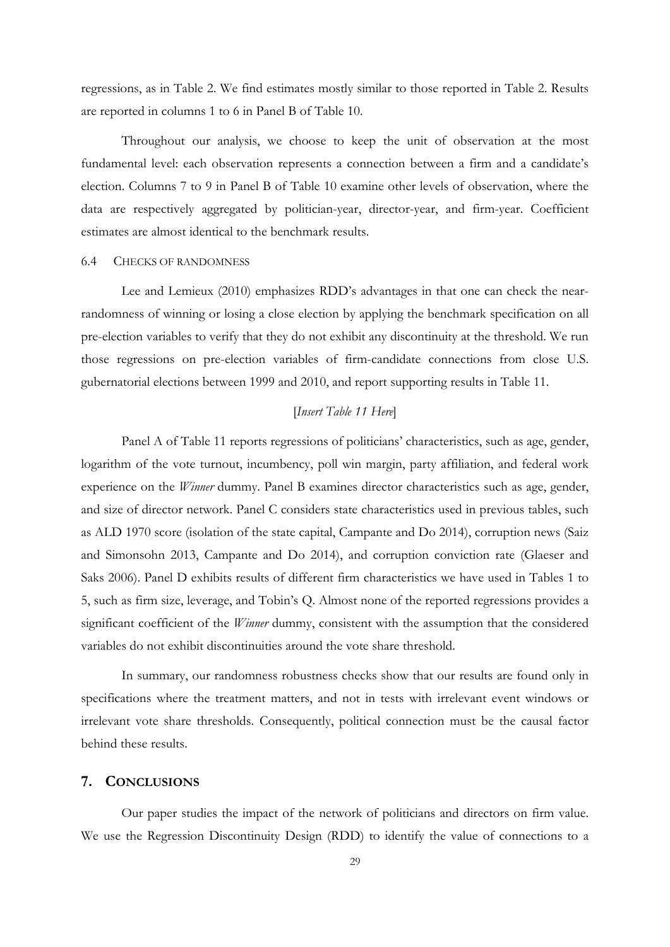regressions, as in Table 2. We find estimates mostly similar to those reported in Table 2. Results are reported in columns 1 to 6 in Panel B of Table 10.

Throughout our analysis, we choose to keep the unit of observation at the most fundamental level: each observation represents a connection between a firm and a candidate's election. Columns 7 to 9 in Panel B of Table 10 examine other levels of observation, where the data are respectively aggregated by politician-year, director-year, and firm-year. Coefficient estimates are almost identical to the benchmark results.

#### 6.4 CHECKS OF RANDOMNESS

Lee and Lemieux (2010) emphasizes RDD's advantages in that one can check the nearrandomness of winning or losing a close election by applying the benchmark specification on all pre-election variables to verify that they do not exhibit any discontinuity at the threshold. We run those regressions on pre-election variables of firm-candidate connections from close U.S. gubernatorial elections between 1999 and 2010, and report supporting results in Table 11.

## [*Insert Table 11 Here*]

Panel A of Table 11 reports regressions of politicians' characteristics, such as age, gender, logarithm of the vote turnout, incumbency, poll win margin, party affiliation, and federal work experience on the *Winner* dummy. Panel B examines director characteristics such as age, gender, and size of director network. Panel C considers state characteristics used in previous tables, such as ALD 1970 score (isolation of the state capital, Campante and Do 2014), corruption news (Saiz and Simonsohn 2013, Campante and Do 2014), and corruption conviction rate (Glaeser and Saks 2006). Panel D exhibits results of different firm characteristics we have used in Tables 1 to 5, such as firm size, leverage, and Tobin's Q. Almost none of the reported regressions provides a significant coefficient of the *Winner* dummy, consistent with the assumption that the considered variables do not exhibit discontinuities around the vote share threshold.

In summary, our randomness robustness checks show that our results are found only in specifications where the treatment matters, and not in tests with irrelevant event windows or irrelevant vote share thresholds. Consequently, political connection must be the causal factor behind these results.

## **7. CONCLUSIONS**

Our paper studies the impact of the network of politicians and directors on firm value. We use the Regression Discontinuity Design (RDD) to identify the value of connections to a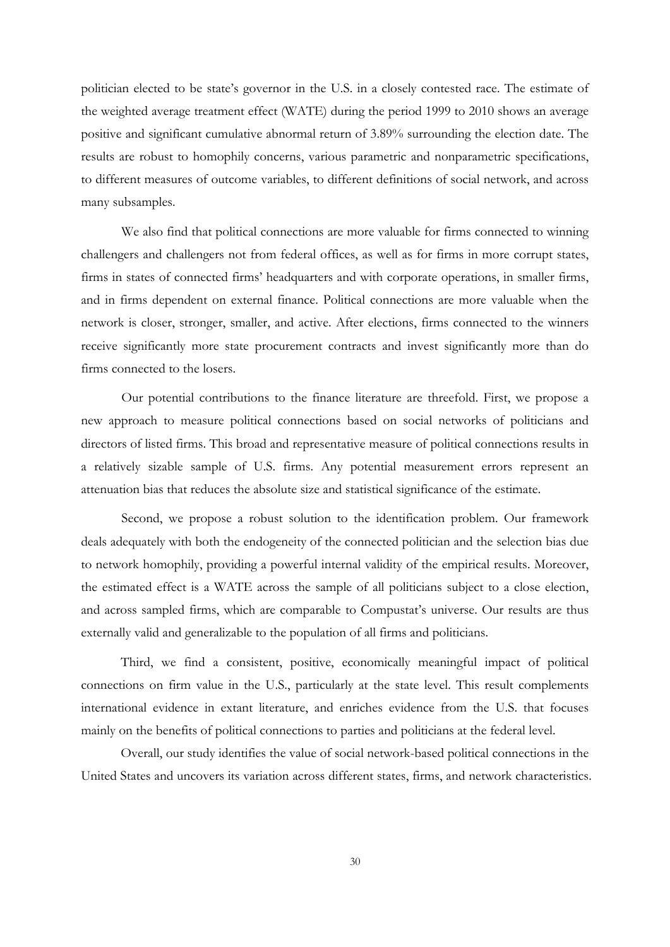politician elected to be state's governor in the U.S. in a closely contested race. The estimate of the weighted average treatment effect (WATE) during the period 1999 to 2010 shows an average positive and significant cumulative abnormal return of 3.89% surrounding the election date. The results are robust to homophily concerns, various parametric and nonparametric specifications, to different measures of outcome variables, to different definitions of social network, and across many subsamples.

We also find that political connections are more valuable for firms connected to winning challengers and challengers not from federal offices, as well as for firms in more corrupt states, firms in states of connected firms' headquarters and with corporate operations, in smaller firms, and in firms dependent on external finance. Political connections are more valuable when the network is closer, stronger, smaller, and active. After elections, firms connected to the winners receive significantly more state procurement contracts and invest significantly more than do firms connected to the losers.

Our potential contributions to the finance literature are threefold. First, we propose a new approach to measure political connections based on social networks of politicians and directors of listed firms. This broad and representative measure of political connections results in a relatively sizable sample of U.S. firms. Any potential measurement errors represent an attenuation bias that reduces the absolute size and statistical significance of the estimate.

Second, we propose a robust solution to the identification problem. Our framework deals adequately with both the endogeneity of the connected politician and the selection bias due to network homophily, providing a powerful internal validity of the empirical results. Moreover, the estimated effect is a WATE across the sample of all politicians subject to a close election, and across sampled firms, which are comparable to Compustat's universe. Our results are thus externally valid and generalizable to the population of all firms and politicians.

Third, we find a consistent, positive, economically meaningful impact of political connections on firm value in the U.S., particularly at the state level. This result complements international evidence in extant literature, and enriches evidence from the U.S. that focuses mainly on the benefits of political connections to parties and politicians at the federal level.

Overall, our study identifies the value of social network-based political connections in the United States and uncovers its variation across different states, firms, and network characteristics.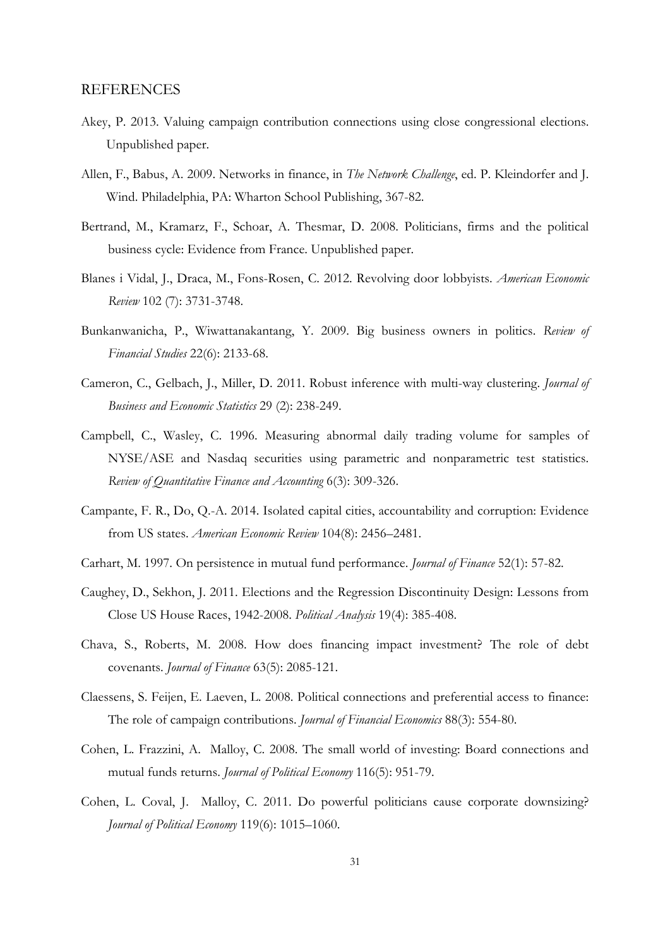#### **REFERENCES**

- Akey, P. 2013. Valuing campaign contribution connections using close congressional elections. Unpublished paper.
- Allen, F., Babus, A. 2009. Networks in finance, in *The Network Challenge*, ed. P. Kleindorfer and J. Wind. Philadelphia, PA: Wharton School Publishing, 367-82.
- Bertrand, M., Kramarz, F., Schoar, A. Thesmar, D. 2008. Politicians, firms and the political business cycle: Evidence from France. Unpublished paper.
- Blanes i Vidal, J., Draca, M., Fons-Rosen, C. 2012. Revolving door lobbyists. *American Economic Review* 102 (7): 3731-3748.
- Bunkanwanicha, P., Wiwattanakantang, Y. 2009. Big business owners in politics. *Review of Financial Studies* 22(6): 2133-68.
- Cameron, C., Gelbach, J., Miller, D. 2011. Robust inference with multi-way clustering. *Journal of Business and Economic Statistics* 29 (2): 238-249.
- Campbell, C., Wasley, C. 1996. Measuring abnormal daily trading volume for samples of NYSE/ASE and Nasdaq securities using parametric and nonparametric test statistics. *Review of Quantitative Finance and Accounting* 6(3): 309-326.
- Campante, F. R., Do, Q.-A. 2014. Isolated capital cities, accountability and corruption: Evidence from US states. *American Economic Review* 104(8): 2456–2481.
- Carhart, M. 1997. On persistence in mutual fund performance. *Journal of Finance* 52(1): 57-82.
- Caughey, D., Sekhon, J. 2011. Elections and the Regression Discontinuity Design: Lessons from Close US House Races, 1942-2008. *Political Analysis* 19(4): 385-408.
- Chava, S., Roberts, M. 2008. How does financing impact investment? The role of debt covenants. *Journal of Finance* 63(5): 2085-121.
- Claessens, S. Feijen, E. Laeven, L. 2008. Political connections and preferential access to finance: The role of campaign contributions. *Journal of Financial Economics* 88(3): 554-80.
- Cohen, L. Frazzini, A. Malloy, C. 2008. The small world of investing: Board connections and mutual funds returns. *Journal of Political Economy* 116(5): 951-79.
- Cohen, L. Coval, J. Malloy, C. 2011. Do powerful politicians cause corporate downsizing? *Journal of Political Economy* 119(6): 1015–1060.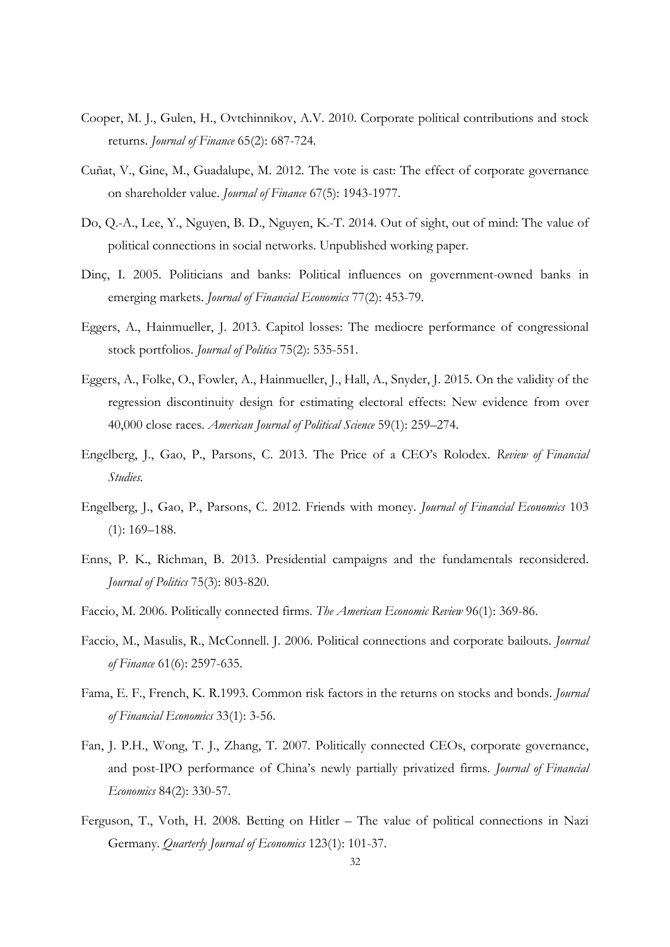- Cooper, M. J., Gulen, H., Ovtchinnikov, A.V. 2010. Corporate political contributions and stock returns. *Journal of Finance* 65(2): 687-724.
- Cuñat, V., Gine, M., Guadalupe, M. 2012. The vote is cast: The effect of corporate governance on shareholder value. *Journal of Finance* 67(5): 1943-1977.
- Do, Q.-A., Lee, Y., Nguyen, B. D., Nguyen, K.-T. 2014. Out of sight, out of mind: The value of political connections in social networks. Unpublished working paper.
- Dinç, I. 2005. Politicians and banks: Political influences on government-owned banks in emerging markets. *Journal of Financial Economics* 77(2): 453-79.
- Eggers, A., Hainmueller, J. 2013. Capitol losses: The mediocre performance of congressional stock portfolios. *Journal of Politics* 75(2): 535-551.
- Eggers, A., Folke, O., Fowler, A., Hainmueller, J., Hall, A., Snyder, J. 2015. On the validity of the regression discontinuity design for estimating electoral effects: New evidence from over 40,000 close races. *American Journal of Political Science* 59(1): 259–274.
- Engelberg, J., Gao, P., Parsons, C. 2013. The Price of a CEO's Rolodex. *Review of Financial Studies.*
- Engelberg, J., Gao, P., Parsons, C. 2012. Friends with money. *Journal of Financial Economics* 103  $(1): 169 - 188.$
- Enns, P. K., Richman, B. 2013. Presidential campaigns and the fundamentals reconsidered. *Journal of Politics* 75(3): 803-820.
- Faccio, M. 2006. Politically connected firms. *The American Economic Review* 96(1): 369-86.
- Faccio, M., Masulis, R., McConnell. J. 2006. Political connections and corporate bailouts. *Journal of Finance* 61(6): 2597-635.
- Fama, E. F., French, K. R.1993. Common risk factors in the returns on stocks and bonds. *Journal of Financial Economics* 33(1): 3-56.
- Fan, J. P.H., Wong, T. J., Zhang, T. 2007. Politically connected CEOs, corporate governance, and post-IPO performance of China's newly partially privatized firms. *Journal of Financial Economics* 84(2): 330-57.
- Ferguson, T., Voth, H. 2008. Betting on Hitler The value of political connections in Nazi Germany. *Quarterly Journal of Economics* 123(1): 101-37.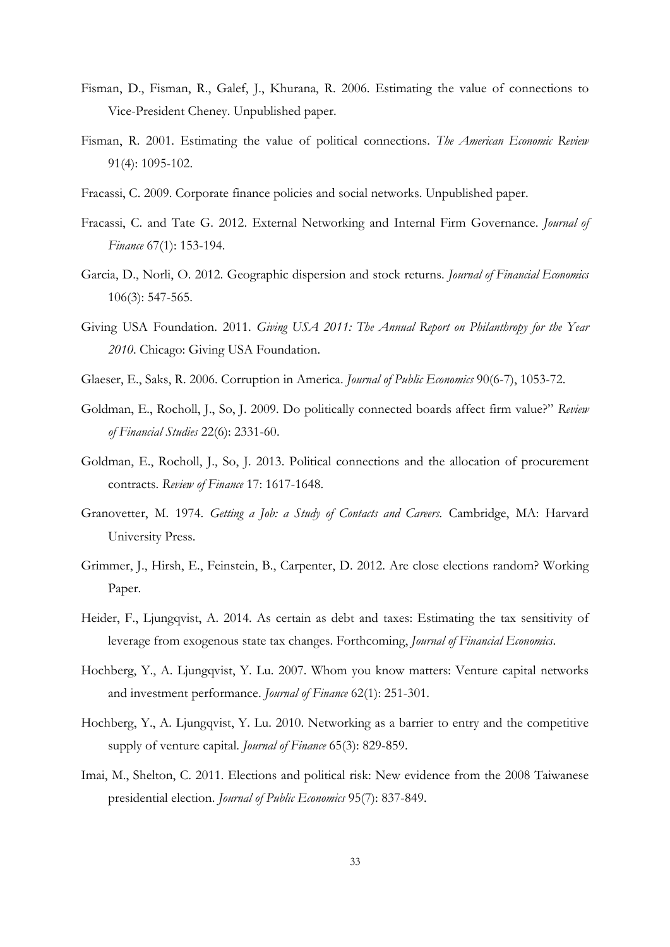- Fisman, D., Fisman, R., Galef, J., Khurana, R. 2006. Estimating the value of connections to Vice-President Cheney. Unpublished paper.
- Fisman, R. 2001. Estimating the value of political connections. *The American Economic Review* 91(4): 1095-102.
- Fracassi, C. 2009. Corporate finance policies and social networks. Unpublished paper.
- Fracassi, C. and Tate G. 2012. External Networking and Internal Firm Governance. *Journal of Finance* 67(1): 153-194.
- Garcia, D., Norli, O. 2012. Geographic dispersion and stock returns. *Journal of Financial Economics* 106(3): 547-565.
- Giving USA Foundation. 2011. *Giving USA 2011: The Annual Report on Philanthropy for the Year 2010*. Chicago: Giving USA Foundation.
- Glaeser, E., Saks, R. 2006. Corruption in America. *Journal of Public Economics* 90(6-7), 1053-72.
- Goldman, E., Rocholl, J., So, J. 2009. Do politically connected boards affect firm value?" *Review of Financial Studies* 22(6): 2331-60.
- Goldman, E., Rocholl, J., So, J. 2013. Political connections and the allocation of procurement contracts. *Review of Finance* 17: 1617-1648.
- Granovetter, M. 1974. *Getting a Job: a Study of Contacts and Careers.* Cambridge, MA: Harvard University Press.
- Grimmer, J., Hirsh, E., Feinstein, B., Carpenter, D. 2012. Are close elections random? Working Paper.
- Heider, F., Ljungqvist, A. 2014. As certain as debt and taxes: Estimating the tax sensitivity of leverage from exogenous state tax changes. Forthcoming, *Journal of Financial Economics*.
- Hochberg, Y., A. Ljungqvist, Y. Lu. 2007. Whom you know matters: Venture capital networks and investment performance. *Journal of Finance* 62(1): 251-301.
- Hochberg, Y., A. Ljungqvist, Y. Lu. 2010. Networking as a barrier to entry and the competitive supply of venture capital. *Journal of Finance* 65(3): 829-859.
- Imai, M., Shelton, C. 2011. Elections and political risk: New evidence from the 2008 Taiwanese presidential election. *Journal of Public Economics* 95(7): 837-849.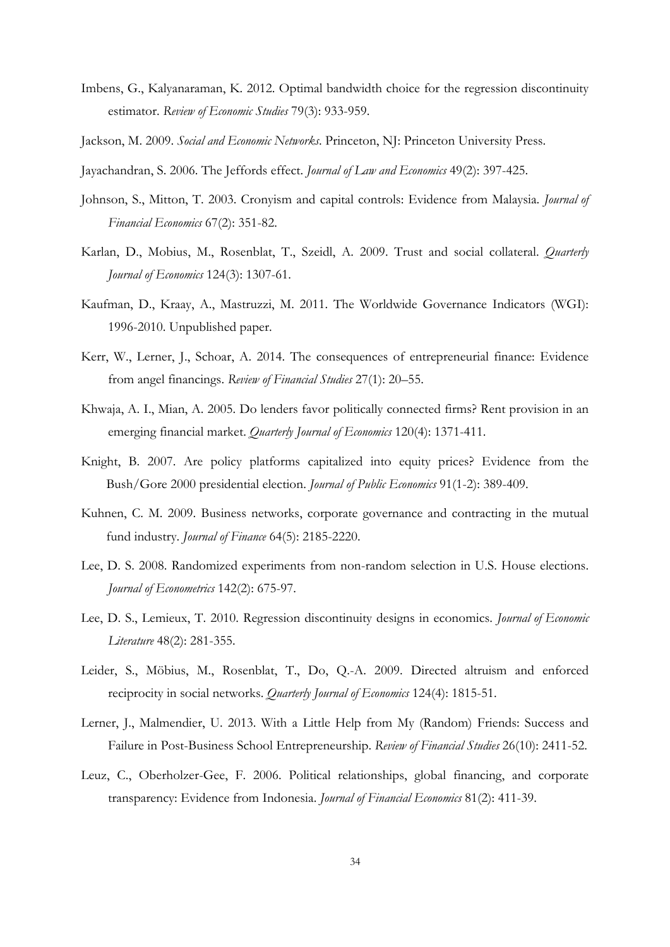- Imbens, G., Kalyanaraman, K. 2012. Optimal bandwidth choice for the regression discontinuity estimator. *Review of Economic Studies* 79(3): 933-959.
- Jackson, M. 2009. *Social and Economic Networks*. Princeton, NJ: Princeton University Press.
- Jayachandran, S. 2006. The Jeffords effect. *Journal of Law and Economics* 49(2): 397-425.
- Johnson, S., Mitton, T. 2003. Cronyism and capital controls: Evidence from Malaysia. *Journal of Financial Economics* 67(2): 351-82.
- Karlan, D., Mobius, M., Rosenblat, T., Szeidl, A. 2009. Trust and social collateral. *Quarterly Journal of Economics* 124(3): 1307-61.
- Kaufman, D., Kraay, A., Mastruzzi, M. 2011. The Worldwide Governance Indicators (WGI): 1996-2010. Unpublished paper.
- Kerr, W., Lerner, J., Schoar, A. 2014. The consequences of entrepreneurial finance: Evidence from angel financings. *Review of Financial Studies* 27(1): 20–55.
- Khwaja, A. I., Mian, A. 2005. Do lenders favor politically connected firms? Rent provision in an emerging financial market. *Quarterly Journal of Economics* 120(4): 1371-411.
- Knight, B. 2007. Are policy platforms capitalized into equity prices? Evidence from the Bush/Gore 2000 presidential election. *Journal of Public Economics* 91(1-2): 389-409.
- Kuhnen, C. M. 2009. Business networks, corporate governance and contracting in the mutual fund industry. *Journal of Finance* 64(5): 2185-2220.
- Lee, D. S. 2008. Randomized experiments from non-random selection in U.S. House elections. *Journal of Econometrics* 142(2): 675-97.
- Lee, D. S., Lemieux, T. 2010. Regression discontinuity designs in economics. *Journal of Economic Literature* 48(2): 281-355.
- Leider, S., Möbius, M., Rosenblat, T., Do, Q.-A. 2009. Directed altruism and enforced reciprocity in social networks. *Quarterly Journal of Economics* 124(4): 1815-51.
- Lerner, J., Malmendier, U. 2013. With a Little Help from My (Random) Friends: Success and Failure in Post-Business School Entrepreneurship. *Review of Financial Studies* 26(10): 2411-52.
- Leuz, C., Oberholzer-Gee, F. 2006. Political relationships, global financing, and corporate transparency: Evidence from Indonesia. *Journal of Financial Economics* 81(2): 411-39.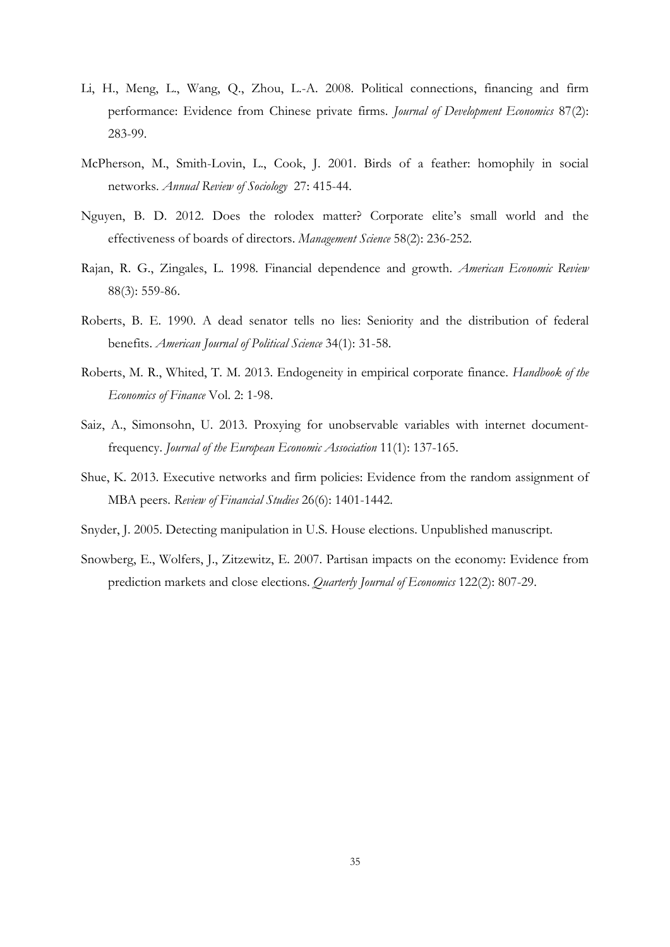- Li, H., Meng, L., Wang, Q., Zhou, L.-A. 2008. Political connections, financing and firm performance: Evidence from Chinese private firms. *Journal of Development Economics* 87(2): 283-99.
- McPherson, M., Smith-Lovin, L., Cook, J. 2001. Birds of a feather: homophily in social networks. *Annual Review of Sociology* 27: 415-44.
- Nguyen, B. D. 2012. Does the rolodex matter? Corporate elite's small world and the effectiveness of boards of directors. *Management Science* 58(2): 236-252.
- Rajan, R. G., Zingales, L. 1998. Financial dependence and growth. *American Economic Review* 88(3): 559-86.
- Roberts, B. E. 1990. A dead senator tells no lies: Seniority and the distribution of federal benefits. *American Journal of Political Science* 34(1): 31-58.
- Roberts, M. R., Whited, T. M. 2013. Endogeneity in empirical corporate finance. *Handbook of the Economics of Finance* Vol. 2: 1-98.
- Saiz, A., Simonsohn, U. 2013. Proxying for unobservable variables with internet documentfrequency. *Journal of the European Economic Association* 11(1): 137-165.
- Shue, K. 2013. Executive networks and firm policies: Evidence from the random assignment of MBA peers. *Review of Financial Studies* 26(6): 1401-1442.
- Snyder, J. 2005. Detecting manipulation in U.S. House elections. Unpublished manuscript.
- Snowberg, E., Wolfers, J., Zitzewitz, E. 2007. Partisan impacts on the economy: Evidence from prediction markets and close elections. *Quarterly Journal of Economics* 122(2): 807-29.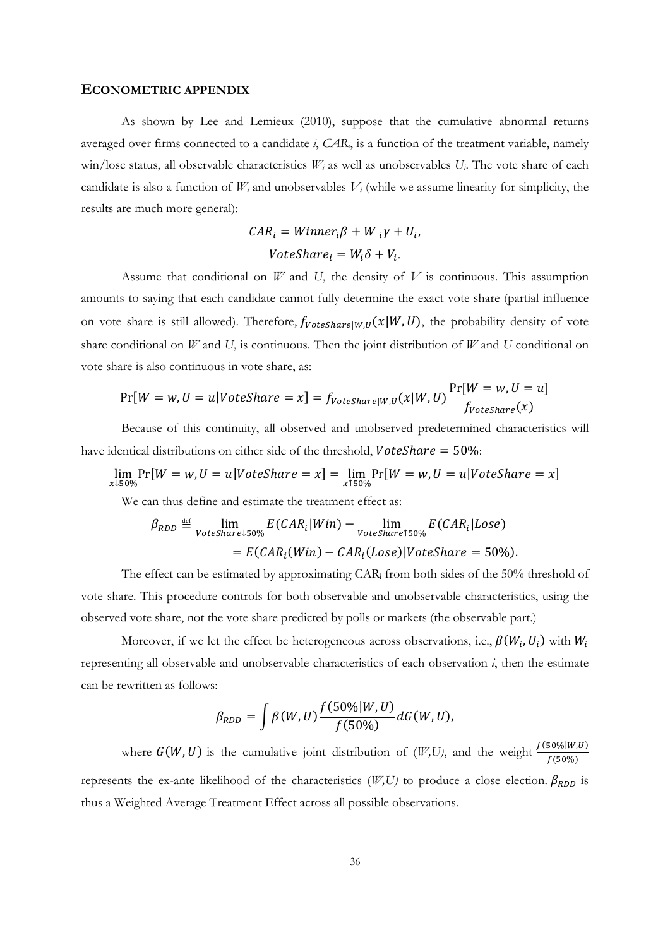#### **ECONOMETRIC APPENDIX**

As shown by Lee and Lemieux (2010), suppose that the cumulative abnormal returns averaged over firms connected to a candidate *i*, *CARi*, is a function of the treatment variable, namely win/lose status, all observable characteristics *Wi* as well as unobservables *Ui*. The vote share of each candidate is also a function of  $W_i$  and unobservables  $V_i$  (while we assume linearity for simplicity, the results are much more general):

$$
CAR_i = Winner_i \beta + W_i \gamma + U_i,
$$
  

$$
Voteshare_i = W_i \delta + V_i.
$$

Assume that conditional on  $W$  and  $U$ , the density of  $V$  is continuous. This assumption amounts to saying that each candidate cannot fully determine the exact vote share (partial influence on vote share is still allowed). Therefore,  $f_{Voteshare|W,U}(x|W,U)$ , the probability density of vote share conditional on *W* and *U*, is continuous. Then the joint distribution of *W* and *U* conditional on vote share is also continuous in vote share, as:

$$
Pr[W = w, U = u | VoteShare = x] = f_{Voteshare|W,U}(x|W, U) \frac{Pr[W = w, U = u]}{f_{Voteshare}(x)}
$$

Because of this continuity, all observed and unobserved predetermined characteristics will have identical distributions on either side of the threshold,  $Voteshare = 50\%$ :

$$
\lim_{x\downarrow 50\%} \Pr[W = w, U = u | VoteShare = x] = \lim_{x\uparrow 50\%} \Pr[W = w, U = u | VoteShare = x]
$$

We can thus define and estimate the treatment effect as:

$$
\beta_{RDD} \stackrel{\text{def}}{=} \lim_{Voteshare\downarrow 50\%} E(CAR_i|Win) - \lim_{Voteshare\uparrow 50\%} E(CAR_i|Lose)
$$

$$
= E(CAR_i(Win) - CAR_i(Lose)|Voteshare = 50\%).
$$

The effect can be estimated by approximating  $CAR_i$  from both sides of the 50% threshold of vote share. This procedure controls for both observable and unobservable characteristics, using the observed vote share, not the vote share predicted by polls or markets (the observable part.)

Moreover, if we let the effect be heterogeneous across observations, i.e.,  $\beta(W_i, U_i)$  with  $W_i$ representing all observable and unobservable characteristics of each observation *i*, then the estimate can be rewritten as follows:

$$
\beta_{RDD} = \int \beta(W, U) \frac{f(50\%|W, U)}{f(50\%)} dG(W, U),
$$

where  $G(W, U)$  is the cumulative joint distribution of  $(W, U)$ , and the weight  $\frac{f(50\%|W, U)}{f(50\%)}$ represents the ex-ante likelihood of the characteristics ( $W$ ,  $U$ ) to produce a close election.  $\beta_{RDD}$  is thus a Weighted Average Treatment Effect across all possible observations.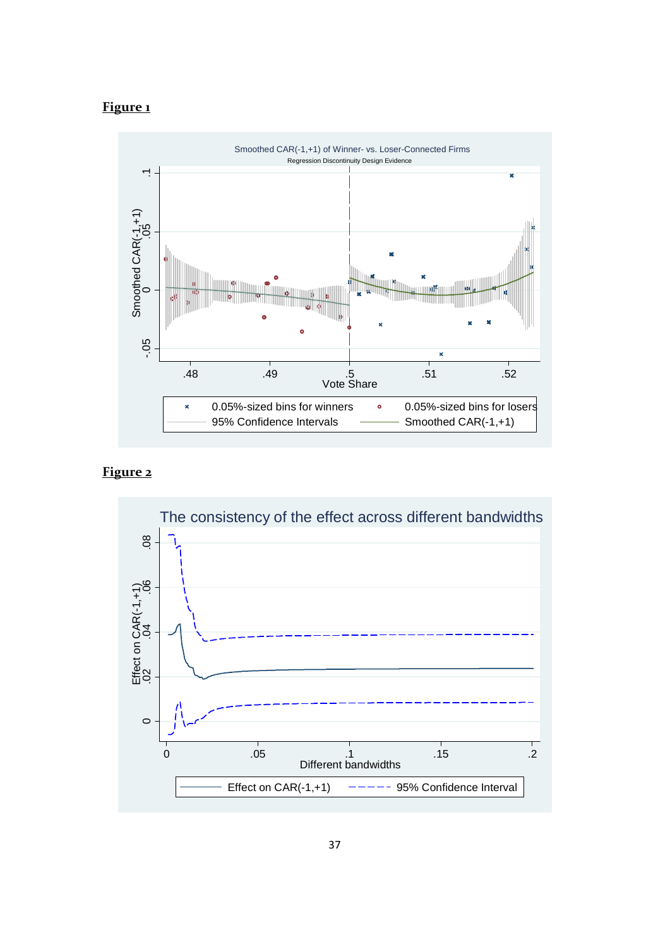# **Figure 1**



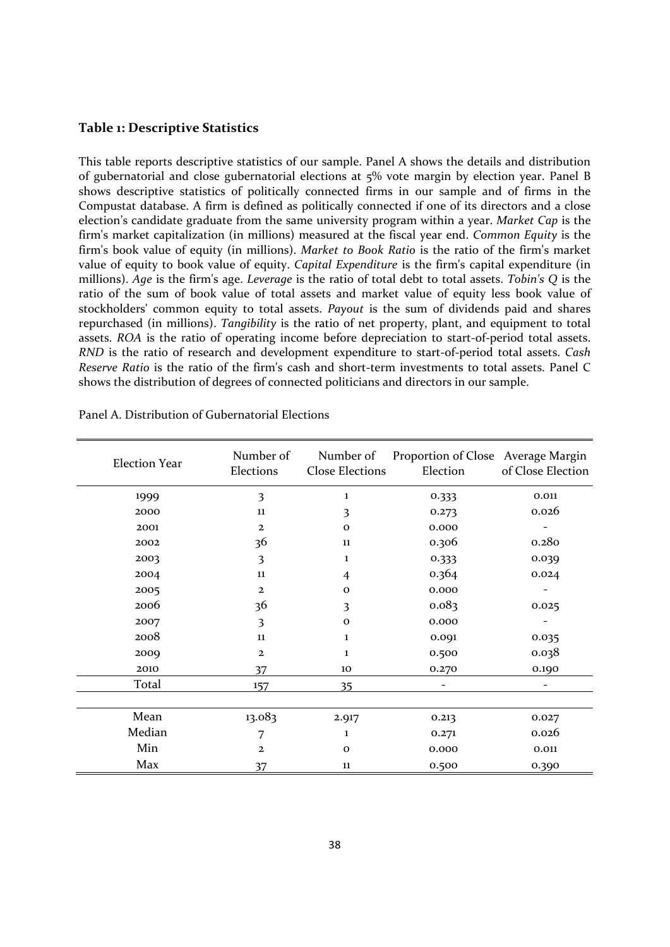#### **Table 1: Descriptive Statistics**

This table reports descriptive statistics of our sample. Panel A shows the details and distribution of gubernatorial and close gubernatorial elections at 5% vote margin by election year. Panel B shows descriptive statistics of politically connected firms in our sample and of firms in the Compustat database. A firm is defined as politically connected if one of its directors and a close election's candidate graduate from the same university program within a year. *Market Cap* is the firm's market capitalization (in millions) measured at the fiscal year end. *Common Equity* is the firm's book value of equity (in millions). *Market to Book Ratio* is the ratio of the firm's market value of equity to book value of equity. *Capital Expenditure* is the firm's capital expenditure (in millions). *Age* is the firm's age. *Leverage* is the ratio of total debt to total assets. *Tobin's Q* is the ratio of the sum of book value of total assets and market value of equity less book value of stockholders' common equity to total assets. *Payout* is the sum of dividends paid and shares repurchased (in millions). *Tangibility* is the ratio of net property, plant, and equipment to total assets. *ROA* is the ratio of operating income before depreciation to start-of-period total assets. *RND* is the ratio of research and development expenditure to start‐of‐period total assets. *Cash Reserve Ratio* is the ratio of the firm's cash and short‐term investments to total assets. Panel C shows the distribution of degrees of connected politicians and directors in our sample.

| <b>Election Year</b> | Number of<br>Elections  | Number of<br><b>Close Elections</b> | Proportion of Close Average Margin<br>Election | of Close Election |
|----------------------|-------------------------|-------------------------------------|------------------------------------------------|-------------------|
| 1999                 | $\overline{\mathbf{3}}$ | 1                                   | 0.333                                          | 0.011             |
| 2000                 | 11                      | 3                                   | 0.273                                          | 0.026             |
| 2001                 | $\overline{2}$          | $\mathbf{o}$                        | 0.000                                          |                   |
| 2002                 | 36                      | $11\,$                              | 0.306                                          | 0.280             |
| 2003                 | $\overline{\mathbf{3}}$ | 1                                   | 0.333                                          | 0.039             |
| 2004                 | 11                      | $\overline{4}$                      | 0.364                                          | 0.024             |
| 2005                 | $\overline{2}$          | $\mathbf{o}$                        | 0.000                                          |                   |
| 2006                 | 36                      | 3                                   | 0.083                                          | 0.025             |
| 2007                 | 3                       | $\mathbf 0$                         | 0.000                                          | -                 |
| 2008                 | 11                      | $\mathbf{1}$                        | 0.091                                          | 0.035             |
| 2009                 | $\mathbf{2}$            | 1                                   | 0.500                                          | 0.038             |
| 2010                 | 37                      | 10                                  | 0.270                                          | 0.190             |
| Total                | 157                     | 35                                  | $\overline{\phantom{0}}$                       | -                 |
|                      |                         |                                     |                                                |                   |
| Mean                 | 13.083                  | 2.917                               | 0.213                                          | 0.027             |
| Median               | 7                       | 1                                   | 0.271                                          | 0.026             |
| Min                  | 2                       | $\mathbf{o}$                        | 0.000                                          | 0.011             |
| Max                  | 37                      | $11\phantom{.0}$                    | 0.500                                          | 0.390             |

Panel A. Distribution of Gubernatorial Elections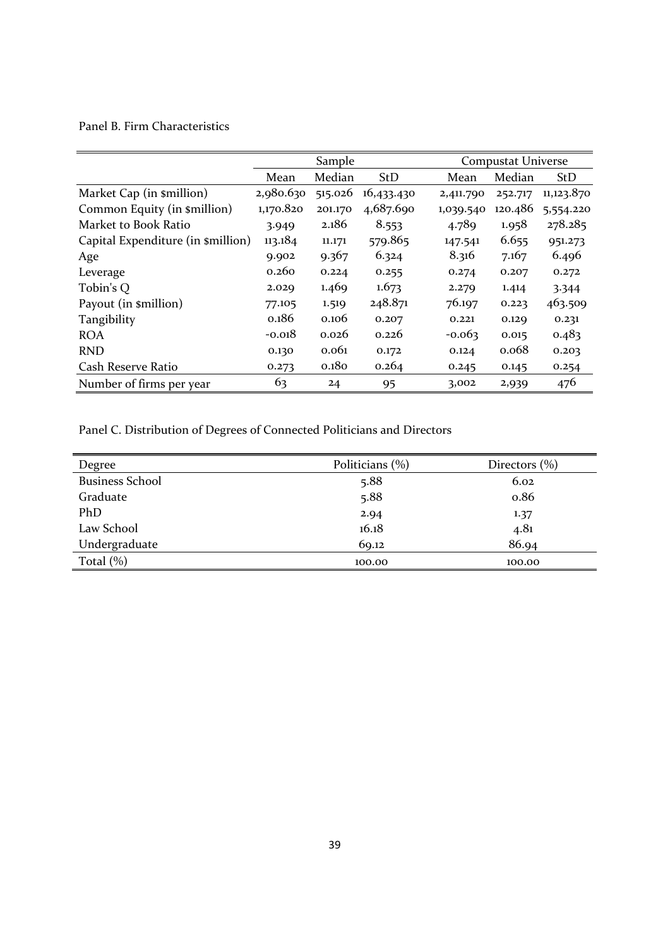# Panel B. Firm Characteristics

|                                   |           | Sample  |            |           | <b>Compustat Universe</b> |            |  |
|-----------------------------------|-----------|---------|------------|-----------|---------------------------|------------|--|
|                                   | Mean      | Median  | StD        | Mean      | Median                    | <b>StD</b> |  |
| Market Cap (in smillion)          | 2,980.630 | 515.026 | 16,433.430 | 2,411.790 | 252.717                   | 11,123.870 |  |
| Common Equity (in smillion)       | 1,170.820 | 201.170 | 4,687.690  | 1,039.540 | 120.486                   | 5,554.220  |  |
| Market to Book Ratio              | 3.949     | 2.186   | 8.553      | 4.789     | 1.958                     | 278.285    |  |
| Capital Expenditure (in smillion) | 113.184   | 11.171  | 579.865    | 147.541   | 6.655                     | 951.273    |  |
| Age                               | 9.902     | 9.367   | 6.324      | 8.316     | 7.167                     | 6.496      |  |
| Leverage                          | 0.260     | 0.224   | 0.255      | 0.274     | 0.207                     | 0.272      |  |
| Tobin's Q                         | 2.029     | 1.469   | 1.673      | 2.279     | 1.414                     | 3.344      |  |
| Payout (in smillion)              | 77.105    | 1.519   | 248.871    | 76.197    | 0.223                     | 463.509    |  |
| Tangibility                       | 0.186     | 0.106   | 0.207      | 0.221     | 0.129                     | 0.231      |  |
| <b>ROA</b>                        | $-0.018$  | 0.026   | 0.226      | $-0.063$  | 0.015                     | 0.483      |  |
| <b>RND</b>                        | 0.130     | 0.061   | 0.172      | 0.124     | 0.068                     | 0.203      |  |
| Cash Reserve Ratio                | 0.273     | 0.180   | 0.264      | 0.245     | 0.145                     | 0.254      |  |
| Number of firms per year          | 63        | 24      | 95         | 3,002     | 2,939                     | 476        |  |

Panel C. Distribution of Degrees of Connected Politicians and Directors

| Degree                 | Politicians (%) | Directors $(\%)$ |
|------------------------|-----------------|------------------|
| <b>Business School</b> | 5.88            | 6.02             |
| Graduate               | 5.88            | 0.86             |
| PhD                    | 2.94            | 1.37             |
| Law School             | 16.18           | 4.81             |
| Undergraduate          | 69.12           | 86.94            |
| Total $(\%)$           | 100.00          | 100.00           |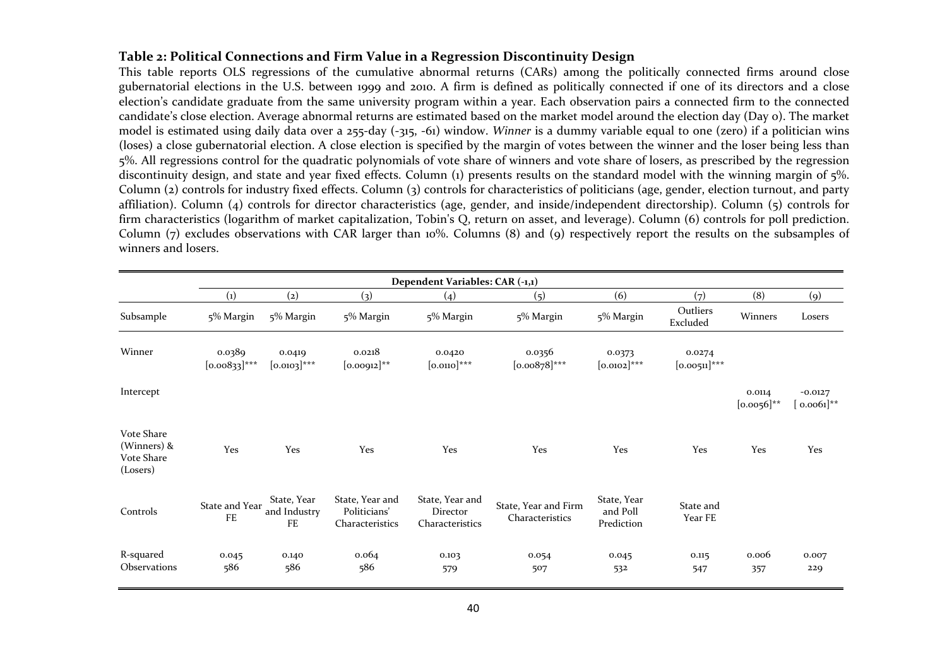## **Table 2: Political Connections and Firm Value in <sup>a</sup> Regression Discontinuity Design**

This table reports OLS regressions of the cumulative abnormal returns (CARs) among the politically connected firms around close gubernatorial elections in the U.S. between 1999 and 2010. A firm is defined as politically connected if one of its directors and <sup>a</sup> close election's candidate graduate from the same university program within <sup>a</sup> year. Each observation pairs <sup>a</sup> connected firm to the connected candidate's close election. Average abnormal returns are estimated based on the market model around the election day (Day 0). The market model is estimated using daily data over <sup>a</sup> <sup>255</sup>‐day (‐315, ‐61) window. *Winner* is <sup>a</sup> dummy variable equal to one (zero) if <sup>a</sup> politician wins (loses) <sup>a</sup> close gubernatorial election. <sup>A</sup> close election is specified by the margin of votes between the winner and the loser being less than 5%. All regressions control for the quadratic polynomials of vote share of winners and vote share of losers, as prescribed by the regression discontinuity design, and state and year fixed effects. Column (1) presents results on the standard model with the winning margin of  $\frac{1}{2}$ %. Column (2) controls for industry fixed effects. Column (3) controls for characteristics of politicians (age, gender, election turnout, and party affiliation). Column (4) controls for director characteristics (age, gender, and inside/independent directorship). Column (5) controls for firm characteristics (logarithm of market capitalization, Tobin's Q, return on asset, and leverage). Column (6) controls for poll prediction. Column (7) excludes observations with CAR larger than 10%. Columns (8) and (9) respectively repor<sup>t</sup> the results on the subsamples of winners and losers.

|                                                     |                           |                                   |                                                    | Dependent Variables: CAR (-1,1)                |                                         |                                       |                           |                           |                            |
|-----------------------------------------------------|---------------------------|-----------------------------------|----------------------------------------------------|------------------------------------------------|-----------------------------------------|---------------------------------------|---------------------------|---------------------------|----------------------------|
|                                                     | $\left( 1\right)$         | $\left( 2\right)$                 | $\left( 3\right)$                                  | (4)                                            | (5)                                     | (6)                                   | (7)                       | (8)                       | $\left( 9\right)$          |
| Subsample                                           | 5% Margin                 | 5% Margin                         | 5% Margin                                          | 5% Margin                                      | 5% Margin                               | 5% Margin                             | Outliers<br>Excluded      | Winners                   | Losers                     |
| Winner                                              | 0.0389<br>$[0.00833]$ *** | 0.0419<br>$[0.0103]$ ***          | 0.0218<br>$[0.00912]^{**}$                         | 0.0420<br>$[0.0110]$ ***                       | 0.0356<br>$[0.00878]^{***}$             | 0.0373<br>$[0.0102]$ ***              | 0.0274<br>$[0.00511]$ *** |                           |                            |
| Intercept                                           |                           |                                   |                                                    |                                                |                                         |                                       |                           | 0.0114<br>$[0.0056]^{**}$ | $-0.0127$<br>$[0.0061]$ ** |
| Vote Share<br>(Winners) &<br>Vote Share<br>(Losers) | Yes                       | Yes                               | Yes                                                | Yes                                            | Yes                                     | Yes                                   | Yes                       | Yes                       | Yes                        |
| Controls                                            | State and Year<br>FE      | State, Year<br>and Industry<br>FE | State, Year and<br>Politicians'<br>Characteristics | State, Year and<br>Director<br>Characteristics | State, Year and Firm<br>Characteristics | State, Year<br>and Poll<br>Prediction | State and<br>Year FE      |                           |                            |
| R-squared<br><b>Observations</b>                    | 0.045<br>586              | 0.140<br>586                      | 0.064<br>586                                       | 0.103<br>579                                   | 0.054<br>507                            | 0.045<br>532                          | 0.115<br>547              | 0.006<br>357              | 0.007<br>229               |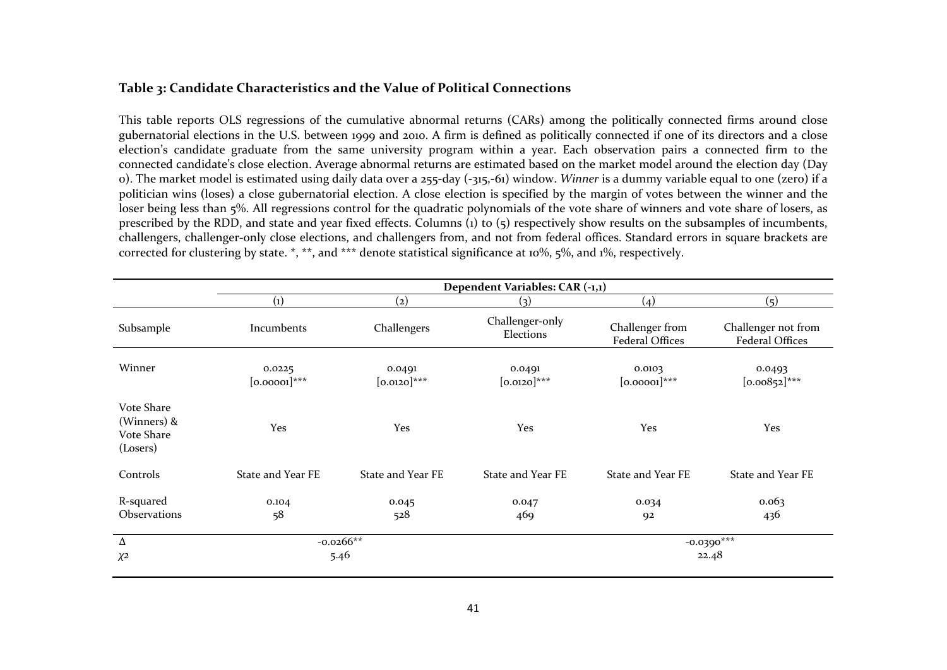## **Table 3: Candidate Characteristics and the Value of Political Connections**

This table reports OLS regressions of the cumulative abnormal returns (CARs) among the politically connected firms around close gubernatorial elections in the U.S. between 1999 and 2010. A firm is defined as politically connected if one of its directors and <sup>a</sup> close election's candidate graduate from the same university program within <sup>a</sup> year. Each observation pairs <sup>a</sup> connected firm to the connected candidate's close election. Average abnormal returns are estimated based on the market model around the election day (Day 0). The market model is estimated using daily data over <sup>a</sup> <sup>255</sup>‐day (‐315,‐61) window. *Winner* is <sup>a</sup> dummy variable equal to one (zero) if <sup>a</sup> politician wins (loses) <sup>a</sup> close gubernatorial election. <sup>A</sup> close election is specified by the margin of votes between the winner and the loser being less than 5%. All regressions control for the quadratic polynomials of the vote share of winners and vote share of losers, as prescribed by the RDD, and state and year fixed effects. Columns (1) to (5) respectively show results on the subsamples of incumbents, challengers, challenger‐only close elections, and challengers from, and not from federal offices. Standard errors in square brackets are corrected for clustering by state. \*, \*\*, and \*\*\* denote statistical significance at 10%, 5%, and 1%, respectively.

|                                                     | Dependent Variables: CAR (-1,1) |                          |                              |                                           |                                        |  |
|-----------------------------------------------------|---------------------------------|--------------------------|------------------------------|-------------------------------------------|----------------------------------------|--|
|                                                     | $\left( 1\right)$               | $\left( 2\right)$        | (3)                          | (4)                                       | (5)                                    |  |
| Subsample                                           | Incumbents                      | Challengers              | Challenger-only<br>Elections | Challenger from<br><b>Federal Offices</b> | Challenger not from<br>Federal Offices |  |
| Winner                                              | 0.0225<br>$[0.00001]$ ***       | 0.0491<br>$[0.0120]$ *** | 0.0491<br>$[0.0120]$ ***     | 0.0103<br>$[0.00001]$ ***                 | 0.0493<br>$[0.00852]$ ***              |  |
| Vote Share<br>(Winners) &<br>Vote Share<br>(Losers) | Yes                             | Yes                      | Yes                          | Yes                                       | Yes                                    |  |
| Controls                                            | State and Year FE               | State and Year FE        | State and Year FE            | State and Year FE                         | State and Year FE                      |  |
| R-squared<br>Observations                           | 0.104<br>58                     | 0.045<br>528             | 0.047<br>469                 | 0.034<br>92                               | 0.063<br>436                           |  |
| Δ                                                   | $-0.0266**$                     |                          |                              |                                           | $-0.0390***$                           |  |
| $X^2$                                               |                                 | 5.46                     |                              |                                           | 22.48                                  |  |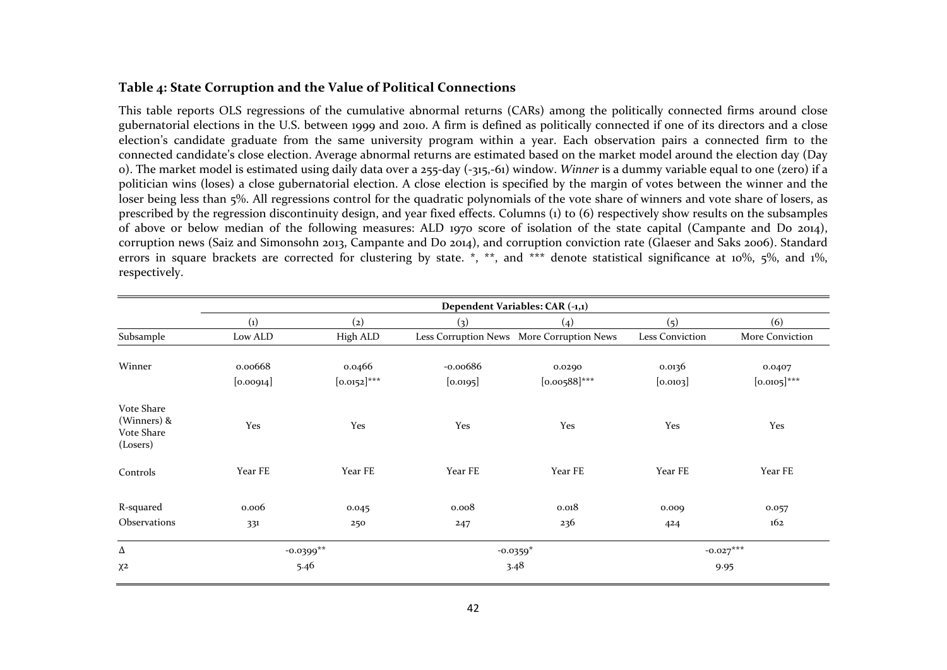#### **Table 4: State Corruption and the Value of Political Connections**

This table reports OLS regressions of the cumulative abnormal returns (CARs) among the politically connected firms around close gubernatorial elections in the U.S. between 1999 and 2010. A firm is defined as politically connected if one of its directors and <sup>a</sup> close election's candidate graduate from the same university program within <sup>a</sup> year. Each observation pairs <sup>a</sup> connected firm to the connected candidate's close election. Average abnormal returns are estimated based on the market model around the election day (Day 0). The market model is estimated using daily data over <sup>a</sup> <sup>255</sup>‐day (‐315,‐61) window. *Winner* is <sup>a</sup> dummy variable equal to one (zero) if <sup>a</sup> politician wins (loses) <sup>a</sup> close gubernatorial election. <sup>A</sup> close election is specified by the margin of votes between the winner and the loser being less than 5%. All regressions control for the quadratic polynomials of the vote share of winners and vote share of losers, as prescribed by the regression discontinuity design, and year fixed effects. Columns (1) to (6) respectively show results on the subsamples of above or below median of the following measures: ALD <sup>1970</sup> score of isolation of the state capital (Campante and Do 2014), corruption news (Saiz and Simonsohn 2013, Campante and Do 2014), and corruption conviction rate (Glaeser and Saks 2006). Standard errors in square brackets are corrected for clustering by state. \*, \*\*, and \*\*\* denote statistical significance at 10%, 5%, and 1%, respectively.

|                                                     | Dependent Variables: CAR (-1,1) |                          |                   |                                           |                 |                            |  |
|-----------------------------------------------------|---------------------------------|--------------------------|-------------------|-------------------------------------------|-----------------|----------------------------|--|
|                                                     | $\left( 1\right)$               | (2)                      | $\left( 3\right)$ | $\left( 4\right)$                         | (5)             | (6)                        |  |
| Subsample                                           | Low ALD                         | High ALD                 |                   | Less Corruption News More Corruption News | Less Conviction | More Conviction            |  |
| Winner                                              | 0.00668                         | 0.0466<br>$[0.0152]$ *** | $-0.00686$        | 0.0290<br>$[0.00588]$ ***                 | 0.0136          | 0.0407<br>$[0.0105]^{***}$ |  |
|                                                     | [0.00914]                       |                          | [0.0195]          |                                           | [0.0103]        |                            |  |
| Vote Share<br>(Winners) &<br>Vote Share<br>(Losers) | Yes                             | Yes                      | Yes               | Yes                                       | Yes             | Yes                        |  |
| Controls                                            | Year FE                         | Year FE                  | Year FE           | Year FE                                   | Year FE         | Year FE                    |  |
| R-squared                                           | 0.006                           | 0.045                    | 0.008             | 0.018                                     | 0.009           | 0.057                      |  |
| Observations                                        | 331                             | 250                      | 247               | 236                                       | 424             | 162                        |  |
| Δ                                                   |                                 | $-0.0399**$              |                   | $-0.0359*$                                |                 | $-0.027***$                |  |
| $\chi$ <sub>2</sub>                                 |                                 | 5.46                     |                   | 3.48                                      |                 | 9.95                       |  |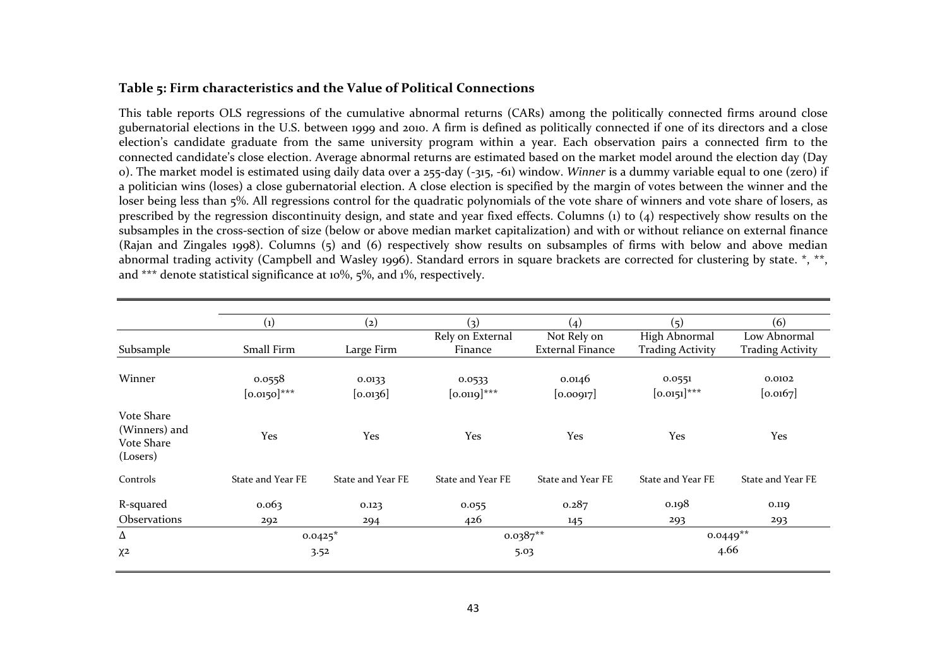## **Table 5: Firm characteristics and the Value of Political Connections**

This table reports OLS regressions of the cumulative abnormal returns (CARs) among the politically connected firms around close gubernatorial elections in the U.S. between 1999 and 2010. A firm is defined as politically connected if one of its directors and <sup>a</sup> close election's candidate graduate from the same university program within <sup>a</sup> year. Each observation pairs <sup>a</sup> connected firm to the connected candidate's close election. Average abnormal returns are estimated based on the market model around the election day (Day 0). The market model is estimated using daily data over <sup>a</sup> <sup>255</sup>‐day (‐315, ‐61) window. *Winner* is <sup>a</sup> dummy variable equal to one (zero) if a politician wins (loses) <sup>a</sup> close gubernatorial election. <sup>A</sup> close election is specified by the margin of votes between the winner and the loser being less than 5%. All regressions control for the quadratic polynomials of the vote share of winners and vote share of losers, as prescribed by the regression discontinuity design, and state and year fixed effects. Columns (1) to (4) respectively show results on the subsamples in the cross‐section of size (below or above median market capitalization) and with or without reliance on external finance (Rajan and Zingales <sup>199</sup>8). Columns (5) and (6) respectively show results on subsamples of firms with below and above median abnormal trading activity (Campbell and Wasley <sup>199</sup>6). Standard errors in square brackets are corrected for clustering by state. \*, \*\*, and \*\*\* denote statistical significance at 10%, 5%, and 1%, respectively.

|                                                       | $\left( 1\right)$ | $\left( 2\right)$ | (3)               | $\left( 4 \right)$      | (5)                     | (6)                     |
|-------------------------------------------------------|-------------------|-------------------|-------------------|-------------------------|-------------------------|-------------------------|
|                                                       |                   |                   | Rely on External  | Not Rely on             | High Abnormal           | Low Abnormal            |
| Subsample                                             | Small Firm        | Large Firm        | Finance           | <b>External Finance</b> | <b>Trading Activity</b> | <b>Trading Activity</b> |
|                                                       |                   |                   |                   |                         |                         |                         |
| Winner                                                | 0.0558            | 0.0133            | 0.0533            | 0.0146                  | 0.0551                  | 0.0102                  |
|                                                       | $[0.0150]$ ***    | [0.0136]          | $[0.0119]$ ***    | [0.00917]               | $[0.0151]$ ***          | [0.0167]                |
| Vote Share<br>(Winners) and<br>Vote Share<br>(Losers) | Yes               | Yes               | Yes               | Yes                     | Yes                     | Yes                     |
| Controls                                              | State and Year FE | State and Year FE | State and Year FE | State and Year FE       | State and Year FE       | State and Year FE       |
| R-squared                                             | 0.063             | 0.123             | 0.055             | 0.287                   | 0.198                   | 0.119                   |
| Observations                                          | 292               | 294               | 426               | 145                     | 293                     | 293                     |
| Δ                                                     |                   | $0.0425*$         |                   | $0.0387**$              |                         | $0.0449**$              |
| $X^2$                                                 |                   | 3.52              |                   | 5.03                    |                         | 4.66                    |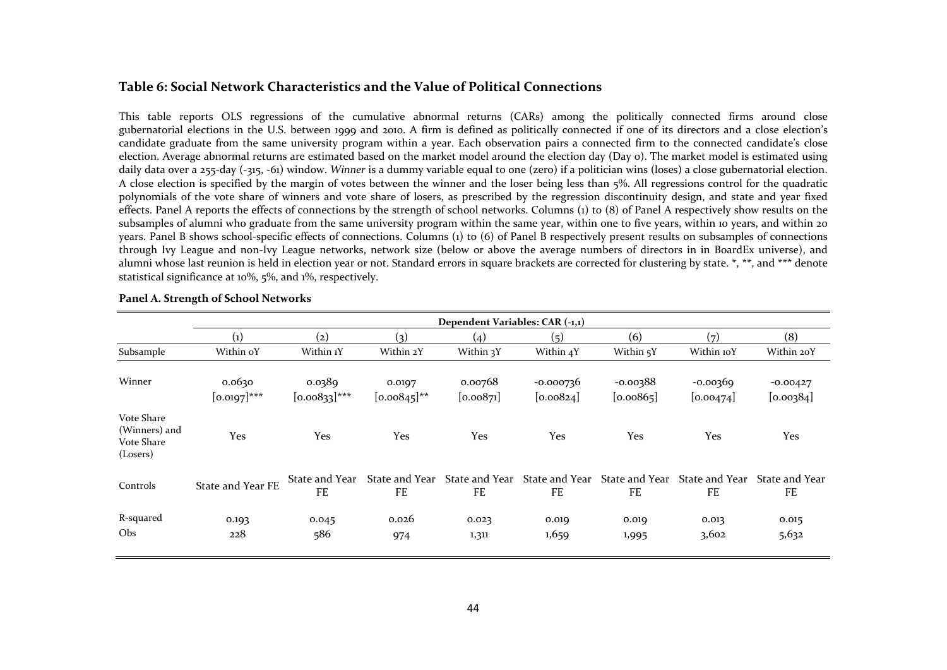#### **Table 6: Social Network Characteristics and the Value of Political Connections**

This table reports OLS regressions of the cumulative abnormal returns (CARs) among the politically connected firms around close gubernatorial elections in the U.S. between 1999 and 2010. A firm is defined as politically connected if one of its directors and <sup>a</sup> close election's candidate graduate from the same university program within <sup>a</sup> year. Each observation pairs <sup>a</sup> connected firm to the connected candidate's close election. Average abnormal returns are estimated based on the market model around the election day (Day 0). The market model is estimated using daily data over <sup>a</sup> <sup>255</sup>‐day (‐315, ‐61) window. *Winner* is <sup>a</sup> dummy variable equal to one (zero) if <sup>a</sup> politician wins (loses) <sup>a</sup> close gubernatorial election. A close election is specified by the margin of votes between the winner and the loser being less than 5%. All regressions control for the quadratic polynomials of the vote share of winners and vote share of losers, as prescribed by the regression discontinuity design, and state and year fixed effects. Panel A reports the effects of connections by the strength of school networks. Columns (1) to (8) of Panel <sup>A</sup> respectively show results on the subsamples of alumni who graduate from the same university program within the same year, within one to five years, within 10 years, and within 20 years. Panel B shows school-specific effects of connections. Columns (1) to (6) of Panel B respectively present results on subsamples of connections through Ivy League and non‐Ivy League networks, network size (below or above the average numbers of directors in in BoardEx universe), and alumni whose last reunion is held in election year or not. Standard errors in square brackets are corrected for clustering by state. \*, \*\*, and \*\*\* denote statistical significance at 10%, 5%, and 1%, respectively.

|                                                       |                          | Dependent Variables: CAR (-1,1) |                            |                                     |                          |                         |                                                    |                         |  |
|-------------------------------------------------------|--------------------------|---------------------------------|----------------------------|-------------------------------------|--------------------------|-------------------------|----------------------------------------------------|-------------------------|--|
|                                                       | $\left( 1 \right)$       | $\left( 2\right)$               | $\left( 3\right)$          | $\left( 4 \right)$                  | (5)                      | (6)                     | (7)                                                | (8)                     |  |
| Subsample                                             | Within oY                | Within 1Y                       | Within 2Y                  | Within 3Y                           | Within 4Y                | Within 5Y               | Within 10Y                                         | Within 20Y              |  |
| Winner                                                | 0.0630<br>$[0.0197]$ *** | 0.0389<br>$[0.00833]$ ***       | 0.0197<br>$[0.00845]^{**}$ | 0.00768<br>[0.00871]                | $-0.000736$<br>[0.00824] | $-0.00388$<br>[0.00865] | $-0.00369$<br>[0.00474]                            | $-0.00427$<br>[0.00384] |  |
| Vote Share<br>(Winners) and<br>Vote Share<br>(Losers) | Yes                      | Yes                             | Yes                        | Yes                                 | Yes                      | Yes                     | Yes                                                | Yes                     |  |
| Controls                                              | State and Year FE        | State and Year<br>FE            | FE                         | State and Year State and Year<br>FE | FE                       | FE                      | State and Year State and Year State and Year<br>FE | State and Year<br>FE    |  |
| R-squared<br><b>Obs</b>                               | 0.193<br>228             | 0.045<br>586                    | 0.026<br>974               | 0.023<br>1,311                      | 0.019<br>1,659           | 0.019<br>1,995          | 0.013<br>3,602                                     | 0.015<br>5,632          |  |

#### **Panel A. Strength of School Networks**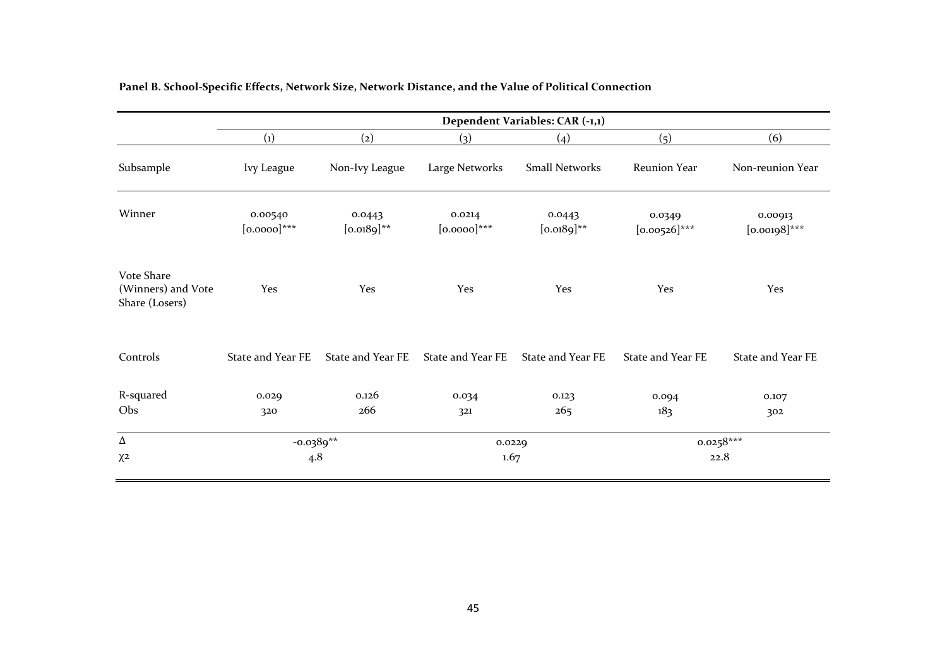|                                                    |                           |                           |                          | Dependent Variables: CAR (-1,1) |                           |                            |
|----------------------------------------------------|---------------------------|---------------------------|--------------------------|---------------------------------|---------------------------|----------------------------|
|                                                    | $\left( 1\right)$         | (2)                       | $\left( 3\right)$        | (4)                             | (5)                       | (6)                        |
| Subsample                                          | <b>Ivy League</b>         | Non-Ivy League            | Large Networks           | <b>Small Networks</b>           | Reunion Year              | Non-reunion Year           |
| Winner                                             | 0.00540<br>$[0.0000]$ *** | 0.0443<br>$[0.0189]^{**}$ | 0.0214<br>$[0.0000]$ *** | 0.0443<br>$[0.0189]^{**}$       | 0.0349<br>$[0.00526]$ *** | 0.00913<br>$[0.00198]$ *** |
| Vote Share<br>(Winners) and Vote<br>Share (Losers) | Yes                       | Yes                       | Yes                      | Yes                             | Yes                       | Yes                        |
| Controls                                           | State and Year FE         | State and Year FE         | State and Year FE        | <b>State and Year FE</b>        | State and Year FE         | State and Year FE          |
| R-squared                                          | 0.029                     | 0.126                     | 0.034                    | 0.123                           | 0.094                     | 0.107                      |
| Obs                                                | 320                       | 266                       | 321                      | 265                             | 183                       | 302                        |
| $\Delta$                                           | $-0.0389**$               |                           | 0.0229                   |                                 |                           | $0.0258***$                |
| $\chi$ <sub>2</sub>                                | 4.8                       |                           | 1.67                     |                                 |                           | 22.8                       |
|                                                    |                           |                           |                          |                                 |                           |                            |

#### **Panel B. School‐Specific Effects, Network Size, Network Distance, and the Value of Political Connection**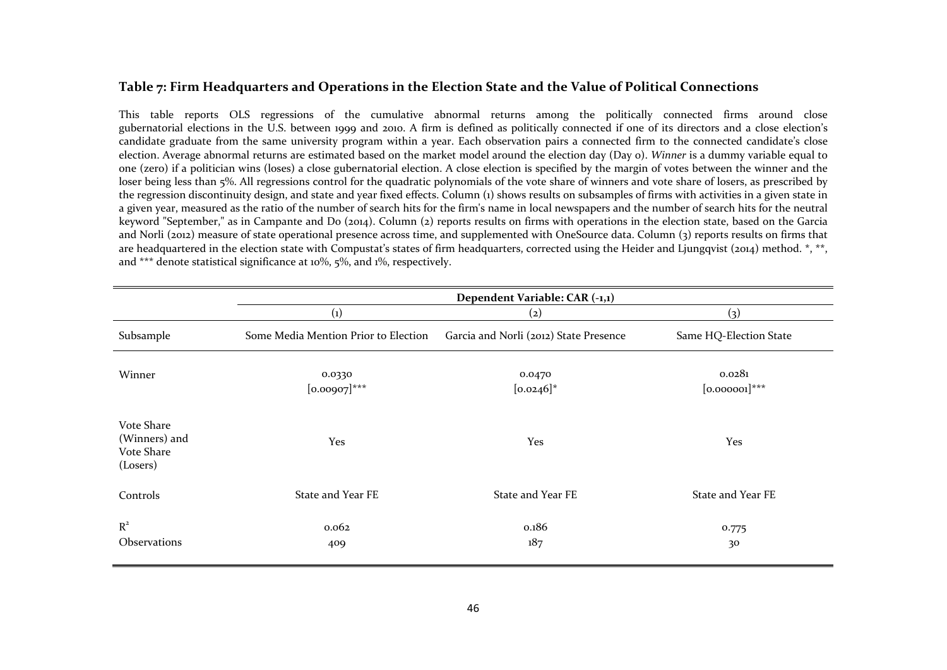## **Table 7: Firm Headquarters and Operations in the Election State and the Value of Political Connections**

This table reports OLS regressions of the cumulative abnormal returns among the politically connected firms around close gubernatorial elections in the U.S. between 1999 and 2010. A firm is defined as politically connected if one of its directors and <sup>a</sup> close election's candidate graduate from the same university program within <sup>a</sup> year. Each observation pairs <sup>a</sup> connected firm to the connected candidate's close election. Average abnormal returns are estimated based on the market model around the election day (Day 0). *Winner* is <sup>a</sup> dummy variable equal to one (zero) if <sup>a</sup> politician wins (loses) <sup>a</sup> close gubernatorial election. <sup>A</sup> close election is specified by the margin of votes between the winner and the loser being less than 5%. All regressions control for the quadratic polynomials of the vote share of winners and vote share of losers, as prescribed by the regression discontinuity design, and state and year fixed effects. Column (1) shows results on subsamples of firms with activities in <sup>a</sup> given state in a given year, measured as the ratio of the number of search hits for the firm's name in local newspapers and the number of search hits for the neutral keyword "September," as in Campante and Do (2014). Column (2) reports results on firms with operations in the election state, based on the Garcia and Norli (2012) measure of state operational presence across time, and supplemented with OneSource data. Column (3) reports results on firms that are headquartered in the election state with Compustat's states of firm headquarters, corrected using the Heider and Ljungqvist (2014) method. \*, \*\*, and \*\*\* denote statistical significance at 10%, 5%, and 1%, respectively.

|                                                       |                                      | Dependent Variable: CAR (-1,1)         |                            |
|-------------------------------------------------------|--------------------------------------|----------------------------------------|----------------------------|
|                                                       | $_{\left(1\right)}$                  | $\left( 2\right)$                      | $\left( 3\right)$          |
| Subsample                                             | Some Media Mention Prior to Election | Garcia and Norli (2012) State Presence | Same HQ-Election State     |
| Winner                                                | 0.0330<br>$[0.00907]$ ***            | 0.0470<br>$[0.0246]$ *                 | 0.0281<br>$[0.000001]$ *** |
| Vote Share<br>(Winners) and<br>Vote Share<br>(Losers) | Yes                                  | Yes                                    | Yes                        |
| Controls                                              | State and Year FE                    | State and Year FE                      | State and Year FE          |
| $R^2$<br>Observations                                 | 0.062<br>409                         | 0.186<br>187                           | 0.775<br>30                |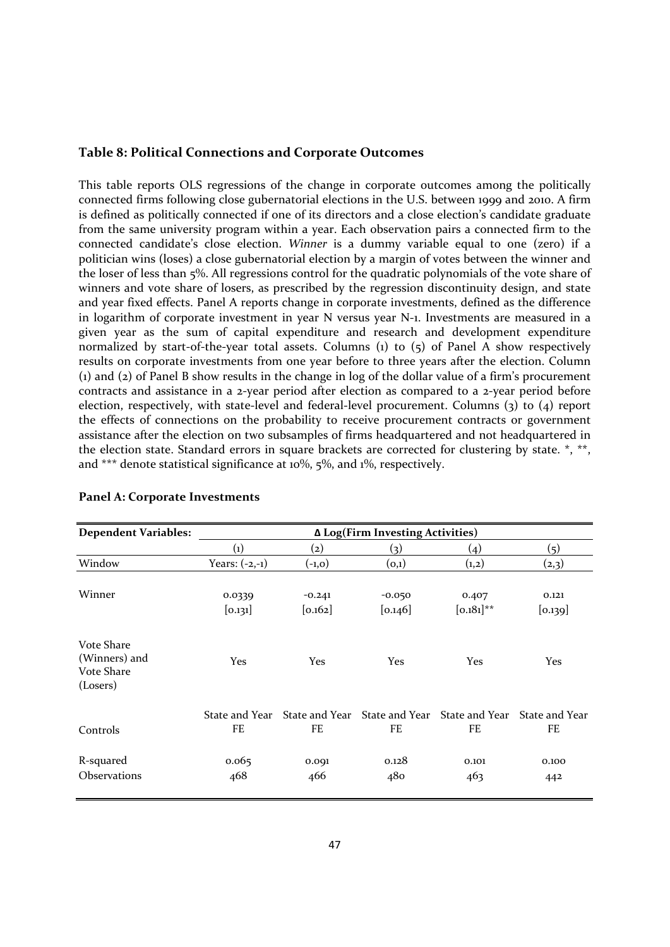#### **Table 8: Political Connections and Corporate Outcomes**

This table reports OLS regressions of the change in corporate outcomes among the politically connected firms following close gubernatorial elections in the U.S. between 1999 and 2010. A firm is defined as politically connected if one of its directors and a close election's candidate graduate from the same university program within a year. Each observation pairs a connected firm to the connected candidate's close election. *Winner* is a dummy variable equal to one (zero) if a politician wins (loses) a close gubernatorial election by a margin of votes between the winner and the loser of less than 5%. All regressions control for the quadratic polynomials of the vote share of winners and vote share of losers, as prescribed by the regression discontinuity design, and state and year fixed effects. Panel A reports change in corporate investments, defined as the difference in logarithm of corporate investment in year N versus year N‐1. Investments are measured in a given year as the sum of capital expenditure and research and development expenditure normalized by start-of-the-year total assets. Columns (1) to  $(5)$  of Panel A show respectively results on corporate investments from one year before to three years after the election. Column (1) and (2) of Panel B show results in the change in log of the dollar value of a firm's procurement contracts and assistance in a 2‐year period after election as compared to a 2‐year period before election, respectively, with state‐level and federal‐level procurement. Columns (3) to (4) report the effects of connections on the probability to receive procurement contracts or government assistance after the election on two subsamples of firms headquartered and not headquartered in the election state. Standard errors in square brackets are corrected for clustering by state. \*, \*\*, and \*\*\* denote statistical significance at  $10\%$ ,  $5\%$ , and  $1\%$ , respectively.

| <b>Dependent Variables:</b>                           | Δ Log(Firm Investing Activities) |                     |                                                    |                         |                      |  |
|-------------------------------------------------------|----------------------------------|---------------------|----------------------------------------------------|-------------------------|----------------------|--|
|                                                       | $\left( 1\right)$                | $\left( 2\right)$   | $\left( 3\right)$                                  | $\left( 4\right)$       | (5)                  |  |
| Window                                                | Years: $(-2,-1)$                 | $(-1, 0)$           | $(\mathrm{o,}1)$                                   | (1,2)                   | (2,3)                |  |
| Winner                                                | 0.0339<br>[0.131]                | $-0.241$<br>[0.162] | $-0.050$<br>[0.146]                                | 0.407<br>$[0.181]^{**}$ | 0.121<br>[0.139]     |  |
| Vote Share<br>(Winners) and<br>Vote Share<br>(Losers) | Yes                              | Yes                 | Yes                                                | Yes                     | Yes                  |  |
| Controls                                              | State and Year<br>FE             | FE                  | State and Year State and Year State and Year<br>FE | FE                      | State and Year<br>FE |  |
| R-squared<br><b>Observations</b>                      | 0.065<br>468                     | 0.091<br>466        | 0.128<br>480                                       | 0.101<br>463            | 0.100<br>442         |  |

#### **Panel A: Corporate Investments**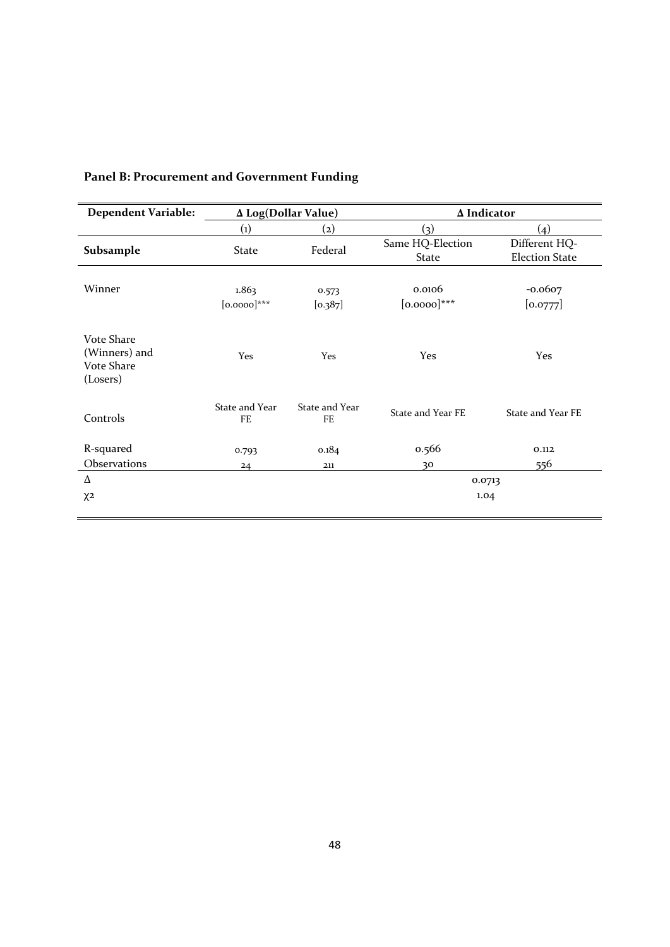| <b>Dependent Variable:</b>                            |                         | $\Delta$ Log(Dollar Value) | ∆ Indicator                      |                                        |  |
|-------------------------------------------------------|-------------------------|----------------------------|----------------------------------|----------------------------------------|--|
|                                                       | $\left( 1\right)$       | $\left( 2\right)$          | $\left( 3 \right)$               | $\left( 4 \right)$                     |  |
| Subsample                                             | <b>State</b>            | Federal                    | Same HQ-Election<br><b>State</b> | Different HQ-<br><b>Election State</b> |  |
| Winner                                                | 1.863<br>$[0.0000]$ *** | 0.573<br>[0.387]           | 0.0106<br>$[0.0000]$ ***         | $-0.0607$<br>[0.0777]                  |  |
| Vote Share<br>(Winners) and<br>Vote Share<br>(Losers) | Yes                     | Yes                        | Yes                              | Yes                                    |  |
| Controls                                              | State and Year<br>FE    | State and Year<br>FE       | State and Year FE                | State and Year FE                      |  |
| R-squared                                             | 0.793                   | 0.184                      | 0.566                            | 0.112                                  |  |
| Observations                                          | 24                      | 211                        | 30                               | 556                                    |  |
| Δ                                                     |                         |                            | 0.0713                           |                                        |  |
| $\chi$ <sup>2</sup>                                   |                         |                            | 1.04                             |                                        |  |

# **Panel B: Procurement and Government Funding**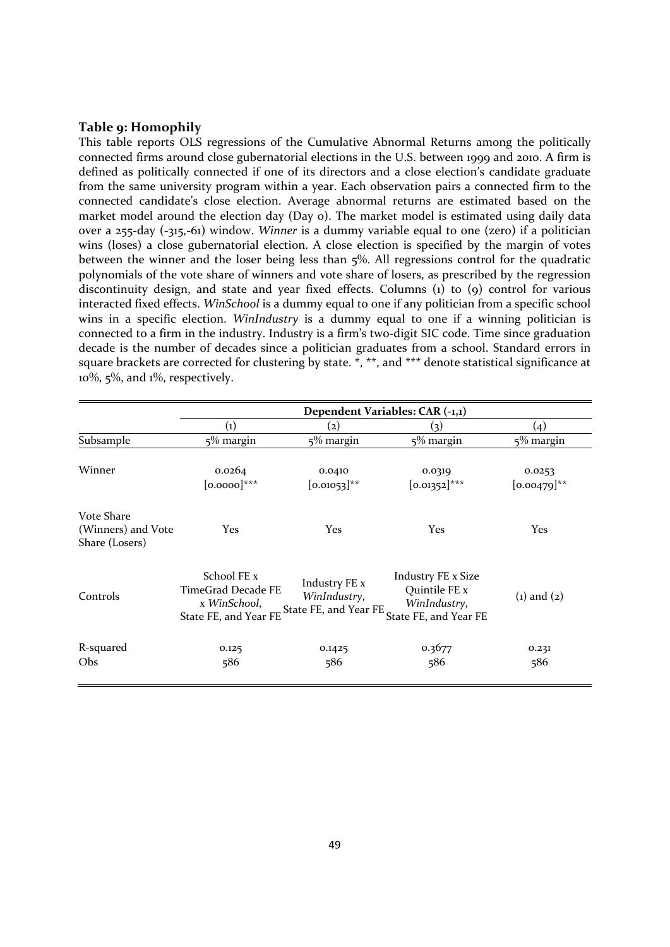#### **Table 9: Homophily**

This table reports OLS regressions of the Cumulative Abnormal Returns among the politically connected firms around close gubernatorial elections in the U.S. between 1999 and 2010. A firm is defined as politically connected if one of its directors and a close election's candidate graduate from the same university program within a year. Each observation pairs a connected firm to the connected candidate's close election. Average abnormal returns are estimated based on the market model around the election day (Day 0). The market model is estimated using daily data over a 255‐day (‐315,‐61) window. *Winner* is a dummy variable equal to one (zero) if a politician wins (loses) a close gubernatorial election. A close election is specified by the margin of votes between the winner and the loser being less than 5%. All regressions control for the quadratic polynomials of the vote share of winners and vote share of losers, as prescribed by the regression discontinuity design, and state and year fixed effects. Columns (1) to (9) control for various interacted fixed effects. *WinSchool* is a dummy equal to one if any politician from a specific school wins in a specific election. *WinIndustry* is a dummy equal to one if a winning politician is connected to a firm in the industry. Industry is a firm's two-digit SIC code. Time since graduation decade is the number of decades since a politician graduates from a school. Standard errors in square brackets are corrected for clustering by state. \*, \*\*, and \*\*\* denote statistical significance at 10%, 5%, and 1%, respectively.

|                                                    |                                                                                                                        |                               | Dependent Variables: CAR (-1,1)                     |                            |
|----------------------------------------------------|------------------------------------------------------------------------------------------------------------------------|-------------------------------|-----------------------------------------------------|----------------------------|
|                                                    | $\left( 1\right)$                                                                                                      | $\bf (2)$                     | (3)                                                 | $\left(4\right)$           |
| Subsample                                          | $5\%$ margin                                                                                                           | $5\%$ margin                  | $5\%$ margin                                        | $5\%$ margin               |
| Winner                                             | 0.0264<br>$[0.0000]$ ***                                                                                               | 0.0410<br>$[0.01053]^{**}$    | 0.0319<br>$[0.01352]$ ***                           | 0.0253<br>$[0.00479]^{**}$ |
| Vote Share<br>(Winners) and Vote<br>Share (Losers) | Yes                                                                                                                    | Yes                           | Yes                                                 | Yes                        |
| Controls                                           | School FE x<br>TimeGrad Decade FE<br>x WinSchool,<br>State FE, and Year FE State FE, and Year FE State FE, and Year FE | Industry FE x<br>WinIndustry, | Industry FE x Size<br>Quintile FE x<br>WinIndustry, | $(i)$ and $(i)$            |
| R-squared<br>Obs                                   | 0.125<br>586                                                                                                           | 0.1425<br>586                 | 0.3677<br>586                                       | 0.231<br>586               |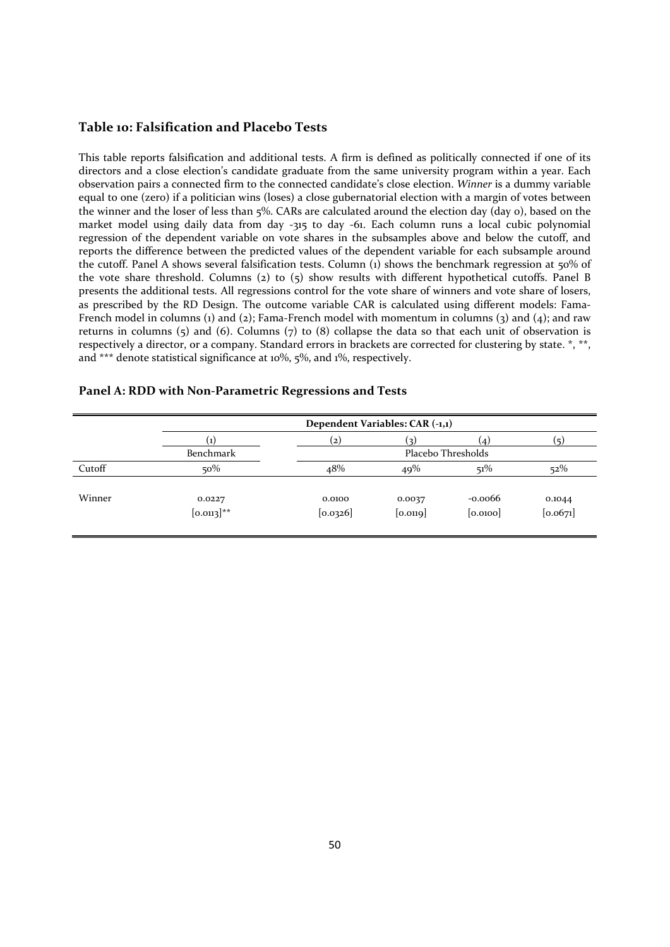#### **Table 10: Falsification and Placebo Tests**

This table reports falsification and additional tests. A firm is defined as politically connected if one of its directors and a close election's candidate graduate from the same university program within a year. Each observation pairs a connected firm to the connected candidate's close election. *Winner* is a dummy variable equal to one (zero) if a politician wins (loses) a close gubernatorial election with a margin of votes between the winner and the loser of less than 5%. CARs are calculated around the election day (day 0), based on the market model using daily data from day -315 to day -61. Each column runs a local cubic polynomial regression of the dependent variable on vote shares in the subsamples above and below the cutoff, and reports the difference between the predicted values of the dependent variable for each subsample around the cutoff. Panel A shows several falsification tests. Column (1) shows the benchmark regression at 50% of the vote share threshold. Columns (2) to (5) show results with different hypothetical cutoffs. Panel B presents the additional tests. All regressions control for the vote share of winners and vote share of losers, as prescribed by the RD Design. The outcome variable CAR is calculated using different models: Fama-French model in columns (1) and (2); Fama-French model with momentum in columns (3) and (4); and raw returns in columns (5) and (6). Columns (7) to (8) collapse the data so that each unit of observation is respectively a director, or a company. Standard errors in brackets are corrected for clustering by state. \*, \*\*, and \*\*\* denote statistical significance at 10%, 5%, and 1%, respectively.

|        | Dependent Variables: CAR (-1,1) |                    |                    |                       |                    |  |  |  |
|--------|---------------------------------|--------------------|--------------------|-----------------------|--------------------|--|--|--|
|        |                                 | $\left( 2\right)$  | .૩)                | (4)                   |                    |  |  |  |
|        | Benchmark                       |                    | Placebo Thresholds |                       |                    |  |  |  |
| Cutoff | $50\%$                          | 48%                | 49%                | 51%                   | 52%                |  |  |  |
| Winner | 0.0227<br>$[0.0113]^{**}$       | 0.0100<br>[0.0326] | 0.0037<br>[0.0119] | $-0.0066$<br>[0.0100] | 0.1044<br>[0.0671] |  |  |  |

#### **Panel A: RDD with Non‐Parametric Regressions and Tests**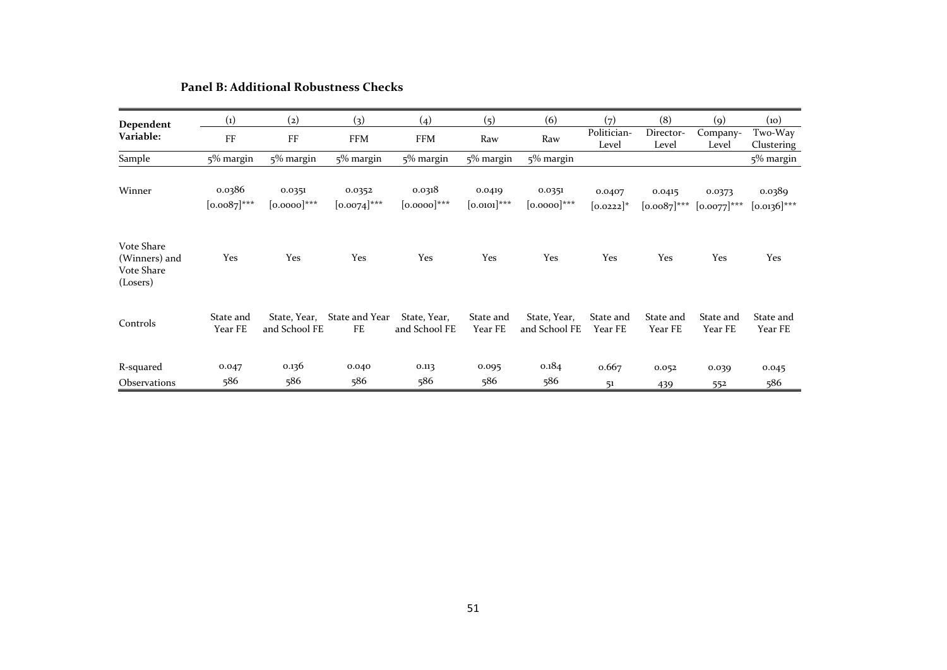| <b>Panel B: Additional Robustness Checks</b> |  |
|----------------------------------------------|--|
|----------------------------------------------|--|

| Dependent                                             | $\left( 1\right)$        | (2)                           | (3)                      | (4)                           | (5)                      | (6)                           | (7)                    | (8)                      | $\left( 9\right)$        | (10)                     |
|-------------------------------------------------------|--------------------------|-------------------------------|--------------------------|-------------------------------|--------------------------|-------------------------------|------------------------|--------------------------|--------------------------|--------------------------|
| Variable:                                             | FF                       | FF                            | <b>FFM</b>               | <b>FFM</b>                    | Raw                      | Raw                           | Politician-<br>Level   | Director-<br>Level       | Company-<br>Level        | Two-Way<br>Clustering    |
| Sample                                                | 5% margin                | $5\%$ margin                  | $5\%$ margin             | 5% margin                     | 5% margin                | $5\%$ margin                  |                        |                          |                          | 5% margin                |
| Winner                                                | 0.0386<br>$[0.0087]$ *** | 0.0351<br>$[0.0000]^{***}$    | 0.0352<br>$[0.0074]$ *** | 0.0318<br>$[0.0000]$ ***      | 0.0419<br>$[0.0101]$ *** | 0.0351<br>$[0.0000]^{***}$    | 0.0407<br>$[0.0222]$ * | 0.0415<br>$[0.0087]$ *** | 0.0373<br>$[0.0077]$ *** | 0.0389<br>$[0.0136]$ *** |
| Vote Share<br>(Winners) and<br>Vote Share<br>(Losers) | Yes                      | Yes                           | Yes                      | Yes                           | Yes                      | Yes                           | Yes                    | Yes                      | Yes                      | Yes                      |
| Controls                                              | State and<br>Year FE     | State, Year,<br>and School FE | State and Year<br>FE     | State, Year,<br>and School FE | State and<br>Year FE     | State, Year,<br>and School FE | State and<br>Year FE   | State and<br>Year FE     | State and<br>Year FE     | State and<br>Year FE     |
| R-squared                                             | 0.047                    | 0.136                         | 0.040                    | 0.113                         | 0.095                    | 0.184                         | 0.667                  | 0.052                    | 0.039                    | 0.045                    |
| Observations                                          | 586                      | 586                           | 586                      | 586                           | 586                      | 586                           | 51                     | 439                      | 552                      | 586                      |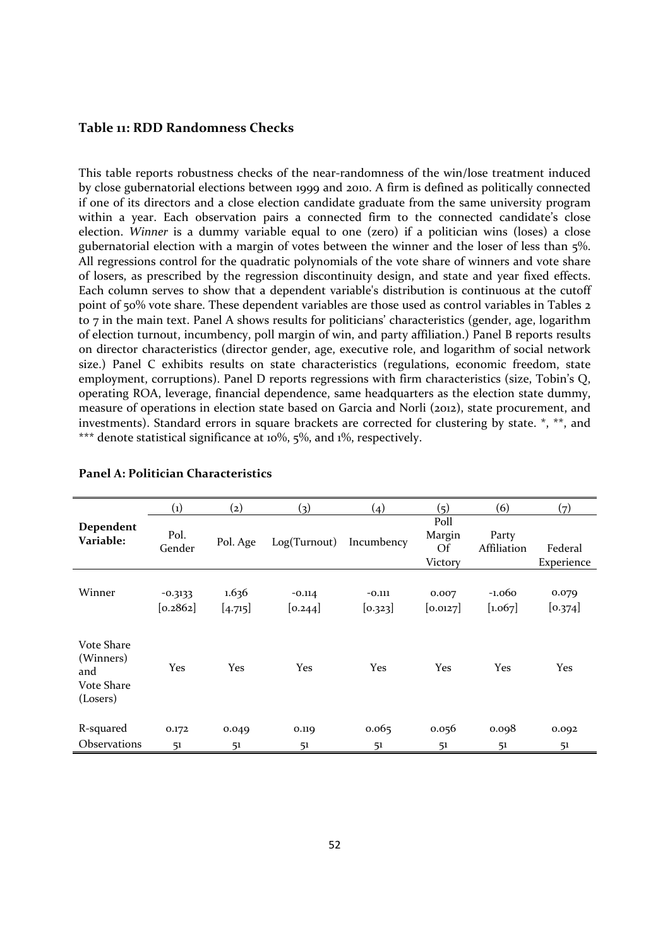#### **Table 11: RDD Randomness Checks**

This table reports robustness checks of the near-randomness of the win/lose treatment induced by close gubernatorial elections between 1999 and 2010. A firm is defined as politically connected if one of its directors and a close election candidate graduate from the same university program within a year. Each observation pairs a connected firm to the connected candidate's close election. *Winner* is a dummy variable equal to one (zero) if a politician wins (loses) a close gubernatorial election with a margin of votes between the winner and the loser of less than 5%. All regressions control for the quadratic polynomials of the vote share of winners and vote share of losers, as prescribed by the regression discontinuity design, and state and year fixed effects. Each column serves to show that a dependent variable's distribution is continuous at the cutoff point of 50% vote share. These dependent variables are those used as control variables in Tables 2 to 7 in the main text. Panel A shows results for politicians' characteristics (gender, age, logarithm of election turnout, incumbency, poll margin of win, and party affiliation.) Panel B reports results on director characteristics (director gender, age, executive role, and logarithm of social network size.) Panel C exhibits results on state characteristics (regulations, economic freedom, state employment, corruptions). Panel D reports regressions with firm characteristics (size, Tobin's Q, operating ROA, leverage, financial dependence, same headquarters as the election state dummy, measure of operations in election state based on Garcia and Norli (2012), state procurement, and investments). Standard errors in square brackets are corrected for clustering by state. \*, \*\*, and \*\*\* denote statistical significance at 10%, 5%, and 1%, respectively.

|                                                          | $\left( 1\right)$     | $\rm _{(2)}$     | (3)                 | $\left( 4 \right)$  | (5)                             | (6)                  | (7)                   |
|----------------------------------------------------------|-----------------------|------------------|---------------------|---------------------|---------------------------------|----------------------|-----------------------|
| Dependent<br>Variable:                                   | Pol.<br>Gender        | Pol. Age         | Log(Turnout)        | Incumbency          | Poll<br>Margin<br>Of<br>Victory | Party<br>Affiliation | Federal<br>Experience |
| Winner                                                   | $-0.3133$<br>[0.2862] | 1.636<br>[4.715] | $-0.114$<br>[0.244] | $-0.111$<br>[0.323] | 0.007<br>[0.0127]               | $-1.060$<br>[1.067]  | 0.079<br>[0.374]      |
| Vote Share<br>(Winners)<br>and<br>Vote Share<br>(Losers) | Yes                   | Yes              | Yes                 | Yes                 | Yes                             | Yes                  | Yes                   |
| R-squared                                                | 0.172                 | 0.049            | 0.119               | 0.065               | 0.056                           | 0.098                | 0.092                 |
| <b>Observations</b>                                      | 51                    | 51               | 51                  | 51                  | 51                              | 51                   | 51                    |

#### **Panel A: Politician Characteristics**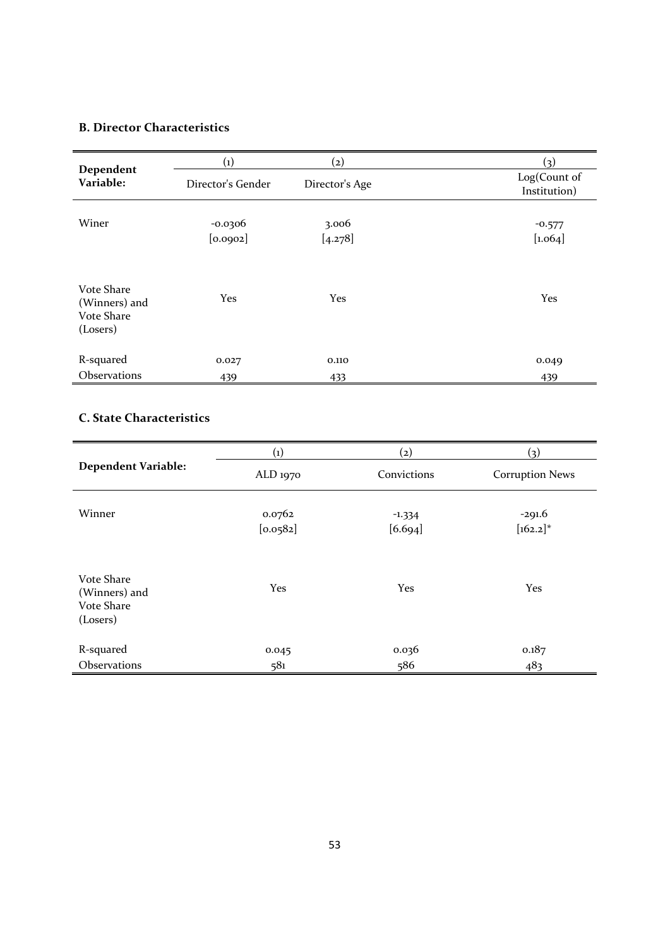## **B. Director Characteristics**

|                                                       | $\left( 1\right)$     | $\left( 2\right)$                              | $\left( 3\right)$   |  |
|-------------------------------------------------------|-----------------------|------------------------------------------------|---------------------|--|
| Dependent<br>Variable:                                | Director's Gender     | Log(Count of<br>Director's Age<br>Institution) |                     |  |
| Winer                                                 | $-0.0306$<br>[0.0902] | 3.006<br>[4.278]                               | $-0.577$<br>[1.064] |  |
| Vote Share<br>(Winners) and<br>Vote Share<br>(Losers) | Yes                   | Yes                                            | Yes                 |  |
| R-squared                                             | 0.027                 | 0.110                                          | 0.049               |  |
| Observations                                          | 439                   | 433                                            | 439                 |  |

# **C. State Characteristics**

|                                                       | $\left( 1\right)$  | $\rm _{(2)}$        | (3)                     |
|-------------------------------------------------------|--------------------|---------------------|-------------------------|
| <b>Dependent Variable:</b>                            | ALD 1970           | Convictions         | <b>Corruption News</b>  |
| Winner                                                | 0.0762<br>[0.0582] | $-1.334$<br>[6.694] | $-291.6$<br>$[162.2]$ * |
| Vote Share<br>(Winners) and<br>Vote Share<br>(Losers) | Yes                | Yes                 | Yes                     |
| R-squared                                             | 0.045              | 0.036               | 0.187                   |
| Observations                                          | 581                | 586                 | 483                     |